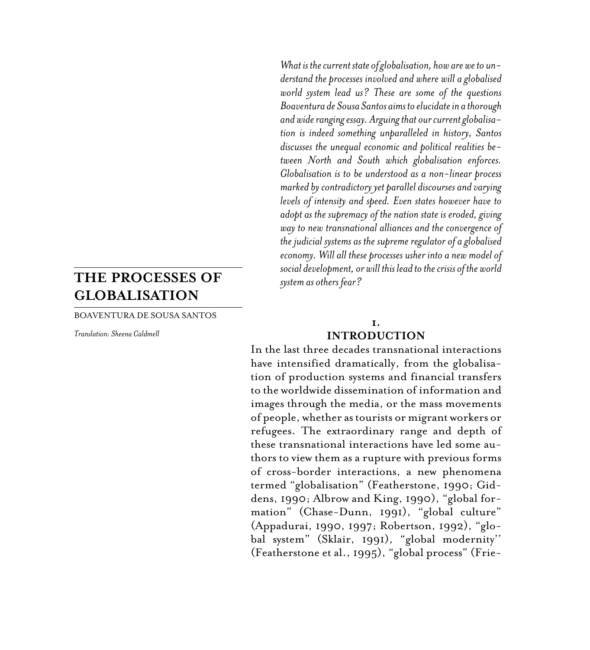# **THE PROCESSES OF GLOBALISATION**

BOAVENTURA DE SOUSA SANTOS

*Translation: Sheena Caldmell*

*What is the current state of globalisation, how are we to understand the processes involved and where will a globalised world system lead us? These are some of the questions Boaventura de Sousa Santos aims to elucidate in a thorough and wide ranging essay. Arguing that our current globalisation is indeed something unparalleled in history, Santos discusses the unequal economic and political realities between North and South which globalisation enforces. Globalisation is to be understood as a non-linear process marked by contradictory yet parallel discourses and varying levels of intensity and speed. Even states however have to adopt as the supremacy of the nation state is eroded, giving way to new transnational alliances and the convergence of the judicial systems as the supreme regulator of a globalised economy. Will all these processes usher into a new model of social development, or will this lead to the crisis of the world system as others fear?* 

#### **1.**

#### **INTRODUCTION**

In the last three decades transnational interactions have intensified dramatically, from the globalisation of production systems and financial transfers to the worldwide dissemination of information and images through the media, or the mass movements of people, whether as tourists or migrant workers or refugees. The extraordinary range and depth of these transnational interactions have led some authors to view them as a rupture with previous forms of cross-border interactions, a new phenomena termed "globalisation" (Featherstone, 1990; Giddens, 1990; Albrow and King, 1990), "global formation" (Chase-Dunn, 1991), "global culture" (Appadurai, 1990, 1997; Robertson, 1992), "global system" (Sklair, 1991), "global modernity'' (Featherstone et al., 1995), "global process" (Frie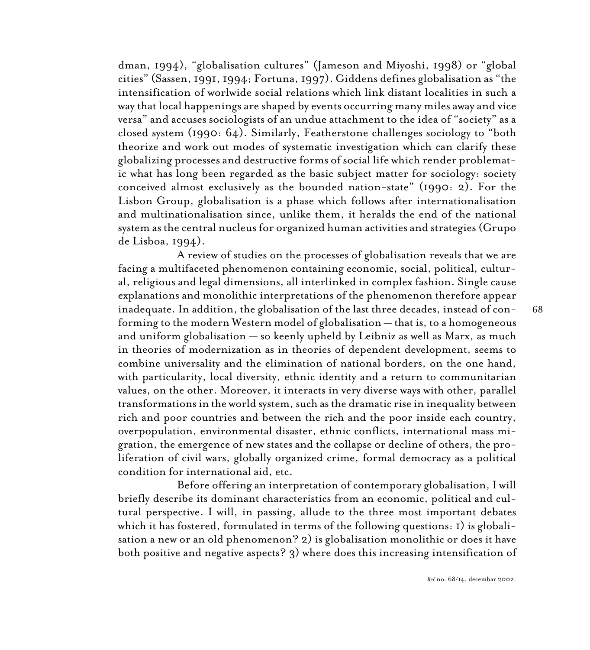dman, 1994), "globalisation cultures" (Jameson and Miyoshi, 1998) or "global cities" (Sassen, 1991, 1994; Fortuna, 1997). Giddens defines globalisation as "the intensification of worlwide social relations which link distant localities in such a way that local happenings are shaped by events occurring many miles away and vice versa" and accuses sociologists of an undue attachment to the idea of "society" as a closed system (1990: 64). Similarly, Featherstone challenges sociology to "both theorize and work out modes of systematic investigation which can clarify these globalizing processes and destructive forms of social life which render problematic what has long been regarded as the basic subject matter for sociology: society conceived almost exclusively as the bounded nation-state" (1990: 2). For the Lisbon Group, globalisation is a phase which follows after internationalisation and multinationalisation since, unlike them, it heralds the end of the national system as the central nucleus for organized human activities and strategies (Grupo de Lisboa, 1994).

A review of studies on the processes of globalisation reveals that we are facing a multifaceted phenomenon containing economic, social, political, cultural, religious and legal dimensions, all interlinked in complex fashion. Single cause explanations and monolithic interpretations of the phenomenon therefore appear inadequate. In addition, the globalisation of the last three decades, instead of conforming to the modern Western model of globalisation — that is, to a homogeneous and uniform globalisation — so keenly upheld by Leibniz as well as Marx, as much in theories of modernization as in theories of dependent development, seems to combine universality and the elimination of national borders, on the one hand, with particularity, local diversity, ethnic identity and a return to communitarian values, on the other. Moreover, it interacts in very diverse ways with other, parallel transformations in the world system, such as the dramatic rise in inequality between rich and poor countries and between the rich and the poor inside each country, overpopulation, environmental disaster, ethnic conflicts, international mass migration, the emergence of new states and the collapse or decline of others, the proliferation of civil wars, globally organized crime, formal democracy as a political condition for international aid, etc.

Before offering an interpretation of contemporary globalisation, I will briefly describe its dominant characteristics from an economic, political and cultural perspective. I will, in passing, allude to the three most important debates which it has fostered, formulated in terms of the following questions: 1) is globalisation a new or an old phenomenon? 2) is globalisation monolithic or does it have both positive and negative aspects? 3) where does this increasing intensification of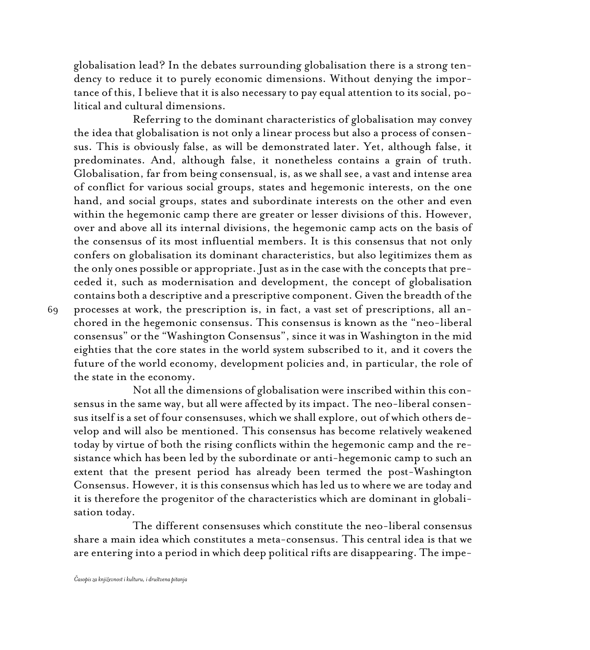globalisation lead? In the debates surrounding globalisation there is a strong tendency to reduce it to purely economic dimensions. Without denying the importance of this, I believe that it is also necessary to pay equal attention to its social, political and cultural dimensions.

Referring to the dominant characteristics of globalisation may convey the idea that globalisation is not only a linear process but also a process of consensus. This is obviously false, as will be demonstrated later. Yet, although false, it predominates. And, although false, it nonetheless contains a grain of truth. Globalisation, far from being consensual, is, as we shall see, a vast and intense area of conflict for various social groups, states and hegemonic interests, on the one hand, and social groups, states and subordinate interests on the other and even within the hegemonic camp there are greater or lesser divisions of this. However, over and above all its internal divisions, the hegemonic camp acts on the basis of the consensus of its most influential members. It is this consensus that not only confers on globalisation its dominant characteristics, but also legitimizes them as the only ones possible or appropriate. Just as in the case with the concepts that preceded it, such as modernisation and development, the concept of globalisation contains both a descriptive and a prescriptive component. Given the breadth of the processes at work, the prescription is, in fact, a vast set of prescriptions, all anchored in the hegemonic consensus. This consensus is known as the "neo-liberal consensus" or the "Washington Consensus", since it was in Washington in the mid eighties that the core states in the world system subscribed to it, and it covers the future of the world economy, development policies and, in particular, the role of the state in the economy.

Not all the dimensions of globalisation were inscribed within this consensus in the same way, but all were affected by its impact. The neo-liberal consensus itself is a set of four consensuses, which we shall explore, out of which others develop and will also be mentioned. This consensus has become relatively weakened today by virtue of both the rising conflicts within the hegemonic camp and the resistance which has been led by the subordinate or anti-hegemonic camp to such an extent that the present period has already been termed the post-Washington Consensus. However, it is this consensus which has led us to where we are today and it is therefore the progenitor of the characteristics which are dominant in globalisation today.

The different consensuses which constitute the neo-liberal consensus share a main idea which constitutes a meta-consensus. This central idea is that we are entering into a period in which deep political rifts are disappearing. The impe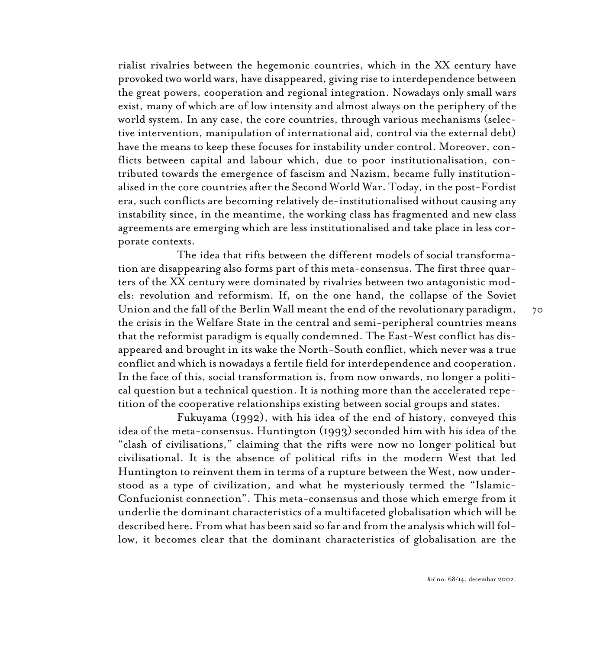rialist rivalries between the hegemonic countries, which in the XX century have provoked two world wars, have disappeared, giving rise to interdependence between the great powers, cooperation and regional integration. Nowadays only small wars exist, many of which are of low intensity and almost always on the periphery of the world system. In any case, the core countries, through various mechanisms (selective intervention, manipulation of international aid, control via the external debt) have the means to keep these focuses for instability under control. Moreover, conflicts between capital and labour which, due to poor institutionalisation, contributed towards the emergence of fascism and Nazism, became fully institutionalised in the core countries after the Second World War. Today, in the post-Fordist era, such conflicts are becoming relatively de-institutionalised without causing any instability since, in the meantime, the working class has fragmented and new class agreements are emerging which are less institutionalised and take place in less corporate contexts.

The idea that rifts between the different models of social transformation are disappearing also forms part of this meta-consensus. The first three quarters of the XX century were dominated by rivalries between two antagonistic models: revolution and reformism. If, on the one hand, the collapse of the Soviet Union and the fall of the Berlin Wall meant the end of the revolutionary paradigm, the crisis in the Welfare State in the central and semi-peripheral countries means that the reformist paradigm is equally condemned. The East-West conflict has disappeared and brought in its wake the North-South conflict, which never was a true conflict and which is nowadays a fertile field for interdependence and cooperation. In the face of this, social transformation is, from now onwards, no longer a political question but a technical question. It is nothing more than the accelerated repetition of the cooperative relationships existing between social groups and states.

Fukuyama (1992), with his idea of the end of history, conveyed this idea of the meta-consensus. Huntington (1993) seconded him with his idea of the "clash of civilisations," claiming that the rifts were now no longer political but civilisational. It is the absence of political rifts in the modern West that led Huntington to reinvent them in terms of a rupture between the West, now understood as a type of civilization, and what he mysteriously termed the "Islamic-Confucionist connection". This meta-consensus and those which emerge from it underlie the dominant characteristics of a multifaceted globalisation which will be described here. From what has been said so far and from the analysis which will follow, it becomes clear that the dominant characteristics of globalisation are the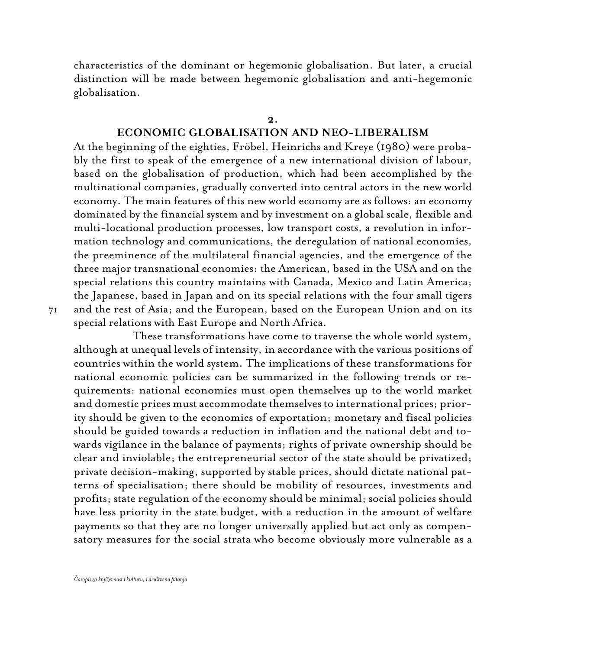characteristics of the dominant or hegemonic globalisation. But later, a crucial distinction will be made between hegemonic globalisation and anti-hegemonic globalisation.

### **ECONOMIC GLOBALISATION AND NEO-LIBERALISM**

At the beginning of the eighties, Fröbel, Heinrichs and Kreye (1980) were probably the first to speak of the emergence of a new international division of labour, based on the globalisation of production, which had been accomplished by the multinational companies, gradually converted into central actors in the new world economy. The main features of this new world economy are as follows: an economy dominated by the financial system and by investment on a global scale, flexible and multi-locational production processes, low transport costs, a revolution in information technology and communications, the deregulation of national economies, the preeminence of the multilateral financial agencies, and the emergence of the three major transnational economies: the American, based in the USA and on the special relations this country maintains with Canada, Mexico and Latin America; the Japanese, based in Japan and on its special relations with the four small tigers and the rest of Asia; and the European, based on the European Union and on its special relations with East Europe and North Africa.

These transformations have come to traverse the whole world system, although at unequal levels of intensity, in accordance with the various positions of countries within the world system. The implications of these transformations for national economic policies can be summarized in the following trends or requirements: national economies must open themselves up to the world market and domestic prices must accommodate themselves to international prices; priority should be given to the economics of exportation; monetary and fiscal policies should be guided towards a reduction in inflation and the national debt and towards vigilance in the balance of payments; rights of private ownership should be clear and inviolable; the entrepreneurial sector of the state should be privatized; private decision-making, supported by stable prices, should dictate national patterns of specialisation; there should be mobility of resources, investments and profits; state regulation of the economy should be minimal; social policies should have less priority in the state budget, with a reduction in the amount of welfare payments so that they are no longer universally applied but act only as compensatory measures for the social strata who become obviously more vulnerable as a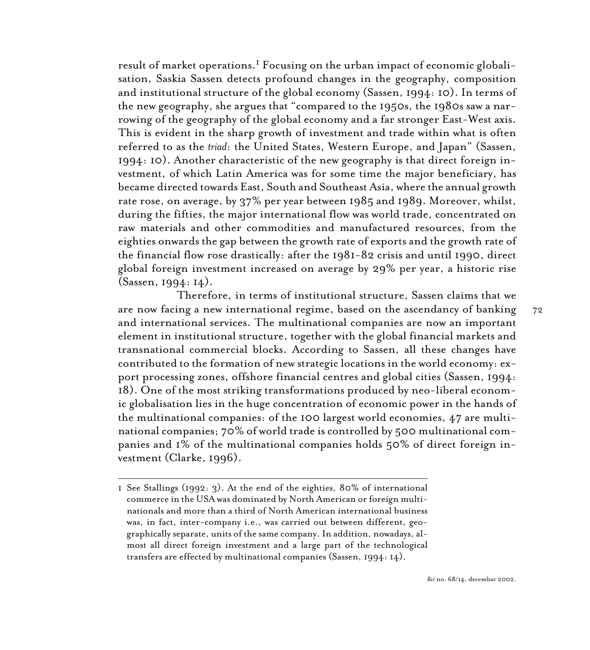result of market operations.<sup>1</sup> Focusing on the urban impact of economic globalisation, Saskia Sassen detects profound changes in the geography, composition and institutional structure of the global economy (Sassen, 1994: 10). In terms of the new geography, she argues that "compared to the 1950s, the 1980s saw a narrowing of the geography of the global economy and a far stronger East-West axis. This is evident in the sharp growth of investment and trade within what is often referred to as the *triad*: the United States, Western Europe, and Japan" (Sassen, 1994: 10). Another characteristic of the new geography is that direct foreign investment, of which Latin America was for some time the major beneficiary, has became directed towards East, South and Southeast Asia, where the annual growth rate rose, on average, by 37% per year between 1985 and 1989. Moreover, whilst, during the fifties, the major international flow was world trade, concentrated on raw materials and other commodities and manufactured resources, from the eighties onwards the gap between the growth rate of exports and the growth rate of the financial flow rose drastically: after the 1981-82 crisis and until 1990, direct global foreign investment increased on average by 29% per year, a historic rise (Sassen, 1994: 14).

Therefore, in terms of institutional structure, Sassen claims that we are now facing a new international regime, based on the ascendancy of banking and international services. The multinational companies are now an important element in institutional structure, together with the global financial markets and transnational commercial blocks. According to Sassen, all these changes have contributed to the formation of new strategic locations in the world economy: export processing zones, offshore financial centres and global cities (Sassen, 1994: 18). One of the most striking transformations produced by neo-liberal economic globalisation lies in the huge concentration of economic power in the hands of the multinational companies: of the 100 largest world economies, 47 are multinational companies; 70% of world trade is controlled by 500 multinational companies and 1% of the multinational companies holds 50% of direct foreign investment (Clarke, 1996).

<sup>1</sup> See Stallings (1992: 3). At the end of the eighties, 80% of international commerce in the USA was dominated by North American or foreign multinationals and more than a third of North American international business was, in fact, inter-company i.e., was carried out between different, geographically separate, units of the same company. In addition, nowadays, almost all direct foreign investment and a large part of the technological transfers are effected by multinational companies (Sassen, 1994: 14).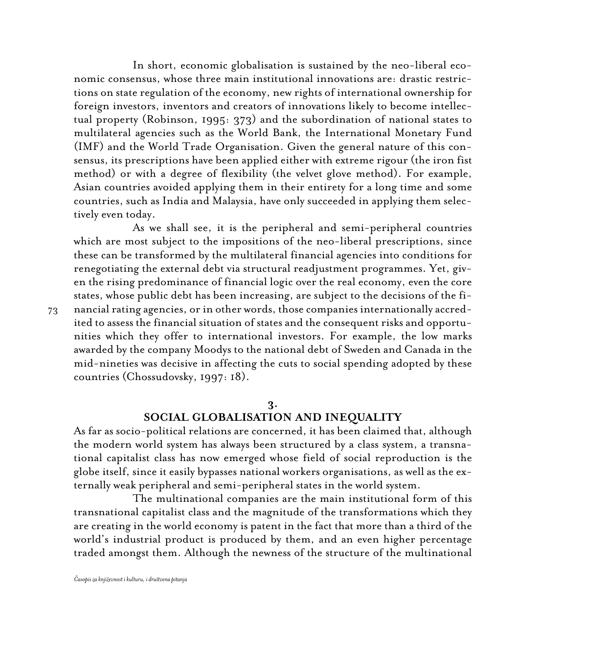In short, economic globalisation is sustained by the neo-liberal economic consensus, whose three main institutional innovations are: drastic restrictions on state regulation of the economy, new rights of international ownership for foreign investors, inventors and creators of innovations likely to become intellectual property (Robinson, 1995: 373) and the subordination of national states to multilateral agencies such as the World Bank, the International Monetary Fund (IMF) and the World Trade Organisation. Given the general nature of this consensus, its prescriptions have been applied either with extreme rigour (the iron fist method) or with a degree of flexibility (the velvet glove method). For example, Asian countries avoided applying them in their entirety for a long time and some countries, such as India and Malaysia, have only succeeded in applying them selectively even today.

As we shall see, it is the peripheral and semi-peripheral countries which are most subject to the impositions of the neo-liberal prescriptions, since these can be transformed by the multilateral financial agencies into conditions for renegotiating the external debt via structural readjustment programmes. Yet, given the rising predominance of financial logic over the real economy, even the core states, whose public debt has been increasing, are subject to the decisions of the financial rating agencies, or in other words, those companies internationally accredited to assess the financial situation of states and the consequent risks and opportunities which they offer to international investors. For example, the low marks awarded by the company Moodys to the national debt of Sweden and Canada in the mid-nineties was decisive in affecting the cuts to social spending adopted by these countries (Chossudovsky, 1997: 18).

#### **3.**

### **SOCIAL GLOBALISATION AND INEQUALITY**

As far as socio-political relations are concerned, it has been claimed that, although the modern world system has always been structured by a class system, a transnational capitalist class has now emerged whose field of social reproduction is the globe itself, since it easily bypasses national workers organisations, as well as the externally weak peripheral and semi-peripheral states in the world system.

The multinational companies are the main institutional form of this transnational capitalist class and the magnitude of the transformations which they are creating in the world economy is patent in the fact that more than a third of the world's industrial product is produced by them, and an even higher percentage traded amongst them. Although the newness of the structure of the multinational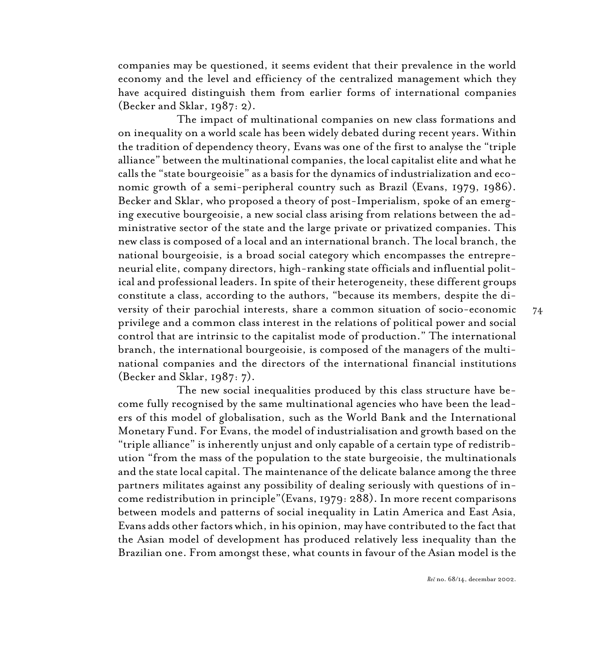companies may be questioned, it seems evident that their prevalence in the world economy and the level and efficiency of the centralized management which they have acquired distinguish them from earlier forms of international companies (Becker and Sklar, 1987: 2).

The impact of multinational companies on new class formations and on inequality on a world scale has been widely debated during recent years. Within the tradition of dependency theory, Evans was one of the first to analyse the "triple alliance" between the multinational companies, the local capitalist elite and what he calls the "state bourgeoisie" as a basis for the dynamics of industrialization and economic growth of a semi-peripheral country such as Brazil (Evans, 1979, 1986). Becker and Sklar, who proposed a theory of post-Imperialism, spoke of an emerging executive bourgeoisie, a new social class arising from relations between the administrative sector of the state and the large private or privatized companies. This new class is composed of a local and an international branch. The local branch, the national bourgeoisie, is a broad social category which encompasses the entrepreneurial elite, company directors, high-ranking state officials and influential political and professional leaders. In spite of their heterogeneity, these different groups constitute a class, according to the authors, "because its members, despite the diversity of their parochial interests, share a common situation of socio-economic privilege and a common class interest in the relations of political power and social control that are intrinsic to the capitalist mode of production." The international branch, the international bourgeoisie, is composed of the managers of the multinational companies and the directors of the international financial institutions (Becker and Sklar, 1987: 7).

The new social inequalities produced by this class structure have become fully recognised by the same multinational agencies who have been the leaders of this model of globalisation, such as the World Bank and the International Monetary Fund. For Evans, the model of industrialisation and growth based on the "triple alliance" is inherently unjust and only capable of a certain type of redistribution "from the mass of the population to the state burgeoisie, the multinationals and the state local capital. The maintenance of the delicate balance among the three partners militates against any possibility of dealing seriously with questions of income redistribution in principle"(Evans, 1979: 288). In more recent comparisons between models and patterns of social inequality in Latin America and East Asia, Evans adds other factors which, in his opinion, may have contributed to the fact that the Asian model of development has produced relatively less inequality than the Brazilian one. From amongst these, what counts in favour of the Asian model is the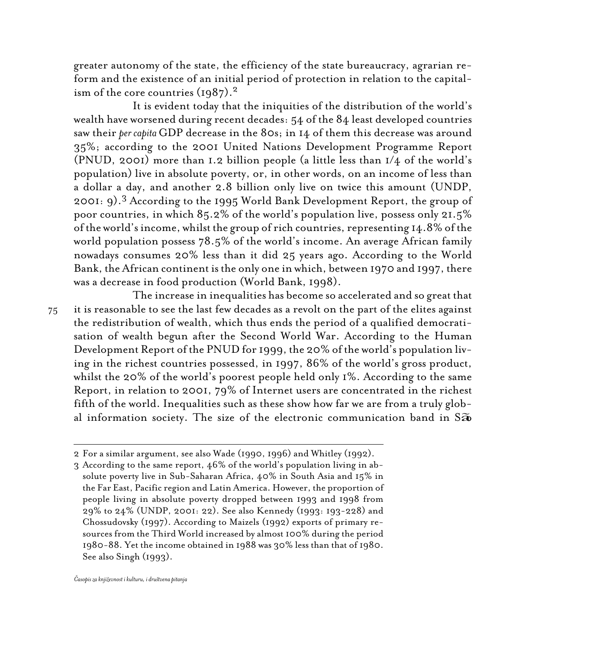greater autonomy of the state, the efficiency of the state bureaucracy, agrarian reform and the existence of an initial period of protection in relation to the capitalism of the core countries  $(1987).<sup>2</sup>$ 

It is evident today that the iniquities of the distribution of the world's wealth have worsened during recent decades: 54 of the 84 least developed countries saw their *per capita* GDP decrease in the 80s; in 14 of them this decrease was around 35%; according to the 2001 United Nations Development Programme Report (PNUD, 2001) more than 1.2 billion people (a little less than 1/4 of the world's population) live in absolute poverty, or, in other words, on an income of less than a dollar a day, and another 2.8 billion only live on twice this amount (UNDP, 2001: 9).3 According to the 1995 World Bank Development Report, the group of poor countries, in which 85.2% of the world's population live, possess only 21.5% of the world's income, whilst the group of rich countries, representing 14.8% of the world population possess 78.5% of the world's income. An average African family nowadays consumes 20% less than it did 25 years ago. According to the World Bank, the African continent is the only one in which, between 1970 and 1997, there was a decrease in food production (World Bank, 1998).

75

The increase in inequalities has become so accelerated and so great that it is reasonable to see the last few decades as a revolt on the part of the elites against the redistribution of wealth, which thus ends the period of a qualified democratisation of wealth begun after the Second World War. According to the Human Development Report of the PNUD for 1999, the 20% of the world's population living in the richest countries possessed, in 1997, 86% of the world's gross product, whilst the 20% of the world's poorest people held only 1%. According to the same Report, in relation to 2001, 79% of Internet users are concentrated in the richest fifth of the world. Inequalities such as these show how far we are from a truly global information society. The size of the electronic communication band in  $S\widetilde{\mathbf{a}}$ 

<sup>2</sup> For a similar argument, see also Wade (1990, 1996) and Whitley (1992).

<sup>3</sup> According to the same report, 46% of the world's population living in absolute poverty live in Sub-Saharan Africa, 40% in South Asia and 15% in the Far East, Pacific region and Latin America. However, the proportion of people living in absolute poverty dropped between 1993 and 1998 from 29% to 24% (UNDP, 2001: 22). See also Kennedy (1993: 193-228) and Chossudovsky (1997). According to Maizels (1992) exports of primary resources from the Third World increased by almost 100% during the period 1980-88. Yet the income obtained in 1988 was 30% less than that of 1980. See also Singh (1993).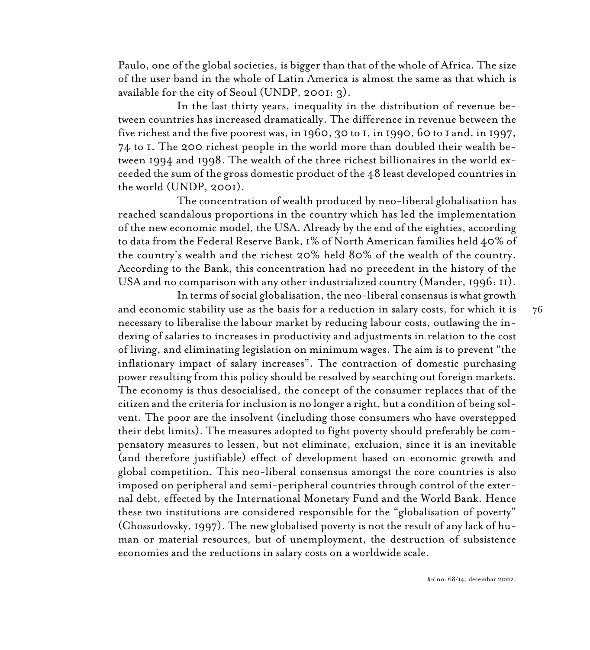Paulo, one of the global societies, is bigger than that of the whole of Africa. The size of the user band in the whole of Latin America is almost the same as that which is available for the city of Seoul (UNDP, 2001: 3).

In the last thirty years, inequality in the distribution of revenue between countries has increased dramatically. The difference in revenue between the five richest and the five poorest was, in 1960, 30 to 1, in 1990, 60 to 1 and, in 1997, 74 to 1. The 200 richest people in the world more than doubled their wealth between 1994 and 1998. The wealth of the three richest billionaires in the world exceeded the sum of the gross domestic product of the 48 least developed countries in the world (UNDP, 2001).

The concentration of wealth produced by neo-liberal globalisation has reached scandalous proportions in the country which has led the implementation of the new economic model, the USA. Already by the end of the eighties, according to data from the Federal Reserve Bank, 1% of North American families held 40% of the country's wealth and the richest 20% held 80% of the wealth of the country. According to the Bank, this concentration had no precedent in the history of the USA and no comparison with any other industrialized country (Mander, 1996: 11).

In terms of social globalisation, the neo-liberal consensus is what growth and economic stability use as the basis for a reduction in salary costs, for which it is necessary to liberalise the labour market by reducing labour costs, outlawing the indexing of salaries to increases in productivity and adjustments in relation to the cost of living, and eliminating legislation on minimum wages. The aim is to prevent "the inflationary impact of salary increases". The contraction of domestic purchasing power resulting from this policy should be resolved by searching out foreign markets. The economy is thus desocialised, the concept of the consumer replaces that of the citizen and the criteria for inclusion is no longer a right, but a condition of being solvent. The poor are the insolvent (including those consumers who have overstepped their debt limits). The measures adopted to fight poverty should preferably be compensatory measures to lessen, but not eliminate, exclusion, since it is an inevitable (and therefore justifiable) effect of development based on economic growth and global competition. This neo-liberal consensus amongst the core countries is also imposed on peripheral and semi-peripheral countries through control of the external debt, effected by the International Monetary Fund and the World Bank. Hence these two institutions are considered responsible for the "globalisation of poverty" (Chossudovsky, 1997). The new globalised poverty is not the result of any lack of human or material resources, but of unemployment, the destruction of subsistence economies and the reductions in salary costs on a worldwide scale.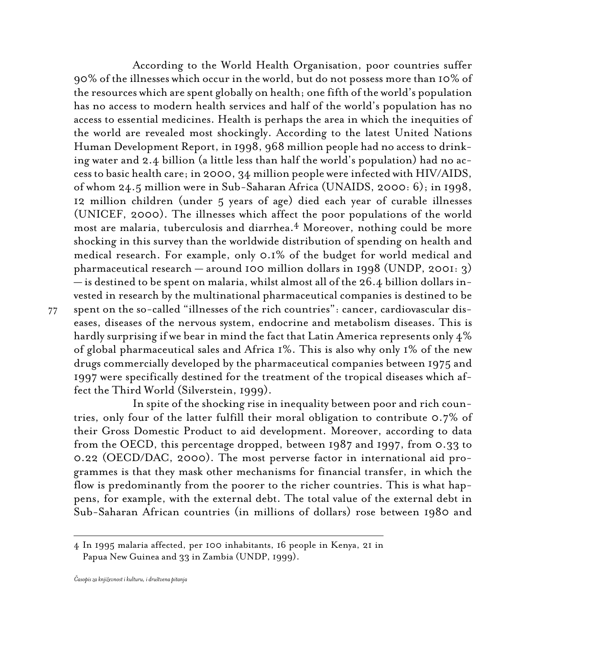According to the World Health Organisation, poor countries suffer 90% of the illnesses which occur in the world, but do not possess more than 10% of the resources which are spent globally on health; one fifth of the world's population has no access to modern health services and half of the world's population has no access to essential medicines. Health is perhaps the area in which the inequities of the world are revealed most shockingly. According to the latest United Nations Human Development Report, in 1998, 968 million people had no access to drinking water and 2.4 billion (a little less than half the world's population) had no access to basic health care; in 2000, 34 million people were infected with HIV/AIDS, of whom 24.5 million were in Sub-Saharan Africa (UNAIDS, 2000: 6); in 1998, 12 million children (under 5 years of age) died each year of curable illnesses (UNICEF, 2000). The illnesses which affect the poor populations of the world most are malaria, tuberculosis and diarrhea. $4$  Moreover, nothing could be more shocking in this survey than the worldwide distribution of spending on health and medical research. For example, only 0.1% of the budget for world medical and pharmaceutical research — around 100 million dollars in 1998 (UNDP, 2001: 3)  $-$  is destined to be spent on malaria, whilst almost all of the 26.4 billion dollars invested in research by the multinational pharmaceutical companies is destined to be spent on the so-called "illnesses of the rich countries": cancer, cardiovascular diseases, diseases of the nervous system, endocrine and metabolism diseases. This is hardly surprising if we bear in mind the fact that Latin America represents only 4% of global pharmaceutical sales and Africa 1%. This is also why only 1% of the new drugs commercially developed by the pharmaceutical companies between 1975 and 1997 were specifically destined for the treatment of the tropical diseases which affect the Third World (Silverstein, 1999).

In spite of the shocking rise in inequality between poor and rich countries, only four of the latter fulfill their moral obligation to contribute 0.7% of their Gross Domestic Product to aid development. Moreover, according to data from the OECD, this percentage dropped, between 1987 and 1997, from 0.33 to 0.22 (OECD/DAC, 2000). The most perverse factor in international aid programmes is that they mask other mechanisms for financial transfer, in which the flow is predominantly from the poorer to the richer countries. This is what happens, for example, with the external debt. The total value of the external debt in Sub-Saharan African countries (in millions of dollars) rose between 1980 and

<sup>4</sup> In 1995 malaria affected, per 100 inhabitants, 16 people in Kenya, 21 in Papua New Guinea and 33 in Zambia (UNDP, 1999).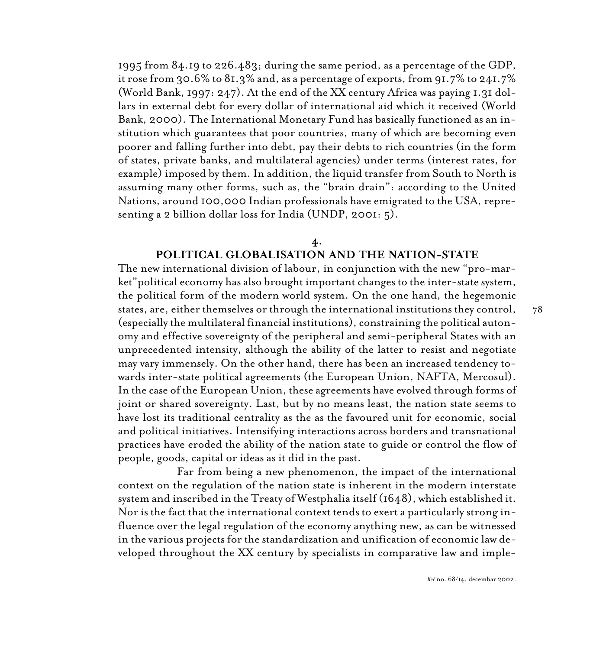1995 from 84.19 to 226.483; during the same period, as a percentage of the GDP, it rose from 30.6% to 81.3% and, as a percentage of exports, from 91.7% to 241.7% (World Bank, 1997: 247). At the end of the XX century Africa was paying 1.31 dollars in external debt for every dollar of international aid which it received (World Bank, 2000). The International Monetary Fund has basically functioned as an institution which guarantees that poor countries, many of which are becoming even poorer and falling further into debt, pay their debts to rich countries (in the form of states, private banks, and multilateral agencies) under terms (interest rates, for example) imposed by them. In addition, the liquid transfer from South to North is assuming many other forms, such as, the "brain drain": according to the United Nations, around 100,000 Indian professionals have emigrated to the USA, representing a 2 billion dollar loss for India (UNDP, 2001: 5).

### **4.**

### **POLITICAL GLOBALISATION AND THE NATION-STATE**

The new international division of labour, in conjunction with the new "pro-market"political economy has also brought important changes to the inter-state system, the political form of the modern world system. On the one hand, the hegemonic states, are, either themselves or through the international institutions they control, (especially the multilateral financial institutions), constraining the political autonomy and effective sovereignty of the peripheral and semi-peripheral States with an unprecedented intensity, although the ability of the latter to resist and negotiate may vary immensely. On the other hand, there has been an increased tendency towards inter-state political agreements (the European Union, NAFTA, Mercosul). In the case of the European Union, these agreements have evolved through forms of joint or shared sovereignty. Last, but by no means least, the nation state seems to have lost its traditional centrality as the as the favoured unit for economic, social and political initiatives. Intensifying interactions across borders and transnational practices have eroded the ability of the nation state to guide or control the flow of people, goods, capital or ideas as it did in the past.

Far from being a new phenomenon, the impact of the international context on the regulation of the nation state is inherent in the modern interstate system and inscribed in the Treaty of Westphalia itself (1648), which established it. Nor is the fact that the international context tends to exert a particularly strong influence over the legal regulation of the economy anything new, as can be witnessed in the various projects for the standardization and unification of economic law developed throughout the XX century by specialists in comparative law and imple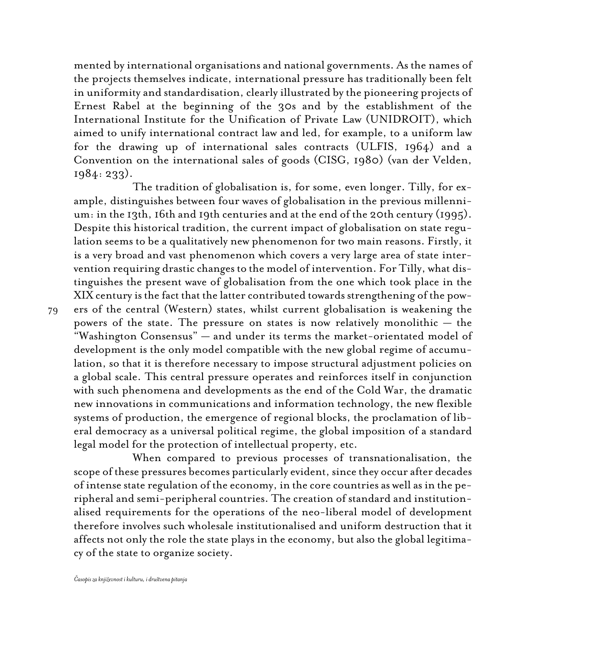mented by international organisations and national governments. As the names of the projects themselves indicate, international pressure has traditionally been felt in uniformity and standardisation, clearly illustrated by the pioneering projects of Ernest Rabel at the beginning of the 30s and by the establishment of the International Institute for the Unification of Private Law (UNIDROIT), which aimed to unify international contract law and led, for example, to a uniform law for the drawing up of international sales contracts (ULFIS, 1964) and a Convention on the international sales of goods (CISG, 1980) (van der Velden, 1984: 233).

The tradition of globalisation is, for some, even longer. Tilly, for example, distinguishes between four waves of globalisation in the previous millennium: in the 13th, 16th and 19th centuries and at the end of the 20th century (1995). Despite this historical tradition, the current impact of globalisation on state regulation seems to be a qualitatively new phenomenon for two main reasons. Firstly, it is a very broad and vast phenomenon which covers a very large area of state intervention requiring drastic changes to the model of intervention. For Tilly, what distinguishes the present wave of globalisation from the one which took place in the XIX century is the fact that the latter contributed towards strengthening of the powers of the central (Western) states, whilst current globalisation is weakening the powers of the state. The pressure on states is now relatively monolithic — the "Washington Consensus" — and under its terms the market-orientated model of development is the only model compatible with the new global regime of accumulation, so that it is therefore necessary to impose structural adjustment policies on a global scale. This central pressure operates and reinforces itself in conjunction with such phenomena and developments as the end of the Cold War, the dramatic new innovations in communications and information technology, the new flexible systems of production, the emergence of regional blocks, the proclamation of liberal democracy as a universal political regime, the global imposition of a standard legal model for the protection of intellectual property, etc.

When compared to previous processes of transnationalisation, the scope of these pressures becomes particularly evident, since they occur after decades of intense state regulation of the economy, in the core countries as well as in the peripheral and semi-peripheral countries. The creation of standard and institutionalised requirements for the operations of the neo-liberal model of development therefore involves such wholesale institutionalised and uniform destruction that it affects not only the role the state plays in the economy, but also the global legitimacy of the state to organize society.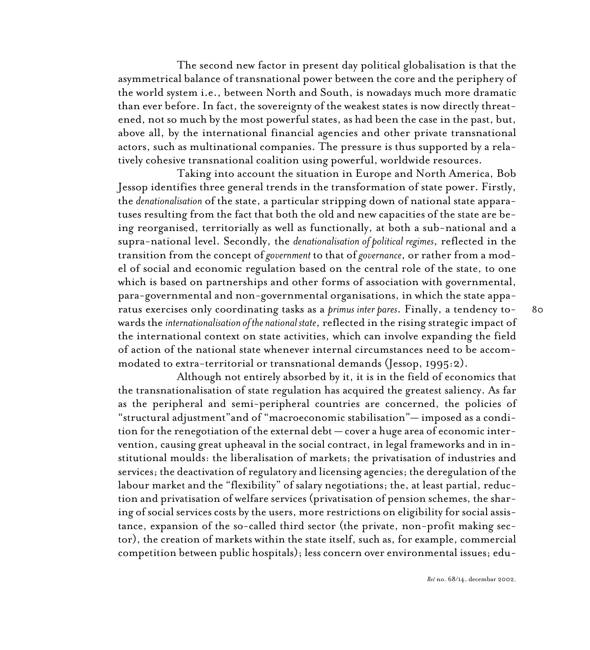The second new factor in present day political globalisation is that the asymmetrical balance of transnational power between the core and the periphery of the world system i.e., between North and South, is nowadays much more dramatic than ever before. In fact, the sovereignty of the weakest states is now directly threatened, not so much by the most powerful states, as had been the case in the past, but, above all, by the international financial agencies and other private transnational actors, such as multinational companies. The pressure is thus supported by a relatively cohesive transnational coalition using powerful, worldwide resources.

Taking into account the situation in Europe and North America, Bob Jessop identifies three general trends in the transformation of state power. Firstly, the *denationalisation* of the state, a particular stripping down of national state apparatuses resulting from the fact that both the old and new capacities of the state are being reorganised, territorially as well as functionally, at both a sub-national and a supra-national level. Secondly, the *denationalisation of political regimes*, reflected in the transition from the concept of *government* to that of *governance*, or rather from a model of social and economic regulation based on the central role of the state, to one which is based on partnerships and other forms of association with governmental, para-governmental and non-governmental organisations, in which the state apparatus exercises only coordinating tasks as a *primus inter pares*. Finally, a tendency towards the *internationalisation of the national state*, reflected in the rising strategic impact of the international context on state activities, which can involve expanding the field of action of the national state whenever internal circumstances need to be accommodated to extra-territorial or transnational demands (Jessop, 1995:2).

Although not entirely absorbed by it, it is in the field of economics that the transnationalisation of state regulation has acquired the greatest saliency. As far as the peripheral and semi-peripheral countries are concerned, the policies of "structural adjustment"and of "macroeconomic stabilisation"— imposed as a condition for the renegotiation of the external debt — cover a huge area of economic intervention, causing great upheaval in the social contract, in legal frameworks and in institutional moulds: the liberalisation of markets; the privatisation of industries and services; the deactivation of regulatory and licensing agencies; the deregulation of the labour market and the "flexibility" of salary negotiations; the, at least partial, reduction and privatisation of welfare services (privatisation of pension schemes, the sharing of social services costs by the users, more restrictions on eligibility for social assistance, expansion of the so-called third sector (the private, non-profit making sector), the creation of markets within the state itself, such as, for example, commercial competition between public hospitals); less concern over environmental issues; edu-

*Reč* no. 68/14, decembar 2002.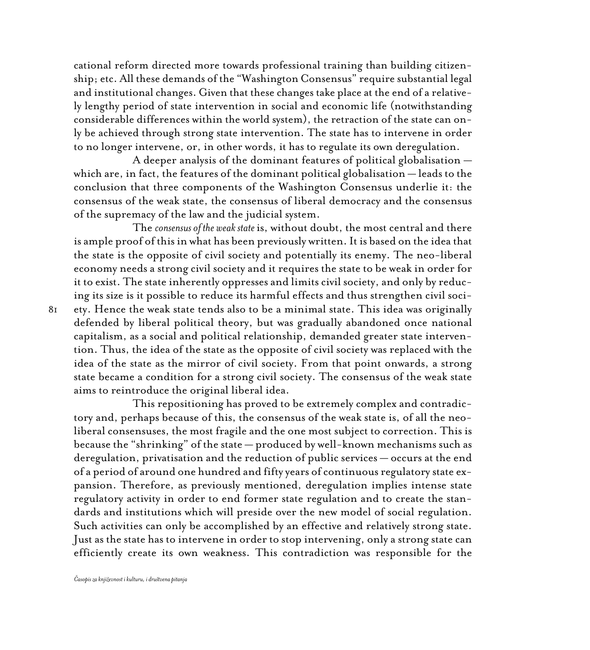cational reform directed more towards professional training than building citizenship; etc. All these demands of the "Washington Consensus" require substantial legal and institutional changes. Given that these changes take place at the end of a relatively lengthy period of state intervention in social and economic life (notwithstanding considerable differences within the world system), the retraction of the state can only be achieved through strong state intervention. The state has to intervene in order to no longer intervene, or, in other words, it has to regulate its own deregulation.

A deeper analysis of the dominant features of political globalisation which are, in fact, the features of the dominant political globalisation — leads to the conclusion that three components of the Washington Consensus underlie it: the consensus of the weak state, the consensus of liberal democracy and the consensus of the supremacy of the law and the judicial system.

The *consensus of the weak state* is, without doubt, the most central and there is ample proof of this in what has been previously written. It is based on the idea that the state is the opposite of civil society and potentially its enemy. The neo-liberal economy needs a strong civil society and it requires the state to be weak in order for it to exist. The state inherently oppresses and limits civil society, and only by reducing its size is it possible to reduce its harmful effects and thus strengthen civil society. Hence the weak state tends also to be a minimal state. This idea was originally defended by liberal political theory, but was gradually abandoned once national capitalism, as a social and political relationship, demanded greater state intervention. Thus, the idea of the state as the opposite of civil society was replaced with the idea of the state as the mirror of civil society. From that point onwards, a strong state became a condition for a strong civil society. The consensus of the weak state aims to reintroduce the original liberal idea.

This repositioning has proved to be extremely complex and contradictory and, perhaps because of this, the consensus of the weak state is, of all the neoliberal consensuses, the most fragile and the one most subject to correction. This is because the "shrinking" of the state — produced by well-known mechanisms such as deregulation, privatisation and the reduction of public services — occurs at the end of a period of around one hundred and fifty years of continuous regulatory state expansion. Therefore, as previously mentioned, deregulation implies intense state regulatory activity in order to end former state regulation and to create the standards and institutions which will preside over the new model of social regulation. Such activities can only be accomplished by an effective and relatively strong state. Just as the state has to intervene in order to stop intervening, only a strong state can efficiently create its own weakness. This contradiction was responsible for the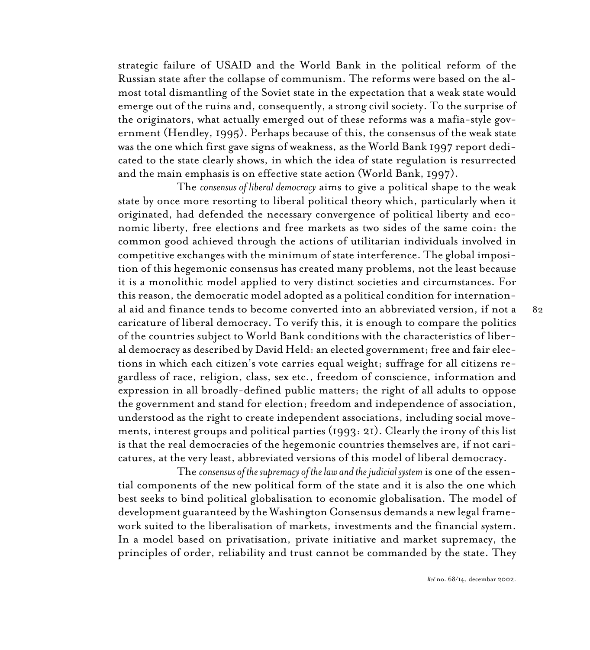strategic failure of USAID and the World Bank in the political reform of the Russian state after the collapse of communism. The reforms were based on the almost total dismantling of the Soviet state in the expectation that a weak state would emerge out of the ruins and, consequently, a strong civil society. To the surprise of the originators, what actually emerged out of these reforms was a mafia-style government (Hendley, 1995). Perhaps because of this, the consensus of the weak state was the one which first gave signs of weakness, as the World Bank 1997 report dedicated to the state clearly shows, in which the idea of state regulation is resurrected and the main emphasis is on effective state action (World Bank, 1997).

The *consensus of liberal democracy* aims to give a political shape to the weak state by once more resorting to liberal political theory which, particularly when it originated, had defended the necessary convergence of political liberty and economic liberty, free elections and free markets as two sides of the same coin: the common good achieved through the actions of utilitarian individuals involved in competitive exchanges with the minimum of state interference. The global imposition of this hegemonic consensus has created many problems, not the least because it is a monolithic model applied to very distinct societies and circumstances. For this reason, the democratic model adopted as a political condition for international aid and finance tends to become converted into an abbreviated version, if not a caricature of liberal democracy. To verify this, it is enough to compare the politics of the countries subject to World Bank conditions with the characteristics of liberal democracy as described by David Held: an elected government; free and fair elections in which each citizen's vote carries equal weight; suffrage for all citizens regardless of race, religion, class, sex etc., freedom of conscience, information and expression in all broadly-defined public matters; the right of all adults to oppose the government and stand for election; freedom and independence of association, understood as the right to create independent associations, including social movements, interest groups and political parties (1993: 21). Clearly the irony of this list is that the real democracies of the hegemonic countries themselves are, if not caricatures, at the very least, abbreviated versions of this model of liberal democracy.

The *consensus of the supremacy of the law and the judicial system* is one of the essential components of the new political form of the state and it is also the one which best seeks to bind political globalisation to economic globalisation. The model of development guaranteed by the Washington Consensus demands a new legal framework suited to the liberalisation of markets, investments and the financial system. In a model based on privatisation, private initiative and market supremacy, the principles of order, reliability and trust cannot be commanded by the state. They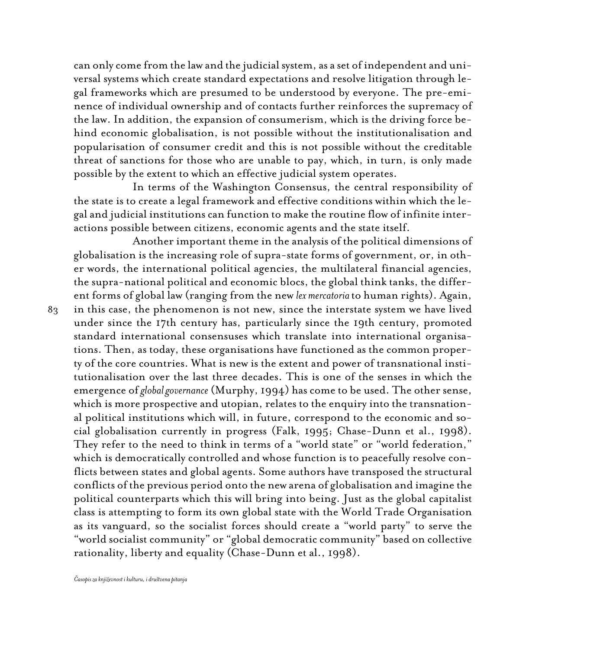can only come from the law and the judicial system, as a set of independent and universal systems which create standard expectations and resolve litigation through legal frameworks which are presumed to be understood by everyone. The pre-eminence of individual ownership and of contacts further reinforces the supremacy of the law. In addition, the expansion of consumerism, which is the driving force behind economic globalisation, is not possible without the institutionalisation and popularisation of consumer credit and this is not possible without the creditable threat of sanctions for those who are unable to pay, which, in turn, is only made possible by the extent to which an effective judicial system operates.

In terms of the Washington Consensus, the central responsibility of the state is to create a legal framework and effective conditions within which the legal and judicial institutions can function to make the routine flow of infinite interactions possible between citizens, economic agents and the state itself.

Another important theme in the analysis of the political dimensions of globalisation is the increasing role of supra-state forms of government, or, in other words, the international political agencies, the multilateral financial agencies, the supra-national political and economic blocs, the global think tanks, the different forms of global law (ranging from the new *lex mercatoria* to human rights). Again, in this case, the phenomenon is not new, since the interstate system we have lived under since the 17th century has, particularly since the 19th century, promoted standard international consensuses which translate into international organisations. Then, as today, these organisations have functioned as the common property of the core countries. What is new is the extent and power of transnational institutionalisation over the last three decades. This is one of the senses in which the emergence of *global governance* (Murphy, 1994) has come to be used. The other sense, which is more prospective and utopian, relates to the enquiry into the transnational political institutions which will, in future, correspond to the economic and social globalisation currently in progress (Falk, 1995; Chase-Dunn et al., 1998). They refer to the need to think in terms of a "world state" or "world federation," which is democratically controlled and whose function is to peacefully resolve conflicts between states and global agents. Some authors have transposed the structural conflicts of the previous period onto the new arena of globalisation and imagine the political counterparts which this will bring into being. Just as the global capitalist class is attempting to form its own global state with the World Trade Organisation as its vanguard, so the socialist forces should create a "world party" to serve the "world socialist community" or "global democratic community" based on collective rationality, liberty and equality (Chase-Dunn et al., 1998).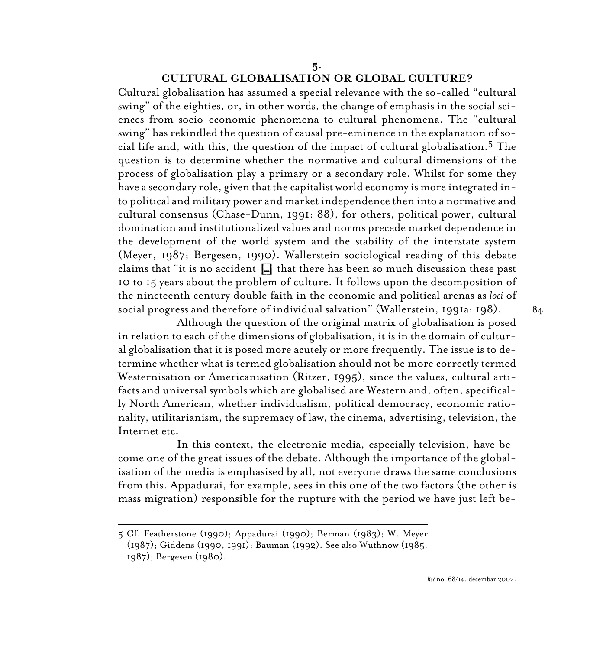**5.**

### **CULTURAL GLOBALISATION OR GLOBAL CULTURE?**

Cultural globalisation has assumed a special relevance with the so-called "cultural swing" of the eighties, or, in other words, the change of emphasis in the social sciences from socio-economic phenomena to cultural phenomena. The "cultural swing" has rekindled the question of causal pre-eminence in the explanation of social life and, with this, the question of the impact of cultural globalisation.<sup>5</sup> The question is to determine whether the normative and cultural dimensions of the process of globalisation play a primary or a secondary role. Whilst for some they have a secondary role, given that the capitalist world economy is more integrated into political and military power and market independence then into a normative and cultural consensus (Chase-Dunn, 1991: 88), for others, political power, cultural domination and institutionalized values and norms precede market dependence in the development of the world system and the stability of the interstate system (Meyer, 1987; Bergesen, 1990). Wallerstein sociological reading of this debate claims that "it is no accident  $\Box$  that there has been so much discussion these past 10 to 15 years about the problem of culture. It follows upon the decomposition of the nineteenth century double faith in the economic and political arenas as *loci* of social progress and therefore of individual salvation" (Wallerstein, 1991a: 198).

Although the question of the original matrix of globalisation is posed in relation to each of the dimensions of globalisation, it is in the domain of cultural globalisation that it is posed more acutely or more frequently. The issue is to determine whether what is termed globalisation should not be more correctly termed Westernisation or Americanisation (Ritzer, 1995), since the values, cultural artifacts and universal symbols which are globalised are Western and, often, specifically North American, whether individualism, political democracy, economic rationality, utilitarianism, the supremacy of law, the cinema, advertising, television, the Internet etc.

In this context, the electronic media, especially television, have become one of the great issues of the debate. Although the importance of the globalisation of the media is emphasised by all, not everyone draws the same conclusions from this. Appadurai, for example, sees in this one of the two factors (the other is mass migration) responsible for the rupture with the period we have just left be-

<sup>5</sup> Cf. Featherstone (1990); Appadurai (1990); Berman (1983); W. Meyer (1987); Giddens (1990, 1991); Bauman (1992). See also Wuthnow (1985, 1987); Bergesen (1980).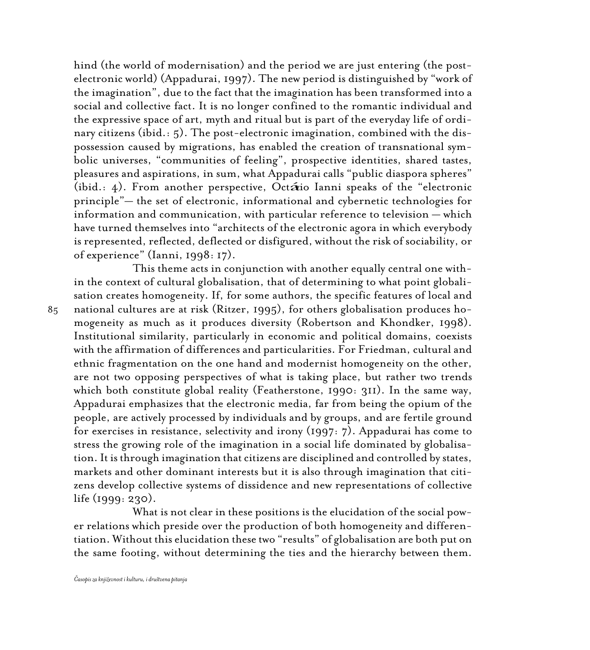hind (the world of modernisation) and the period we are just entering (the postelectronic world) (Appadurai, 1997). The new period is distinguished by "work of the imagination", due to the fact that the imagination has been transformed into a social and collective fact. It is no longer confined to the romantic individual and the expressive space of art, myth and ritual but is part of the everyday life of ordinary citizens (ibid.: 5). The post-electronic imagination, combined with the dispossession caused by migrations, has enabled the creation of transnational symbolic universes, "communities of feeling", prospective identities, shared tastes, pleasures and aspirations, in sum, what Appadurai calls "public diaspora spheres" (ibid.: 4). From another perspective, Octaio Ianni speaks of the "electronic" principle"— the set of electronic, informational and cybernetic technologies for information and communication, with particular reference to television — which have turned themselves into "architects of the electronic agora in which everybody is represented, reflected, deflected or disfigured, without the risk of sociability, or of experience" (Ianni, 1998: 17).

85

This theme acts in conjunction with another equally central one within the context of cultural globalisation, that of determining to what point globalisation creates homogeneity. If, for some authors, the specific features of local and national cultures are at risk (Ritzer, 1995), for others globalisation produces homogeneity as much as it produces diversity (Robertson and Khondker, 1998). Institutional similarity, particularly in economic and political domains, coexists with the affirmation of differences and particularities. For Friedman, cultural and ethnic fragmentation on the one hand and modernist homogeneity on the other, are not two opposing perspectives of what is taking place, but rather two trends which both constitute global reality (Featherstone, 1990: 311). In the same way, Appadurai emphasizes that the electronic media, far from being the opium of the people, are actively processed by individuals and by groups, and are fertile ground for exercises in resistance, selectivity and irony (1997: 7). Appadurai has come to stress the growing role of the imagination in a social life dominated by globalisation. It is through imagination that citizens are disciplined and controlled by states, markets and other dominant interests but it is also through imagination that citizens develop collective systems of dissidence and new representations of collective life (1999: 230).

What is not clear in these positions is the elucidation of the social power relations which preside over the production of both homogeneity and differentiation. Without this elucidation these two "results" of globalisation are both put on the same footing, without determining the ties and the hierarchy between them.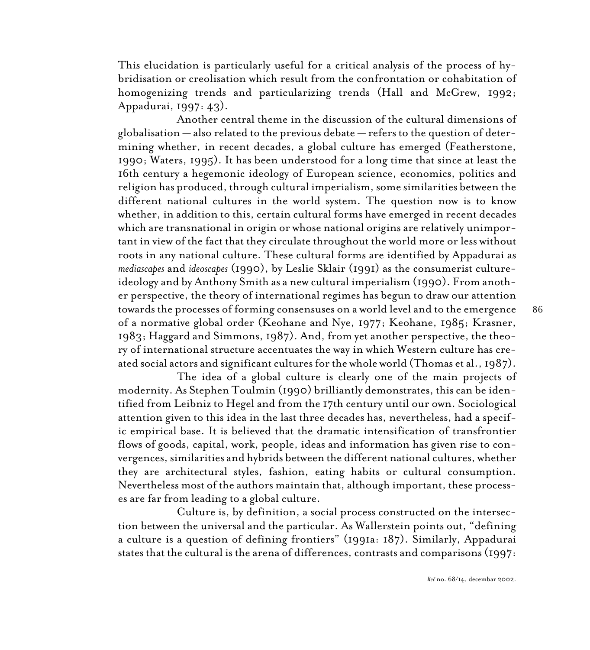This elucidation is particularly useful for a critical analysis of the process of hybridisation or creolisation which result from the confrontation or cohabitation of homogenizing trends and particularizing trends (Hall and McGrew, 1992; Appadurai, 1997: 43).

Another central theme in the discussion of the cultural dimensions of globalisation — also related to the previous debate — refers to the question of determining whether, in recent decades, a global culture has emerged (Featherstone, 1990; Waters, 1995). It has been understood for a long time that since at least the 16th century a hegemonic ideology of European science, economics, politics and religion has produced, through cultural imperialism, some similarities between the different national cultures in the world system. The question now is to know whether, in addition to this, certain cultural forms have emerged in recent decades which are transnational in origin or whose national origins are relatively unimportant in view of the fact that they circulate throughout the world more or less without roots in any national culture. These cultural forms are identified by Appadurai as *mediascapes* and *ideoscapes* (1990), by Leslie Sklair (1991) as the consumerist cultureideology and by Anthony Smith as a new cultural imperialism (1990). From another perspective, the theory of international regimes has begun to draw our attention towards the processes of forming consensuses on a world level and to the emergence of a normative global order (Keohane and Nye, 1977; Keohane, 1985; Krasner, 1983; Haggard and Simmons, 1987). And, from yet another perspective, the theory of international structure accentuates the way in which Western culture has created social actors and significant cultures for the whole world (Thomas et al., 1987).

The idea of a global culture is clearly one of the main projects of modernity. As Stephen Toulmin (1990) brilliantly demonstrates, this can be identified from Leibniz to Hegel and from the 17th century until our own. Sociological attention given to this idea in the last three decades has, nevertheless, had a specific empirical base. It is believed that the dramatic intensification of transfrontier flows of goods, capital, work, people, ideas and information has given rise to convergences, similarities and hybrids between the different national cultures, whether they are architectural styles, fashion, eating habits or cultural consumption. Nevertheless most of the authors maintain that, although important, these processes are far from leading to a global culture.

Culture is, by definition, a social process constructed on the intersection between the universal and the particular. As Wallerstein points out, "defining a culture is a question of defining frontiers" (1991a: 187). Similarly, Appadurai states that the cultural is the arena of differences, contrasts and comparisons (1997: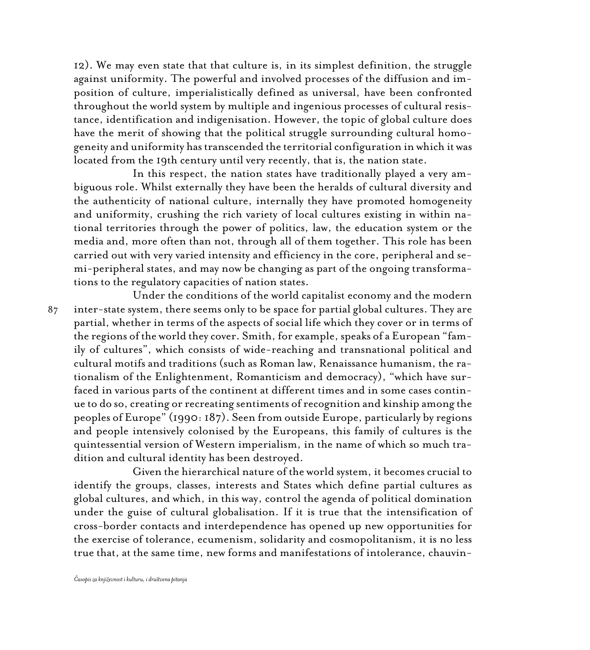12). We may even state that that culture is, in its simplest definition, the struggle against uniformity. The powerful and involved processes of the diffusion and imposition of culture, imperialistically defined as universal, have been confronted throughout the world system by multiple and ingenious processes of cultural resistance, identification and indigenisation. However, the topic of global culture does have the merit of showing that the political struggle surrounding cultural homogeneity and uniformity has transcended the territorial configuration in which it was located from the 19th century until very recently, that is, the nation state.

In this respect, the nation states have traditionally played a very ambiguous role. Whilst externally they have been the heralds of cultural diversity and the authenticity of national culture, internally they have promoted homogeneity and uniformity, crushing the rich variety of local cultures existing in within national territories through the power of politics, law, the education system or the media and, more often than not, through all of them together. This role has been carried out with very varied intensity and efficiency in the core, peripheral and semi-peripheral states, and may now be changing as part of the ongoing transformations to the regulatory capacities of nation states.

Under the conditions of the world capitalist economy and the modern inter-state system, there seems only to be space for partial global cultures. They are partial, whether in terms of the aspects of social life which they cover or in terms of the regions of the world they cover. Smith, for example, speaks of a European "family of cultures", which consists of wide-reaching and transnational political and cultural motifs and traditions (such as Roman law, Renaissance humanism, the rationalism of the Enlightenment, Romanticism and democracy), "which have surfaced in various parts of the continent at different times and in some cases continue to do so, creating or recreating sentiments of recognition and kinship among the peoples of Europe" (1990: 187). Seen from outside Europe, particularly by regions and people intensively colonised by the Europeans, this family of cultures is the quintessential version of Western imperialism, in the name of which so much tradition and cultural identity has been destroyed. 87

Given the hierarchical nature of the world system, it becomes crucial to identify the groups, classes, interests and States which define partial cultures as global cultures, and which, in this way, control the agenda of political domination under the guise of cultural globalisation. If it is true that the intensification of cross-border contacts and interdependence has opened up new opportunities for the exercise of tolerance, ecumenism, solidarity and cosmopolitanism, it is no less true that, at the same time, new forms and manifestations of intolerance, chauvin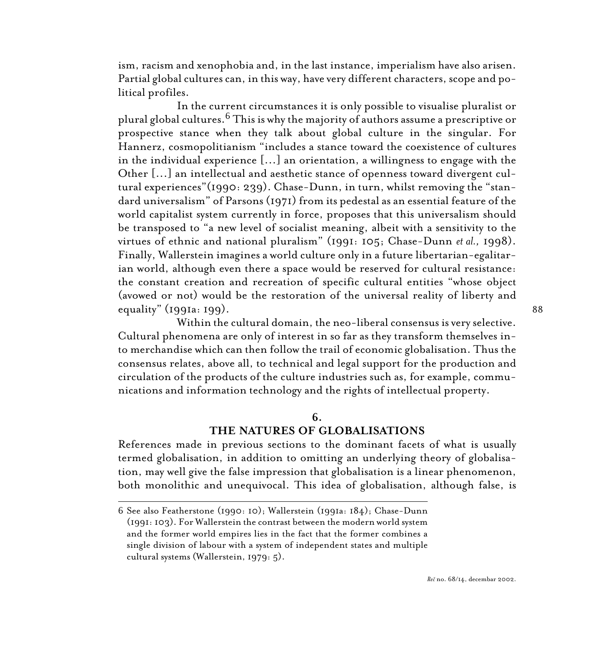ism, racism and xenophobia and, in the last instance, imperialism have also arisen. Partial global cultures can, in this way, have very different characters, scope and political profiles.

In the current circumstances it is only possible to visualise pluralist or plural global cultures.  $^6$  This is why the majority of authors assume a prescriptive or prospective stance when they talk about global culture in the singular. For Hannerz, cosmopolitianism "includes a stance toward the coexistence of cultures in the individual experience  $[...]$  an orientation, a willingness to engage with the Other [...] an intellectual and aesthetic stance of openness toward divergent cultural experiences"(1990: 239). Chase-Dunn, in turn, whilst removing the "standard universalism" of Parsons (1971) from its pedestal as an essential feature of the world capitalist system currently in force, proposes that this universalism should be transposed to "a new level of socialist meaning, albeit with a sensitivity to the virtues of ethnic and national pluralism" (1991: 105; Chase-Dunn *et al.,* 1998). Finally, Wallerstein imagines a world culture only in a future libertarian-egalitarian world, although even there a space would be reserved for cultural resistance: the constant creation and recreation of specific cultural entities "whose object (avowed or not) would be the restoration of the universal reality of liberty and equality" (1991a: 199).

Within the cultural domain, the neo-liberal consensus is very selective. Cultural phenomena are only of interest in so far as they transform themselves into merchandise which can then follow the trail of economic globalisation. Thus the consensus relates, above all, to technical and legal support for the production and circulation of the products of the culture industries such as, for example, communications and information technology and the rights of intellectual property.

## **6.**

# **THE NATURES OF GLOBALISATIONS**

References made in previous sections to the dominant facets of what is usually termed globalisation, in addition to omitting an underlying theory of globalisation, may well give the false impression that globalisation is a linear phenomenon, both monolithic and unequivocal. This idea of globalisation, although false, is

<sup>6</sup> See also Featherstone (1990: 10); Wallerstein (1991a: 184); Chase-Dunn (1991: 103). For Wallerstein the contrast between the modern world system and the former world empires lies in the fact that the former combines a single division of labour with a system of independent states and multiple cultural systems (Wallerstein, 1979: 5).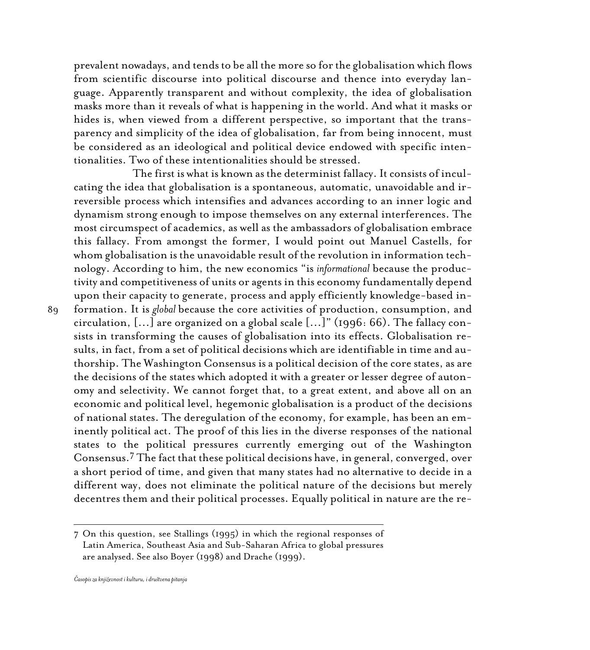prevalent nowadays, and tends to be all the more so for the globalisation which flows from scientific discourse into political discourse and thence into everyday language. Apparently transparent and without complexity, the idea of globalisation masks more than it reveals of what is happening in the world. And what it masks or hides is, when viewed from a different perspective, so important that the transparency and simplicity of the idea of globalisation, far from being innocent, must be considered as an ideological and political device endowed with specific intentionalities. Two of these intentionalities should be stressed.

The first is what is known as the determinist fallacy. It consists of inculcating the idea that globalisation is a spontaneous, automatic, unavoidable and irreversible process which intensifies and advances according to an inner logic and dynamism strong enough to impose themselves on any external interferences. The most circumspect of academics, as well as the ambassadors of globalisation embrace this fallacy. From amongst the former, I would point out Manuel Castells, for whom globalisation is the unavoidable result of the revolution in information technology. According to him, the new economics "is *informational* because the productivity and competitiveness of units or agents in this economy fundamentally depend upon their capacity to generate, process and apply efficiently knowledge-based information. It is *global* because the core activities of production, consumption, and circulation,  $[...]$  are organized on a global scale  $[...]$ " (1996: 66). The fallacy consists in transforming the causes of globalisation into its effects. Globalisation results, in fact, from a set of political decisions which are identifiable in time and authorship. The Washington Consensus is a political decision of the core states, as are the decisions of the states which adopted it with a greater or lesser degree of autonomy and selectivity. We cannot forget that, to a great extent, and above all on an economic and political level, hegemonic globalisation is a product of the decisions of national states. The deregulation of the economy, for example, has been an eminently political act. The proof of this lies in the diverse responses of the national states to the political pressures currently emerging out of the Washington Consensus.7 The fact that these political decisions have, in general, converged, over a short period of time, and given that many states had no alternative to decide in a different way, does not eliminate the political nature of the decisions but merely decentres them and their political processes. Equally political in nature are the re-

<sup>7</sup> On this question, see Stallings (1995) in which the regional responses of Latin America, Southeast Asia and Sub-Saharan Africa to global pressures are analysed. See also Boyer (1998) and Drache (1999).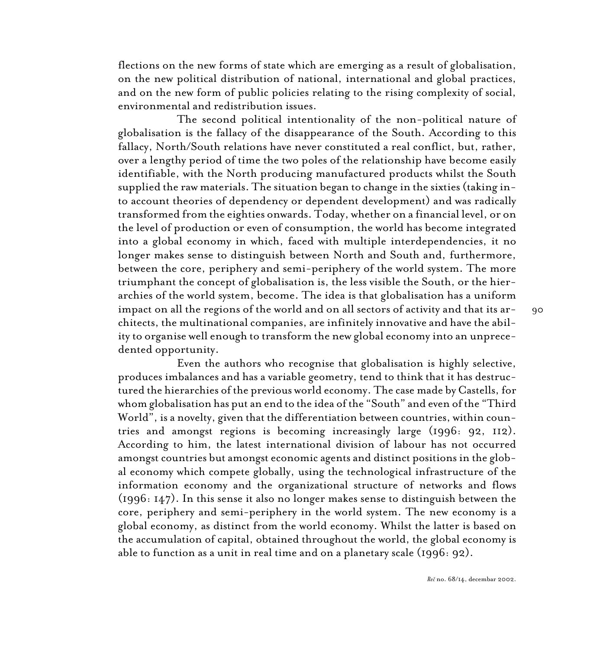flections on the new forms of state which are emerging as a result of globalisation, on the new political distribution of national, international and global practices, and on the new form of public policies relating to the rising complexity of social, environmental and redistribution issues.

The second political intentionality of the non-political nature of globalisation is the fallacy of the disappearance of the South. According to this fallacy, North/South relations have never constituted a real conflict, but, rather, over a lengthy period of time the two poles of the relationship have become easily identifiable, with the North producing manufactured products whilst the South supplied the raw materials. The situation began to change in the sixties (taking into account theories of dependency or dependent development) and was radically transformed from the eighties onwards. Today, whether on a financial level, or on the level of production or even of consumption, the world has become integrated into a global economy in which, faced with multiple interdependencies, it no longer makes sense to distinguish between North and South and, furthermore, between the core, periphery and semi-periphery of the world system. The more triumphant the concept of globalisation is, the less visible the South, or the hierarchies of the world system, become. The idea is that globalisation has a uniform impact on all the regions of the world and on all sectors of activity and that its architects, the multinational companies, are infinitely innovative and have the ability to organise well enough to transform the new global economy into an unprecedented opportunity.

Even the authors who recognise that globalisation is highly selective, produces imbalances and has a variable geometry, tend to think that it has destructured the hierarchies of the previous world economy. The case made by Castells, for whom globalisation has put an end to the idea of the "South" and even of the "Third World", is a novelty, given that the differentiation between countries, within countries and amongst regions is becoming increasingly large (1996: 92, 112). According to him, the latest international division of labour has not occurred amongst countries but amongst economic agents and distinct positions in the global economy which compete globally, using the technological infrastructure of the information economy and the organizational structure of networks and flows (1996: 147). In this sense it also no longer makes sense to distinguish between the core, periphery and semi-periphery in the world system. The new economy is a global economy, as distinct from the world economy. Whilst the latter is based on the accumulation of capital, obtained throughout the world, the global economy is able to function as a unit in real time and on a planetary scale (1996: 92).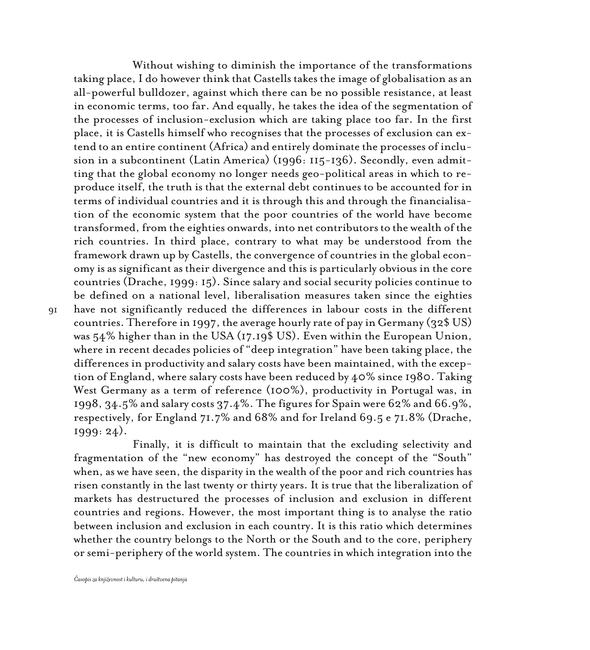Without wishing to diminish the importance of the transformations taking place, I do however think that Castells takes the image of globalisation as an all-powerful bulldozer, against which there can be no possible resistance, at least in economic terms, too far. And equally, he takes the idea of the segmentation of the processes of inclusion-exclusion which are taking place too far. In the first place, it is Castells himself who recognises that the processes of exclusion can extend to an entire continent (Africa) and entirely dominate the processes of inclusion in a subcontinent (Latin America) (1996: 115-136). Secondly, even admitting that the global economy no longer needs geo-political areas in which to reproduce itself, the truth is that the external debt continues to be accounted for in terms of individual countries and it is through this and through the financialisation of the economic system that the poor countries of the world have become transformed, from the eighties onwards, into net contributors to the wealth of the rich countries. In third place, contrary to what may be understood from the framework drawn up by Castells, the convergence of countries in the global economy is as significant as their divergence and this is particularly obvious in the core countries (Drache, 1999: 15). Since salary and social security policies continue to be defined on a national level, liberalisation measures taken since the eighties have not significantly reduced the differences in labour costs in the different countries. Therefore in 1997, the average hourly rate of pay in Germany (32\$ US) was 54% higher than in the USA (17.19\$ US). Even within the European Union, where in recent decades policies of "deep integration" have been taking place, the differences in productivity and salary costs have been maintained, with the exception of England, where salary costs have been reduced by 40% since 1980. Taking West Germany as a term of reference (100%), productivity in Portugal was, in 1998, 34.5% and salary costs 37.4%. The figures for Spain were 62% and 66.9%, respectively, for England 71.7% and 68% and for Ireland 69.5 e 71.8% (Drache, 1999: 24).

Finally, it is difficult to maintain that the excluding selectivity and fragmentation of the "new economy" has destroyed the concept of the "South" when, as we have seen, the disparity in the wealth of the poor and rich countries has risen constantly in the last twenty or thirty years. It is true that the liberalization of markets has destructured the processes of inclusion and exclusion in different countries and regions. However, the most important thing is to analyse the ratio between inclusion and exclusion in each country. It is this ratio which determines whether the country belongs to the North or the South and to the core, periphery or semi-periphery of the world system. The countries in which integration into the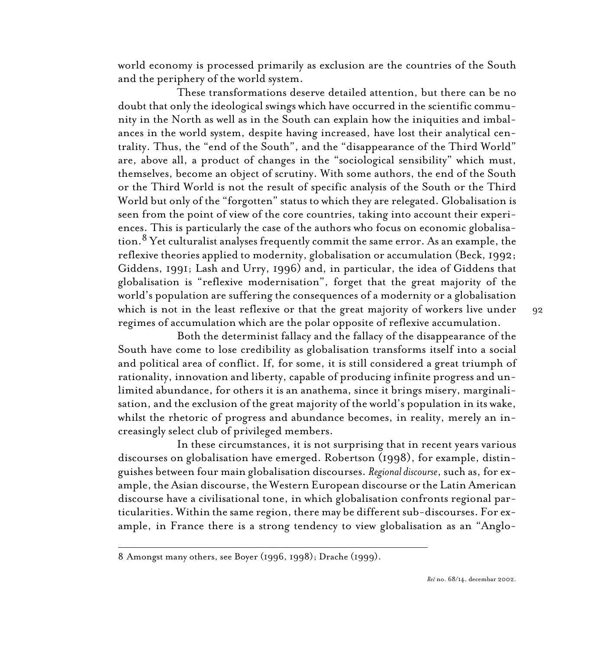world economy is processed primarily as exclusion are the countries of the South and the periphery of the world system.

These transformations deserve detailed attention, but there can be no doubt that only the ideological swings which have occurred in the scientific community in the North as well as in the South can explain how the iniquities and imbalances in the world system, despite having increased, have lost their analytical centrality. Thus, the "end of the South", and the "disappearance of the Third World" are, above all, a product of changes in the "sociological sensibility" which must, themselves, become an object of scrutiny. With some authors, the end of the South or the Third World is not the result of specific analysis of the South or the Third World but only of the "forgotten" status to which they are relegated. Globalisation is seen from the point of view of the core countries, taking into account their experiences. This is particularly the case of the authors who focus on economic globalisation.<sup>8</sup> Yet culturalist analyses frequently commit the same error. As an example, the reflexive theories applied to modernity, globalisation or accumulation (Beck, 1992; Giddens, 1991; Lash and Urry, 1996) and, in particular, the idea of Giddens that globalisation is "reflexive modernisation", forget that the great majority of the world's population are suffering the consequences of a modernity or a globalisation which is not in the least reflexive or that the great majority of workers live under regimes of accumulation which are the polar opposite of reflexive accumulation.

Both the determinist fallacy and the fallacy of the disappearance of the South have come to lose credibility as globalisation transforms itself into a social and political area of conflict. If, for some, it is still considered a great triumph of rationality, innovation and liberty, capable of producing infinite progress and unlimited abundance, for others it is an anathema, since it brings misery, marginalisation, and the exclusion of the great majority of the world's population in its wake, whilst the rhetoric of progress and abundance becomes, in reality, merely an increasingly select club of privileged members.

In these circumstances, it is not surprising that in recent years various discourses on globalisation have emerged. Robertson (1998), for example, distinguishes between four main globalisation discourses. *Regional discourse*, such as, for example, the Asian discourse, the Western European discourse or the Latin American discourse have a civilisational tone, in which globalisation confronts regional particularities. Within the same region, there may be different sub-discourses. For example, in France there is a strong tendency to view globalisation as an "Anglo-

<sup>8</sup> Amongst many others, see Boyer (1996, 1998); Drache (1999).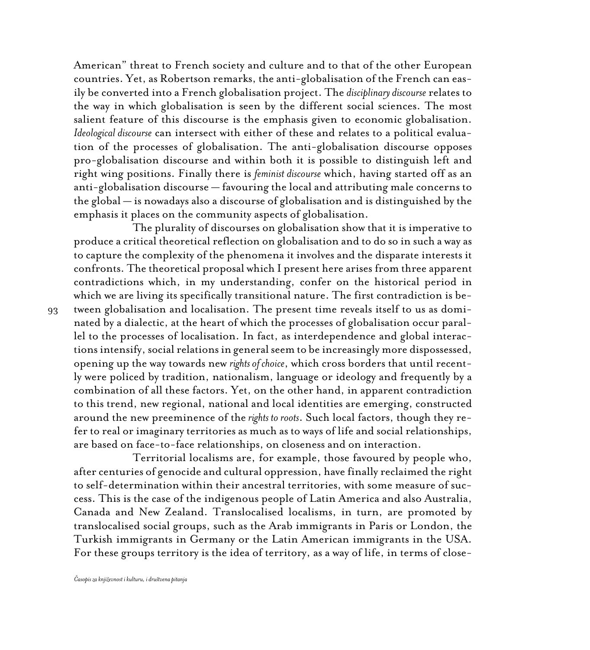American" threat to French society and culture and to that of the other European countries. Yet, as Robertson remarks, the anti-globalisation of the French can easily be converted into a French globalisation project. The *disciplinary discourse*relates to the way in which globalisation is seen by the different social sciences. The most salient feature of this discourse is the emphasis given to economic globalisation. *Ideological discourse* can intersect with either of these and relates to a political evaluation of the processes of globalisation. The anti-globalisation discourse opposes pro-globalisation discourse and within both it is possible to distinguish left and right wing positions. Finally there is *feminist discourse* which, having started off as an anti-globalisation discourse — favouring the local and attributing male concerns to the global — is nowadays also a discourse of globalisation and is distinguished by the emphasis it places on the community aspects of globalisation.

The plurality of discourses on globalisation show that it is imperative to produce a critical theoretical reflection on globalisation and to do so in such a way as to capture the complexity of the phenomena it involves and the disparate interests it confronts. The theoretical proposal which I present here arises from three apparent contradictions which, in my understanding, confer on the historical period in which we are living its specifically transitional nature. The first contradiction is between globalisation and localisation. The present time reveals itself to us as dominated by a dialectic, at the heart of which the processes of globalisation occur parallel to the processes of localisation. In fact, as interdependence and global interactions intensify, social relations in general seem to be increasingly more dispossessed, opening up the way towards new *rights of choice*, which cross borders that until recently were policed by tradition, nationalism, language or ideology and frequently by a combination of all these factors. Yet, on the other hand, in apparent contradiction to this trend, new regional, national and local identities are emerging, constructed around the new preeminence of the *rights to roots*. Such local factors, though they refer to real or imaginary territories as much as to ways of life and social relationships, are based on face-to-face relationships, on closeness and on interaction.

Territorial localisms are, for example, those favoured by people who, after centuries of genocide and cultural oppression, have finally reclaimed the right to self-determination within their ancestral territories, with some measure of success. This is the case of the indigenous people of Latin America and also Australia, Canada and New Zealand. Translocalised localisms, in turn, are promoted by translocalised social groups, such as the Arab immigrants in Paris or London, the Turkish immigrants in Germany or the Latin American immigrants in the USA. For these groups territory is the idea of territory, as a way of life, in terms of close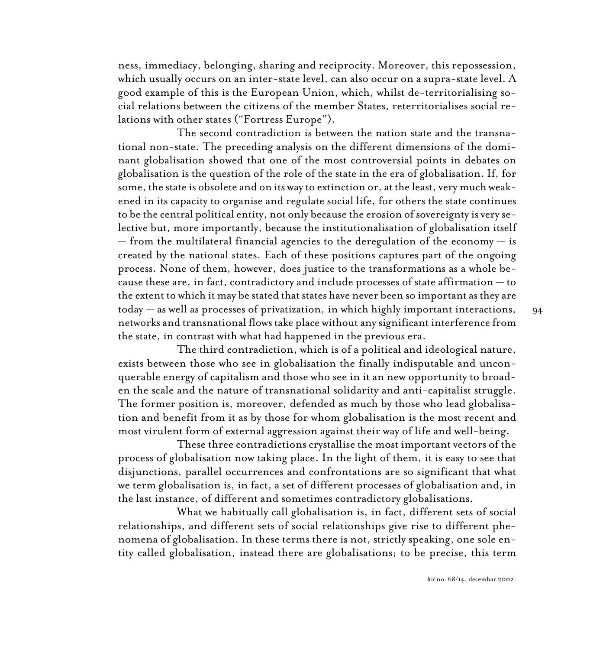ness, immediacy, belonging, sharing and reciprocity. Moreover, this repossession, which usually occurs on an inter-state level, can also occur on a supra-state level. A good example of this is the European Union, which, whilst de-territorialising social relations between the citizens of the member States, reterritorialises social relations with other states ("Fortress Europe").

The second contradiction is between the nation state and the transnational non-state. The preceding analysis on the different dimensions of the dominant globalisation showed that one of the most controversial points in debates on globalisation is the question of the role of the state in the era of globalisation. If, for some, the state is obsolete and on its way to extinction or, at the least, very much weakened in its capacity to organise and regulate social life, for others the state continues to be the central political entity, not only because the erosion of sovereignty is very selective but, more importantly, because the institutionalisation of globalisation itself — from the multilateral financial agencies to the deregulation of the economy — is created by the national states. Each of these positions captures part of the ongoing process. None of them, however, does justice to the transformations as a whole because these are, in fact, contradictory and include processes of state affirmation — to the extent to which it may be stated that states have never been so important as they are today — as well as processes of privatization, in which highly important interactions, networks and transnational flows take place without any significant interference from the state, in contrast with what had happened in the previous era.

The third contradiction, which is of a political and ideological nature, exists between those who see in globalisation the finally indisputable and unconquerable energy of capitalism and those who see in it an new opportunity to broaden the scale and the nature of transnational solidarity and anti-capitalist struggle. The former position is, moreover, defended as much by those who lead globalisation and benefit from it as by those for whom globalisation is the most recent and most virulent form of external aggression against their way of life and well-being.

These three contradictions crystallise the most important vectors of the process of globalisation now taking place. In the light of them, it is easy to see that disjunctions, parallel occurrences and confrontations are so significant that what we term globalisation is, in fact, a set of different processes of globalisation and, in the last instance, of different and sometimes contradictory globalisations.

What we habitually call globalisation is, in fact, different sets of social relationships, and different sets of social relationships give rise to different phenomena of globalisation. In these terms there is not, strictly speaking, one sole entity called globalisation, instead there are globalisations; to be precise, this term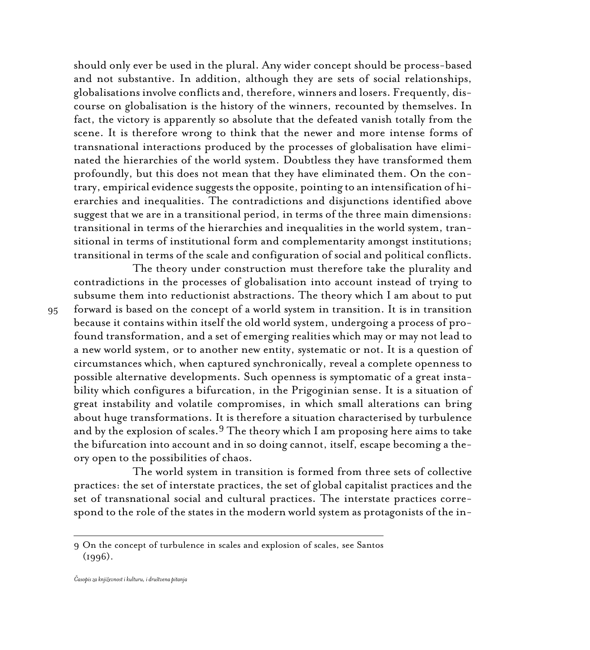should only ever be used in the plural. Any wider concept should be process-based and not substantive. In addition, although they are sets of social relationships, globalisations involve conflicts and, therefore, winners and losers. Frequently, discourse on globalisation is the history of the winners, recounted by themselves. In fact, the victory is apparently so absolute that the defeated vanish totally from the scene. It is therefore wrong to think that the newer and more intense forms of transnational interactions produced by the processes of globalisation have eliminated the hierarchies of the world system. Doubtless they have transformed them profoundly, but this does not mean that they have eliminated them. On the contrary, empirical evidence suggests the opposite, pointing to an intensification of hierarchies and inequalities. The contradictions and disjunctions identified above suggest that we are in a transitional period, in terms of the three main dimensions: transitional in terms of the hierarchies and inequalities in the world system, transitional in terms of institutional form and complementarity amongst institutions; transitional in terms of the scale and configuration of social and political conflicts.

The theory under construction must therefore take the plurality and contradictions in the processes of globalisation into account instead of trying to subsume them into reductionist abstractions. The theory which I am about to put forward is based on the concept of a world system in transition. It is in transition because it contains within itself the old world system, undergoing a process of profound transformation, and a set of emerging realities which may or may not lead to a new world system, or to another new entity, systematic or not. It is a question of circumstances which, when captured synchronically, reveal a complete openness to possible alternative developments. Such openness is symptomatic of a great instability which configures a bifurcation, in the Prigoginian sense. It is a situation of great instability and volatile compromises, in which small alterations can bring about huge transformations. It is therefore a situation characterised by turbulence and by the explosion of scales.<sup>9</sup> The theory which I am proposing here aims to take the bifurcation into account and in so doing cannot, itself, escape becoming a theory open to the possibilities of chaos.

The world system in transition is formed from three sets of collective practices: the set of interstate practices, the set of global capitalist practices and the set of transnational social and cultural practices. The interstate practices correspond to the role of the states in the modern world system as protagonists of the in-

<sup>9</sup> On the concept of turbulence in scales and explosion of scales, see Santos (1996).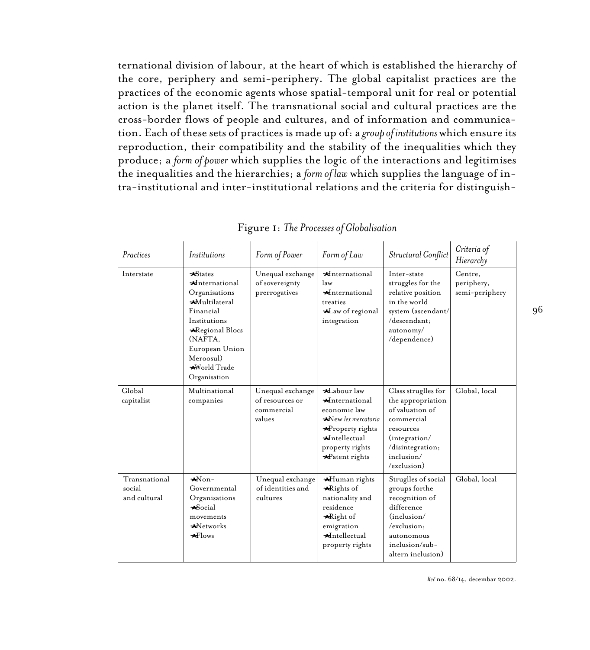ternational division of labour, at the heart of which is established the hierarchy of the core, periphery and semi-periphery. The global capitalist practices are the practices of the economic agents whose spatial-temporal unit for real or potential action is the planet itself. The transnational social and cultural practices are the cross-border flows of people and cultures, and of information and communication. Each of these sets of practices is made up of: a *group of institutions* which ensure its reproduction, their compatibility and the stability of the inequalities which they produce; a *form of power* which supplies the logic of the interactions and legitimises the inequalities and the hierarchies; a *form of law* which supplies the language of intra-institutional and inter-institutional relations and the criteria for distinguish-

| Practices                               | Institutions                                                                                                                                                                                                                | Form of Power                                               | Form of Law                                                                                                                                                | Structural Conflict                                                                                                                                            | Criteria of<br>Hierarchy                |
|-----------------------------------------|-----------------------------------------------------------------------------------------------------------------------------------------------------------------------------------------------------------------------------|-------------------------------------------------------------|------------------------------------------------------------------------------------------------------------------------------------------------------------|----------------------------------------------------------------------------------------------------------------------------------------------------------------|-----------------------------------------|
| Interstate                              | $\star$ States<br><del>M</del> nternational<br>Organisations<br><b>*Multilateral</b><br>Financial<br>Institutions<br><b>Regional Blocs</b><br>(NAFTA,<br>European Union<br>Meroosul)<br><b>*World Trade</b><br>Organisation | Unequal exchange<br>of sovereignty<br>prerrogatives         | <b>*International</b><br>law<br><b>*International</b><br>treaties<br><b>*Law</b> of regional<br>integration                                                | Inter-state<br>struggles for the<br>relative position<br>in the world<br>system (ascendant/<br>/descendant:<br>autonomy/<br>/dependence)                       | Centre,<br>periphery,<br>semi-periphery |
| Global<br>capitalist                    | Multinational<br>companies                                                                                                                                                                                                  | Unequal exchange<br>of resources or<br>commercial<br>values | *Labour law<br>Muternational<br>economic law<br>New lex mercatoria<br>Property rights<br><del>x</del> Intellectual<br>property rights<br>Ratent rights     | Class struglles for<br>the appropriation<br>of valuation of<br>commercial<br>resources<br>(integration/<br>/disintegration;<br>inclusion/<br>$/$ exclusion $)$ | Global, local                           |
| Transnational<br>social<br>and cultural | $\star$ Non-<br>Governmental<br>Organisations<br>$\clubsuit$ Social<br>movements<br><b>*Networks</b><br>$\star$ Flows                                                                                                       | Unequal exchange<br>of identities and<br>cultures           | <del>*</del> Human rights<br><b>Rights</b> of<br>nationality and<br>residence<br><b>*Right</b> of<br>emigration<br><b>*Intellectual</b><br>property rights | Struglles of social<br>groups forthe<br>recognition of<br>difference<br>(inclusion/<br>/exclusion:<br>autonomous<br>inclusion/sub-<br>altern inclusion)        | Global, local                           |

Figure 1: *The Processes of Globalisation*

*Reč* no. 68/14, decembar 2002.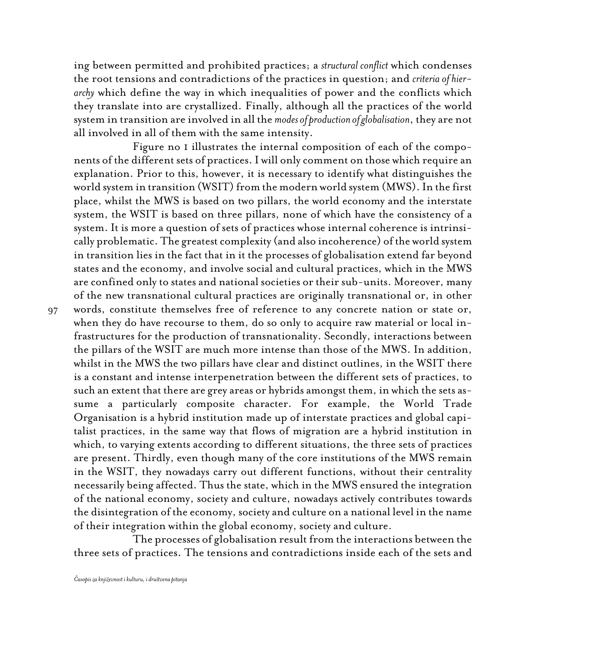ing between permitted and prohibited practices; a *structural conflict* which condenses the root tensions and contradictions of the practices in question; and *criteria of hierarchy* which define the way in which inequalities of power and the conflicts which they translate into are crystallized. Finally, although all the practices of the world system in transition are involved in all the *modes of production of globalisation*, they are not all involved in all of them with the same intensity.

Figure no 1 illustrates the internal composition of each of the components of the different sets of practices. I will only comment on those which require an explanation. Prior to this, however, it is necessary to identify what distinguishes the world system in transition (WSIT) from the modern world system (MWS). In the first place, whilst the MWS is based on two pillars, the world economy and the interstate system, the WSIT is based on three pillars, none of which have the consistency of a system. It is more a question of sets of practices whose internal coherence is intrinsically problematic. The greatest complexity (and also incoherence) of the world system in transition lies in the fact that in it the processes of globalisation extend far beyond states and the economy, and involve social and cultural practices, which in the MWS are confined only to states and national societies or their sub-units. Moreover, many of the new transnational cultural practices are originally transnational or, in other words, constitute themselves free of reference to any concrete nation or state or, when they do have recourse to them, do so only to acquire raw material or local infrastructures for the production of transnationality. Secondly, interactions between the pillars of the WSIT are much more intense than those of the MWS. In addition, whilst in the MWS the two pillars have clear and distinct outlines, in the WSIT there is a constant and intense interpenetration between the different sets of practices, to such an extent that there are grey areas or hybrids amongst them, in which the sets assume a particularly composite character. For example, the World Trade Organisation is a hybrid institution made up of interstate practices and global capitalist practices, in the same way that flows of migration are a hybrid institution in which, to varying extents according to different situations, the three sets of practices are present. Thirdly, even though many of the core institutions of the MWS remain in the WSIT, they nowadays carry out different functions, without their centrality necessarily being affected. Thus the state, which in the MWS ensured the integration of the national economy, society and culture, nowadays actively contributes towards the disintegration of the economy, society and culture on a national level in the name of their integration within the global economy, society and culture.

The processes of globalisation result from the interactions between the three sets of practices. The tensions and contradictions inside each of the sets and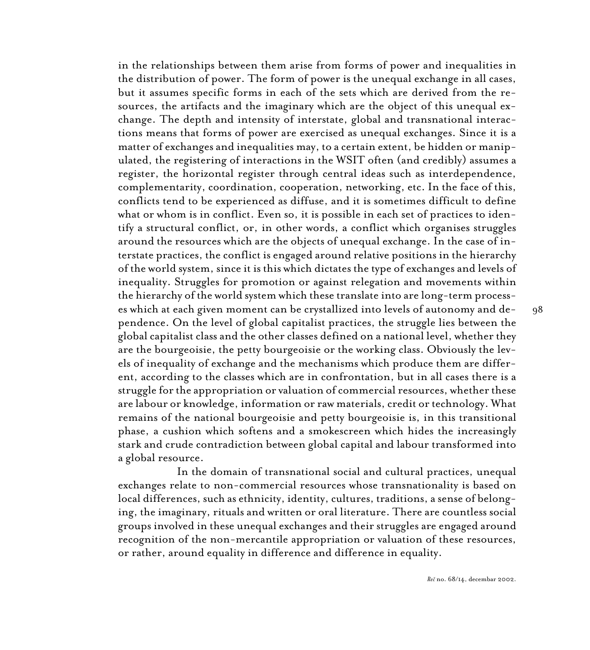in the relationships between them arise from forms of power and inequalities in the distribution of power. The form of power is the unequal exchange in all cases, but it assumes specific forms in each of the sets which are derived from the resources, the artifacts and the imaginary which are the object of this unequal exchange. The depth and intensity of interstate, global and transnational interactions means that forms of power are exercised as unequal exchanges. Since it is a matter of exchanges and inequalities may, to a certain extent, be hidden or manipulated, the registering of interactions in the WSIT often (and credibly) assumes a register, the horizontal register through central ideas such as interdependence, complementarity, coordination, cooperation, networking, etc. In the face of this, conflicts tend to be experienced as diffuse, and it is sometimes difficult to define what or whom is in conflict. Even so, it is possible in each set of practices to identify a structural conflict, or, in other words, a conflict which organises struggles around the resources which are the objects of unequal exchange. In the case of interstate practices, the conflict is engaged around relative positions in the hierarchy of the world system, since it is this which dictates the type of exchanges and levels of inequality. Struggles for promotion or against relegation and movements within the hierarchy of the world system which these translate into are long-term processes which at each given moment can be crystallized into levels of autonomy and dependence. On the level of global capitalist practices, the struggle lies between the global capitalist class and the other classes defined on a national level, whether they are the bourgeoisie, the petty bourgeoisie or the working class. Obviously the levels of inequality of exchange and the mechanisms which produce them are different, according to the classes which are in confrontation, but in all cases there is a struggle for the appropriation or valuation of commercial resources, whether these are labour or knowledge, information or raw materials, credit or technology. What remains of the national bourgeoisie and petty bourgeoisie is, in this transitional phase, a cushion which softens and a smokescreen which hides the increasingly stark and crude contradiction between global capital and labour transformed into a global resource.

In the domain of transnational social and cultural practices, unequal exchanges relate to non-commercial resources whose transnationality is based on local differences, such as ethnicity, identity, cultures, traditions, a sense of belonging, the imaginary, rituals and written or oral literature. There are countless social groups involved in these unequal exchanges and their struggles are engaged around recognition of the non-mercantile appropriation or valuation of these resources, or rather, around equality in difference and difference in equality.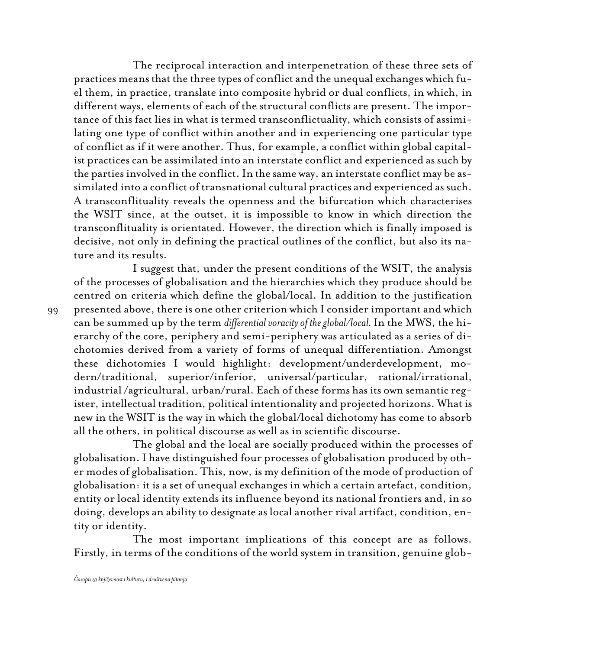The reciprocal interaction and interpenetration of these three sets of practices means that the three types of conflict and the unequal exchanges which fuel them, in practice, translate into composite hybrid or dual conflicts, in which, in different ways, elements of each of the structural conflicts are present. The importance of this fact lies in what is termed transconflictuality, which consists of assimilating one type of conflict within another and in experiencing one particular type of conflict as if it were another. Thus, for example, a conflict within global capitalist practices can be assimilated into an interstate conflict and experienced as such by the parties involved in the conflict. In the same way, an interstate conflict may be assimilated into a conflict of transnational cultural practices and experienced as such. A transconflituality reveals the openness and the bifurcation which characterises the WSIT since, at the outset, it is impossible to know in which direction the transconflituality is orientated. However, the direction which is finally imposed is decisive, not only in defining the practical outlines of the conflict, but also its nature and its results.

I suggest that, under the present conditions of the WSIT, the analysis of the processes of globalisation and the hierarchies which they produce should be centred on criteria which define the global/local. In addition to the justification presented above, there is one other criterion which I consider important and which can be summed up by the term *differential voracity of the global/local.* In the MWS, the hierarchy of the core, periphery and semi-periphery was articulated as a series of dichotomies derived from a variety of forms of unequal differentiation. Amongst these dichotomies I would highlight: development/underdevelopment, modern/traditional, superior/inferior, universal/particular, rational/irrational, industrial /agricultural, urban/rural. Each of these forms has its own semantic register, intellectual tradition, political intentionality and projected horizons. What is new in the WSIT is the way in which the global/local dichotomy has come to absorb all the others, in political discourse as well as in scientific discourse.

The global and the local are socially produced within the processes of globalisation. I have distinguished four processes of globalisation produced by other modes of globalisation. This, now, is my definition of the mode of production of globalisation: it is a set of unequal exchanges in which a certain artefact, condition, entity or local identity extends its influence beyond its national frontiers and, in so doing, develops an ability to designate as local another rival artifact, condition, entity or identity.

The most important implications of this concept are as follows. Firstly, in terms of the conditions of the world system in transition, genuine glob-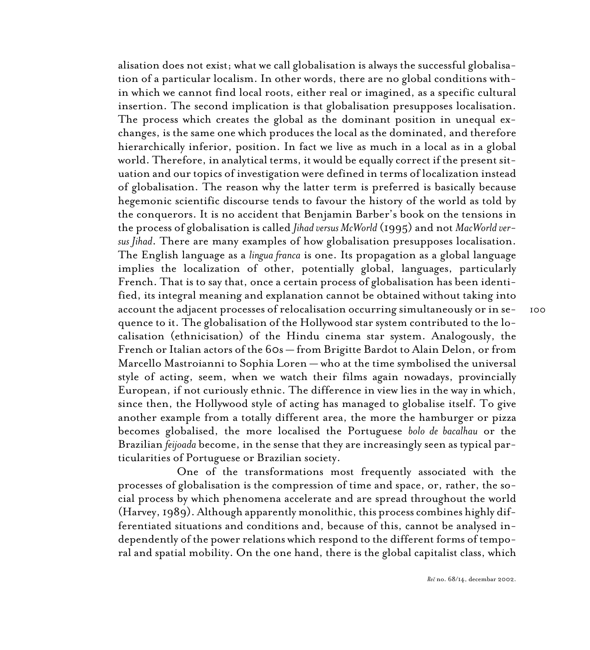alisation does not exist; what we call globalisation is always the successful globalisation of a particular localism. In other words, there are no global conditions within which we cannot find local roots, either real or imagined, as a specific cultural insertion. The second implication is that globalisation presupposes localisation. The process which creates the global as the dominant position in unequal exchanges, is the same one which produces the local as the dominated, and therefore hierarchically inferior, position. In fact we live as much in a local as in a global world. Therefore, in analytical terms, it would be equally correct if the present situation and our topics of investigation were defined in terms of localization instead of globalisation. The reason why the latter term is preferred is basically because hegemonic scientific discourse tends to favour the history of the world as told by the conquerors. It is no accident that Benjamin Barber's book on the tensions in the process of globalisation is called *Jihad versus McWorld* (1995) and not *MacWorld versus Jihad*. There are many examples of how globalisation presupposes localisation. The English language as a *lingua franca* is one. Its propagation as a global language implies the localization of other, potentially global, languages, particularly French. That is to say that, once a certain process of globalisation has been identified, its integral meaning and explanation cannot be obtained without taking into account the adjacent processes of relocalisation occurring simultaneously or in sequence to it. The globalisation of the Hollywood star system contributed to the localisation (ethnicisation) of the Hindu cinema star system. Analogously, the French or Italian actors of the 60s — from Brigitte Bardot to Alain Delon, or from Marcello Mastroianni to Sophia Loren — who at the time symbolised the universal style of acting, seem, when we watch their films again nowadays, provincially European, if not curiously ethnic. The difference in view lies in the way in which, since then, the Hollywood style of acting has managed to globalise itself. To give another example from a totally different area, the more the hamburger or pizza becomes globalised, the more localised the Portuguese *bolo de bacalhau* or the Brazilian *feijoada* become, in the sense that they are increasingly seen as typical particularities of Portuguese or Brazilian society.

One of the transformations most frequently associated with the processes of globalisation is the compression of time and space, or, rather, the social process by which phenomena accelerate and are spread throughout the world (Harvey, 1989). Although apparently monolithic, this process combines highly differentiated situations and conditions and, because of this, cannot be analysed independently of the power relations which respond to the different forms of temporal and spatial mobility. On the one hand, there is the global capitalist class, which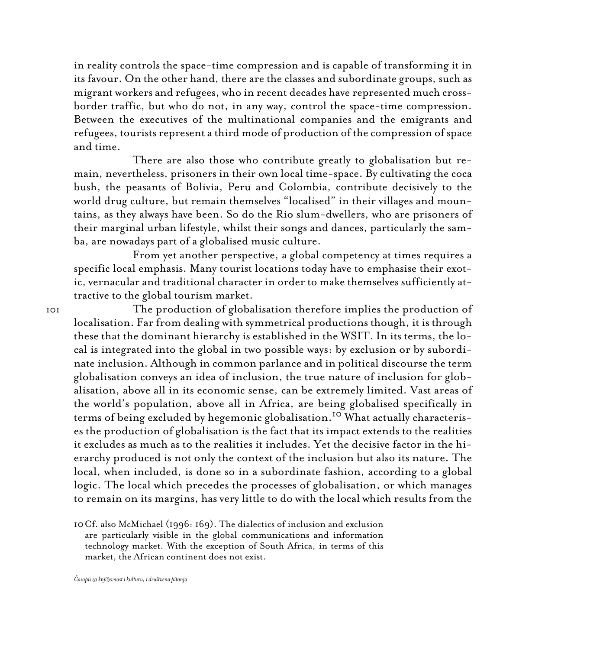in reality controls the space-time compression and is capable of transforming it in its favour. On the other hand, there are the classes and subordinate groups, such as migrant workers and refugees, who in recent decades have represented much crossborder traffic, but who do not, in any way, control the space-time compression. Between the executives of the multinational companies and the emigrants and refugees, tourists represent a third mode of production of the compression of space and time.

There are also those who contribute greatly to globalisation but remain, nevertheless, prisoners in their own local time-space. By cultivating the coca bush, the peasants of Bolivia, Peru and Colombia, contribute decisively to the world drug culture, but remain themselves "localised" in their villages and mountains, as they always have been. So do the Rio slum-dwellers, who are prisoners of their marginal urban lifestyle, whilst their songs and dances, particularly the samba, are nowadays part of a globalised music culture.

From yet another perspective, a global competency at times requires a specific local emphasis. Many tourist locations today have to emphasise their exotic, vernacular and traditional character in order to make themselves sufficiently attractive to the global tourism market.

The production of globalisation therefore implies the production of localisation. Far from dealing with symmetrical productions though, it is through these that the dominant hierarchy is established in the WSIT. In its terms, the local is integrated into the global in two possible ways: by exclusion or by subordinate inclusion. Although in common parlance and in political discourse the term globalisation conveys an idea of inclusion, the true nature of inclusion for globalisation, above all in its economic sense, can be extremely limited. Vast areas of the world's population, above all in Africa, are being globalised specifically in terms of being excluded by hegemonic globalisation.<sup>10</sup> What actually characterises the production of globalisation is the fact that its impact extends to the realities it excludes as much as to the realities it includes. Yet the decisive factor in the hierarchy produced is not only the context of the inclusion but also its nature. The local, when included, is done so in a subordinate fashion, according to a global logic. The local which precedes the processes of globalisation, or which manages to remain on its margins, has very little to do with the local which results from the

<sup>10</sup> Cf. also McMichael (1996: 169). The dialectics of inclusion and exclusion are particularly visible in the global communications and information technology market. With the exception of South Africa, in terms of this market, the African continent does not exist.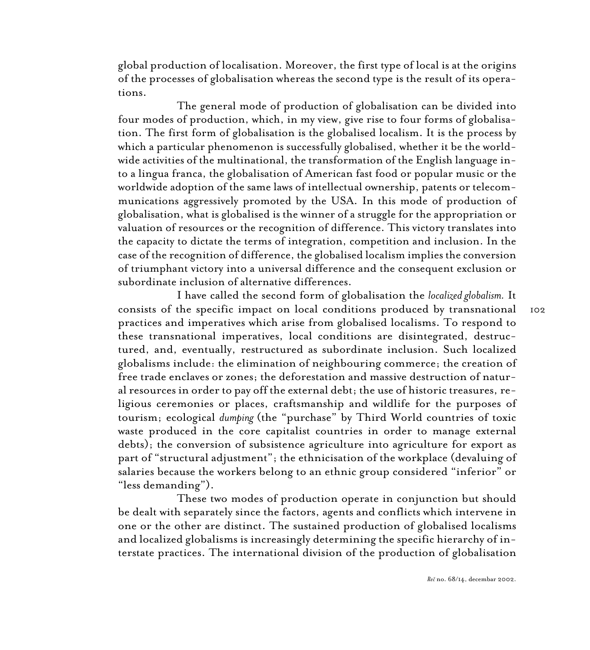global production of localisation. Moreover, the first type of local is at the origins of the processes of globalisation whereas the second type is the result of its operations.

The general mode of production of globalisation can be divided into four modes of production, which, in my view, give rise to four forms of globalisation. The first form of globalisation is the globalised localism. It is the process by which a particular phenomenon is successfully globalised, whether it be the worldwide activities of the multinational, the transformation of the English language into a lingua franca, the globalisation of American fast food or popular music or the worldwide adoption of the same laws of intellectual ownership, patents or telecommunications aggressively promoted by the USA. In this mode of production of globalisation, what is globalised is the winner of a struggle for the appropriation or valuation of resources or the recognition of difference. This victory translates into the capacity to dictate the terms of integration, competition and inclusion. In the case of the recognition of difference, the globalised localism implies the conversion of triumphant victory into a universal difference and the consequent exclusion or subordinate inclusion of alternative differences.

I have called the second form of globalisation the *localized globalism.* It consists of the specific impact on local conditions produced by transnational practices and imperatives which arise from globalised localisms. To respond to these transnational imperatives, local conditions are disintegrated, destructured, and, eventually, restructured as subordinate inclusion. Such localized globalisms include: the elimination of neighbouring commerce; the creation of free trade enclaves or zones; the deforestation and massive destruction of natural resources in order to pay off the external debt; the use of historic treasures, religious ceremonies or places, craftsmanship and wildlife for the purposes of tourism; ecological *dumping* (the "purchase" by Third World countries of toxic waste produced in the core capitalist countries in order to manage external debts); the conversion of subsistence agriculture into agriculture for export as part of "structural adjustment"; the ethnicisation of the workplace (devaluing of salaries because the workers belong to an ethnic group considered "inferior" or "less demanding").

These two modes of production operate in conjunction but should be dealt with separately since the factors, agents and conflicts which intervene in one or the other are distinct. The sustained production of globalised localisms and localized globalisms is increasingly determining the specific hierarchy of interstate practices. The international division of the production of globalisation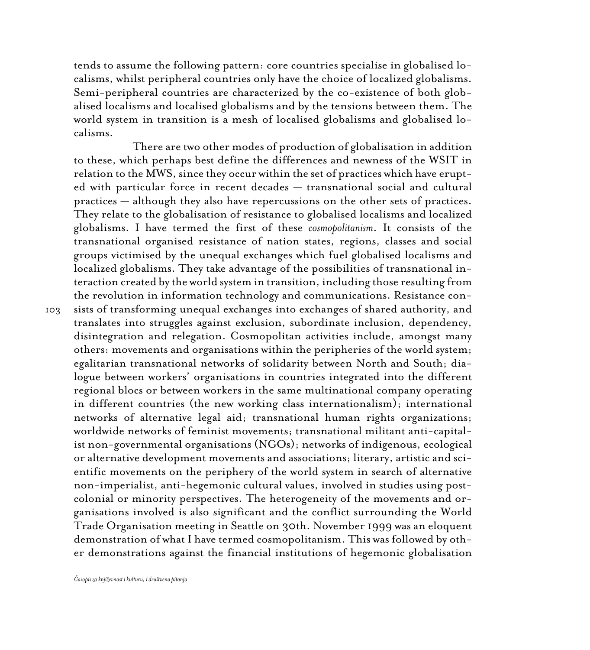tends to assume the following pattern: core countries specialise in globalised localisms, whilst peripheral countries only have the choice of localized globalisms. Semi-peripheral countries are characterized by the co-existence of both globalised localisms and localised globalisms and by the tensions between them. The world system in transition is a mesh of localised globalisms and globalised localisms.

There are two other modes of production of globalisation in addition to these, which perhaps best define the differences and newness of the WSIT in relation to the MWS, since they occur within the set of practices which have erupted with particular force in recent decades — transnational social and cultural practices — although they also have repercussions on the other sets of practices. They relate to the globalisation of resistance to globalised localisms and localized globalisms. I have termed the first of these *cosmopolitanism*. It consists of the transnational organised resistance of nation states, regions, classes and social groups victimised by the unequal exchanges which fuel globalised localisms and localized globalisms. They take advantage of the possibilities of transnational interaction created by the world system in transition, including those resulting from the revolution in information technology and communications. Resistance consists of transforming unequal exchanges into exchanges of shared authority, and translates into struggles against exclusion, subordinate inclusion, dependency, disintegration and relegation. Cosmopolitan activities include, amongst many others: movements and organisations within the peripheries of the world system; egalitarian transnational networks of solidarity between North and South; dialogue between workers' organisations in countries integrated into the different regional blocs or between workers in the same multinational company operating in different countries (the new working class internationalism); international networks of alternative legal aid; transnational human rights organizations; worldwide networks of feminist movements; transnational militant anti-capitalist non-governmental organisations (NGOs); networks of indigenous, ecological or alternative development movements and associations; literary, artistic and scientific movements on the periphery of the world system in search of alternative non-imperialist, anti-hegemonic cultural values, involved in studies using postcolonial or minority perspectives. The heterogeneity of the movements and organisations involved is also significant and the conflict surrounding the World Trade Organisation meeting in Seattle on 30th. November 1999 was an eloquent demonstration of what I have termed cosmopolitanism. This was followed by other demonstrations against the financial institutions of hegemonic globalisation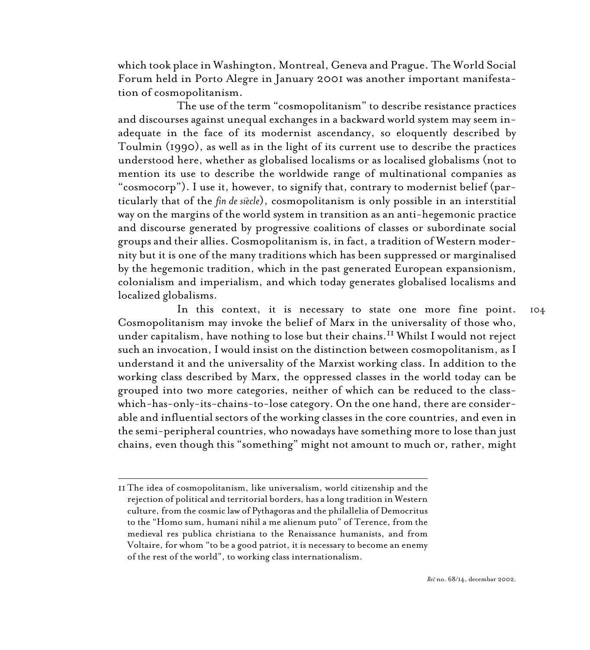which took place in Washington, Montreal, Geneva and Prague. The World Social Forum held in Porto Alegre in January 2001 was another important manifestation of cosmopolitanism.

The use of the term "cosmopolitanism" to describe resistance practices and discourses against unequal exchanges in a backward world system may seem inadequate in the face of its modernist ascendancy, so eloquently described by Toulmin (1990), as well as in the light of its current use to describe the practices understood here, whether as globalised localisms or as localised globalisms (not to mention its use to describe the worldwide range of multinational companies as "cosmocorp"). I use it, however, to signify that, contrary to modernist belief (particularly that of the *fin de siècle*), cosmopolitanism is only possible in an interstitial way on the margins of the world system in transition as an anti-hegemonic practice and discourse generated by progressive coalitions of classes or subordinate social groups and their allies. Cosmopolitanism is, in fact, a tradition of Western modernity but it is one of the many traditions which has been suppressed or marginalised by the hegemonic tradition, which in the past generated European expansionism, colonialism and imperialism, and which today generates globalised localisms and localized globalisms.

In this context, it is necessary to state one more fine point. Cosmopolitanism may invoke the belief of Marx in the universality of those who, under capitalism, have nothing to lose but their chains.<sup>11</sup> Whilst I would not reject such an invocation, I would insist on the distinction between cosmopolitanism, as I understand it and the universality of the Marxist working class. In addition to the working class described by Marx, the oppressed classes in the world today can be grouped into two more categories, neither of which can be reduced to the classwhich-has-only-its-chains-to-lose category. On the one hand, there are considerable and influential sectors of the working classes in the core countries, and even in the semi-peripheral countries, who nowadays have something more to lose than just chains, even though this "something" might not amount to much or, rather, might

<sup>11</sup> The idea of cosmopolitanism, like universalism, world citizenship and the rejection of political and territorial borders, has a long tradition in Western culture, from the cosmic law of Pythagoras and the philallelia of Democritus to the "Homo sum, humani nihil a me alienum puto" of Terence, from the medieval res publica christiana to the Renaissance humanists, and from Voltaire, for whom "to be a good patriot, it is necessary to become an enemy of the rest of the world", to working class internationalism.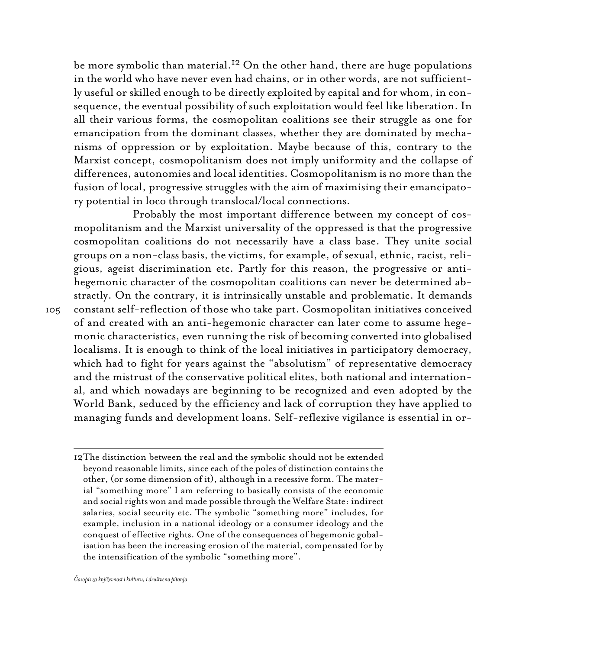be more symbolic than material.<sup>12</sup> On the other hand, there are huge populations in the world who have never even had chains, or in other words, are not sufficiently useful or skilled enough to be directly exploited by capital and for whom, in consequence, the eventual possibility of such exploitation would feel like liberation. In all their various forms, the cosmopolitan coalitions see their struggle as one for emancipation from the dominant classes, whether they are dominated by mechanisms of oppression or by exploitation. Maybe because of this, contrary to the Marxist concept, cosmopolitanism does not imply uniformity and the collapse of differences, autonomies and local identities. Cosmopolitanism is no more than the fusion of local, progressive struggles with the aim of maximising their emancipatory potential in loco through translocal/local connections.

Probably the most important difference between my concept of cosmopolitanism and the Marxist universality of the oppressed is that the progressive cosmopolitan coalitions do not necessarily have a class base. They unite social groups on a non-class basis, the victims, for example, of sexual, ethnic, racist, religious, ageist discrimination etc. Partly for this reason, the progressive or antihegemonic character of the cosmopolitan coalitions can never be determined abstractly. On the contrary, it is intrinsically unstable and problematic. It demands constant self-reflection of those who take part. Cosmopolitan initiatives conceived of and created with an anti-hegemonic character can later come to assume hegemonic characteristics, even running the risk of becoming converted into globalised localisms. It is enough to think of the local initiatives in participatory democracy, which had to fight for years against the "absolutism" of representative democracy and the mistrust of the conservative political elites, both national and international, and which nowadays are beginning to be recognized and even adopted by the World Bank, seduced by the efficiency and lack of corruption they have applied to managing funds and development loans. Self-reflexive vigilance is essential in or-

<sup>12</sup>The distinction between the real and the symbolic should not be extended beyond reasonable limits, since each of the poles of distinction contains the other, (or some dimension of it), although in a recessive form. The material "something more" I am referring to basically consists of the economic and social rights won and made possible through the Welfare State: indirect salaries, social security etc. The symbolic "something more" includes, for example, inclusion in a national ideology or a consumer ideology and the conquest of effective rights. One of the consequences of hegemonic gobalisation has been the increasing erosion of the material, compensated for by the intensification of the symbolic "something more".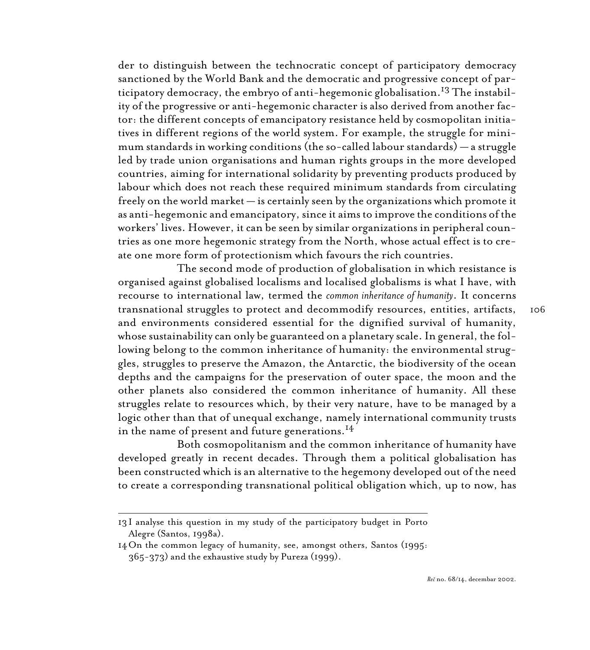der to distinguish between the technocratic concept of participatory democracy sanctioned by the World Bank and the democratic and progressive concept of participatory democracy, the embryo of anti-hegemonic globalisation.13 The instability of the progressive or anti-hegemonic character is also derived from another factor: the different concepts of emancipatory resistance held by cosmopolitan initiatives in different regions of the world system. For example, the struggle for minimum standards in working conditions (the so-called labour standards) — a struggle led by trade union organisations and human rights groups in the more developed countries, aiming for international solidarity by preventing products produced by labour which does not reach these required minimum standards from circulating freely on the world market — is certainly seen by the organizations which promote it as anti-hegemonic and emancipatory, since it aims to improve the conditions of the workers' lives. However, it can be seen by similar organizations in peripheral countries as one more hegemonic strategy from the North, whose actual effect is to create one more form of protectionism which favours the rich countries.

The second mode of production of globalisation in which resistance is organised against globalised localisms and localised globalisms is what I have, with recourse to international law, termed the *common inheritance of humanity*. It concerns transnational struggles to protect and decommodify resources, entities, artifacts, and environments considered essential for the dignified survival of humanity, whose sustainability can only be guaranteed on a planetary scale. In general, the following belong to the common inheritance of humanity: the environmental struggles, struggles to preserve the Amazon, the Antarctic, the biodiversity of the ocean depths and the campaigns for the preservation of outer space, the moon and the other planets also considered the common inheritance of humanity. All these struggles relate to resources which, by their very nature, have to be managed by a logic other than that of unequal exchange, namely international community trusts in the name of present and future generations.  $14$ 

Both cosmopolitanism and the common inheritance of humanity have developed greatly in recent decades. Through them a political globalisation has been constructed which is an alternative to the hegemony developed out of the need to create a corresponding transnational political obligation which, up to now, has

<sup>13</sup> I analyse this question in my study of the participatory budget in Porto Alegre (Santos, 1998a).

<sup>14</sup>On the common legacy of humanity, see, amongst others, Santos (1995: 365-373) and the exhaustive study by Pureza (1999).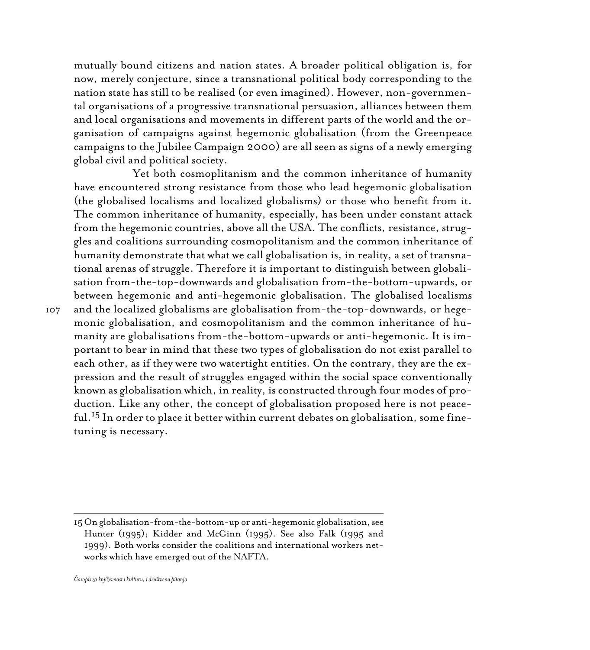mutually bound citizens and nation states. A broader political obligation is, for now, merely conjecture, since a transnational political body corresponding to the nation state has still to be realised (or even imagined). However, non-governmental organisations of a progressive transnational persuasion, alliances between them and local organisations and movements in different parts of the world and the organisation of campaigns against hegemonic globalisation (from the Greenpeace campaigns to the Jubilee Campaign 2000) are all seen as signs of a newly emerging global civil and political society.

Yet both cosmoplitanism and the common inheritance of humanity have encountered strong resistance from those who lead hegemonic globalisation (the globalised localisms and localized globalisms) or those who benefit from it. The common inheritance of humanity, especially, has been under constant attack from the hegemonic countries, above all the USA. The conflicts, resistance, struggles and coalitions surrounding cosmopolitanism and the common inheritance of humanity demonstrate that what we call globalisation is, in reality, a set of transnational arenas of struggle. Therefore it is important to distinguish between globalisation from-the-top-downwards and globalisation from-the-bottom-upwards, or between hegemonic and anti-hegemonic globalisation. The globalised localisms and the localized globalisms are globalisation from-the-top-downwards, or hegemonic globalisation, and cosmopolitanism and the common inheritance of humanity are globalisations from-the-bottom-upwards or anti-hegemonic. It is important to bear in mind that these two types of globalisation do not exist parallel to each other, as if they were two watertight entities. On the contrary, they are the expression and the result of struggles engaged within the social space conventionally known as globalisation which, in reality, is constructed through four modes of production. Like any other, the concept of globalisation proposed here is not peaceful.<sup>15</sup> In order to place it better within current debates on globalisation, some finetuning is necessary.

<sup>15</sup> On globalisation-from-the-bottom-up or anti-hegemonic globalisation, see Hunter (1995); Kidder and McGinn (1995). See also Falk (1995 and 1999). Both works consider the coalitions and international workers networks which have emerged out of the NAFTA.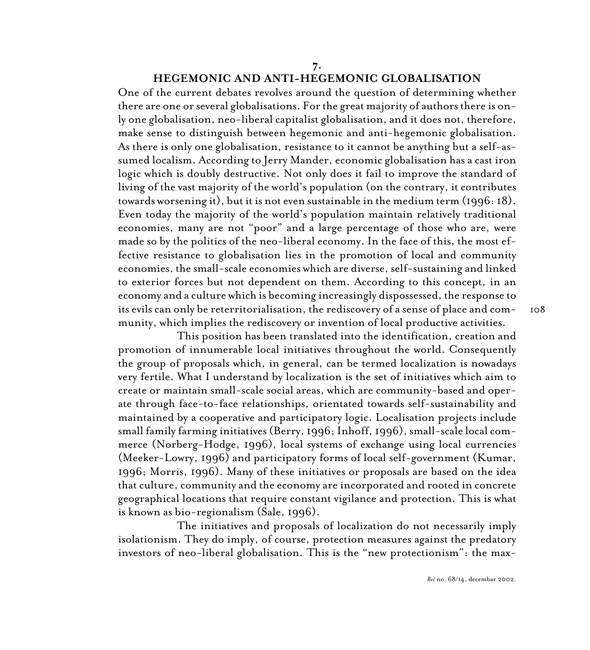**7.** 

### **HEGEMONIC AND ANTI-HEGEMONIC GLOBALISATION**

One of the current debates revolves around the question of determining whether there are one or several globalisations. For the great majority of authors there is only one globalisation, neo-liberal capitalist globalisation, and it does not, therefore, make sense to distinguish between hegemonic and anti-hegemonic globalisation. As there is only one globalisation, resistance to it cannot be anything but a self-assumed localism. According to Jerry Mander, economic globalisation has a cast iron logic which is doubly destructive. Not only does it fail to improve the standard of living of the vast majority of the world's population (on the contrary, it contributes towards worsening it), but it is not even sustainable in the medium term (1996: 18). Even today the majority of the world's population maintain relatively traditional economies, many are not "poor" and a large percentage of those who are, were made so by the politics of the neo-liberal economy. In the face of this, the most effective resistance to globalisation lies in the promotion of local and community economies, the small-scale economies which are diverse, self-sustaining and linked to exterior forces but not dependent on them. According to this concept, in an economy and a culture which is becoming increasingly dispossessed, the response to its evils can only be reterritorialisation, the rediscovery of a sense of place and community, which implies the rediscovery or invention of local productive activities.

This position has been translated into the identification, creation and promotion of innumerable local initiatives throughout the world. Consequently the group of proposals which, in general, can be termed localization is nowadays very fertile. What I understand by localization is the set of initiatives which aim to create or maintain small-scale social areas, which are community-based and operate through face-to-face relationships, orientated towards self-sustainability and maintained by a cooperative and participatory logic. Localisation projects include small family farming initiatives (Berry, 1996; Inhoff, 1996), small-scale local commerce (Norberg-Hodge, 1996), local systems of exchange using local currencies (Meeker-Lowry, 1996) and participatory forms of local self-government (Kumar, 1996; Morris, 1996). Many of these initiatives or proposals are based on the idea that culture, community and the economy are incorporated and rooted in concrete geographical locations that require constant vigilance and protection. This is what is known as bio-regionalism (Sale, 1996).

The initiatives and proposals of localization do not necessarily imply isolationism. They do imply, of course, protection measures against the predatory investors of neo-liberal globalisation. This is the "new protectionism": the max-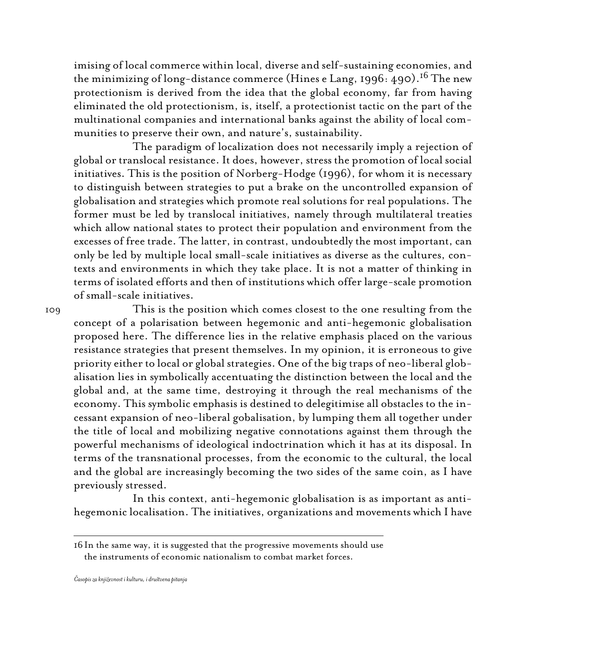imising of local commerce within local, diverse and self-sustaining economies, and the minimizing of long-distance commerce (Hines e Lang, 1996: 490).<sup>16</sup> The new protectionism is derived from the idea that the global economy, far from having eliminated the old protectionism, is, itself, a protectionist tactic on the part of the multinational companies and international banks against the ability of local communities to preserve their own, and nature's, sustainability.

The paradigm of localization does not necessarily imply a rejection of global or translocal resistance. It does, however, stress the promotion of local social initiatives. This is the position of Norberg-Hodge (1996), for whom it is necessary to distinguish between strategies to put a brake on the uncontrolled expansion of globalisation and strategies which promote real solutions for real populations. The former must be led by translocal initiatives, namely through multilateral treaties which allow national states to protect their population and environment from the excesses of free trade. The latter, in contrast, undoubtedly the most important, can only be led by multiple local small-scale initiatives as diverse as the cultures, contexts and environments in which they take place. It is not a matter of thinking in terms of isolated efforts and then of institutions which offer large-scale promotion of small-scale initiatives.

109

This is the position which comes closest to the one resulting from the concept of a polarisation between hegemonic and anti-hegemonic globalisation proposed here. The difference lies in the relative emphasis placed on the various resistance strategies that present themselves. In my opinion, it is erroneous to give priority either to local or global strategies. One of the big traps of neo-liberal globalisation lies in symbolically accentuating the distinction between the local and the global and, at the same time, destroying it through the real mechanisms of the economy. This symbolic emphasis is destined to delegitimise all obstacles to the incessant expansion of neo-liberal gobalisation, by lumping them all together under the title of local and mobilizing negative connotations against them through the powerful mechanisms of ideological indoctrination which it has at its disposal. In terms of the transnational processes, from the economic to the cultural, the local and the global are increasingly becoming the two sides of the same coin, as I have previously stressed.

In this context, anti-hegemonic globalisation is as important as antihegemonic localisation. The initiatives, organizations and movements which I have

<sup>16</sup> In the same way, it is suggested that the progressive movements should use the instruments of economic nationalism to combat market forces.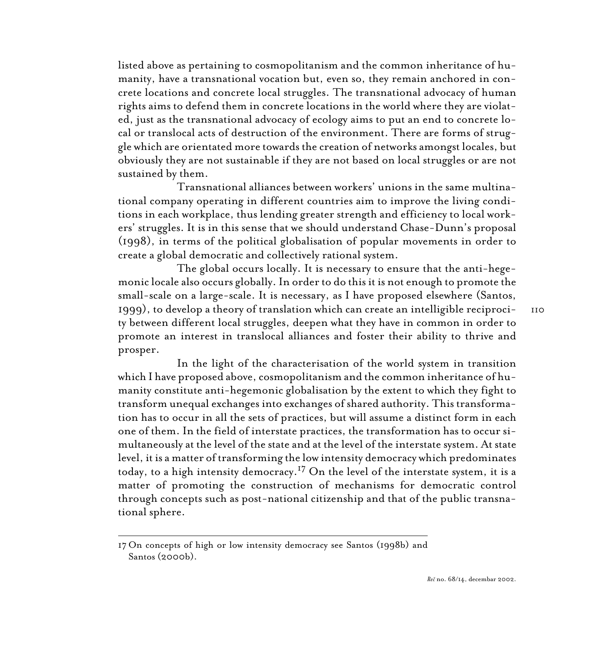listed above as pertaining to cosmopolitanism and the common inheritance of humanity, have a transnational vocation but, even so, they remain anchored in concrete locations and concrete local struggles. The transnational advocacy of human rights aims to defend them in concrete locations in the world where they are violated, just as the transnational advocacy of ecology aims to put an end to concrete local or translocal acts of destruction of the environment. There are forms of struggle which are orientated more towards the creation of networks amongst locales, but obviously they are not sustainable if they are not based on local struggles or are not sustained by them.

Transnational alliances between workers' unions in the same multinational company operating in different countries aim to improve the living conditions in each workplace, thus lending greater strength and efficiency to local workers' struggles. It is in this sense that we should understand Chase-Dunn's proposal (1998), in terms of the political globalisation of popular movements in order to create a global democratic and collectively rational system.

The global occurs locally. It is necessary to ensure that the anti-hegemonic locale also occurs globally. In order to do this it is not enough to promote the small-scale on a large-scale. It is necessary, as I have proposed elsewhere (Santos, 1999), to develop a theory of translation which can create an intelligible reciprocity between different local struggles, deepen what they have in common in order to promote an interest in translocal alliances and foster their ability to thrive and prosper.

In the light of the characterisation of the world system in transition which I have proposed above, cosmopolitanism and the common inheritance of humanity constitute anti-hegemonic globalisation by the extent to which they fight to transform unequal exchanges into exchanges of shared authority. This transformation has to occur in all the sets of practices, but will assume a distinct form in each one of them. In the field of interstate practices, the transformation has to occur simultaneously at the level of the state and at the level of the interstate system. At state level, it is a matter of transforming the low intensity democracy which predominates today, to a high intensity democracy.<sup>17</sup> On the level of the interstate system, it is a matter of promoting the construction of mechanisms for democratic control through concepts such as post-national citizenship and that of the public transnational sphere.

<sup>17</sup> On concepts of high or low intensity democracy see Santos (1998b) and Santos (2000b).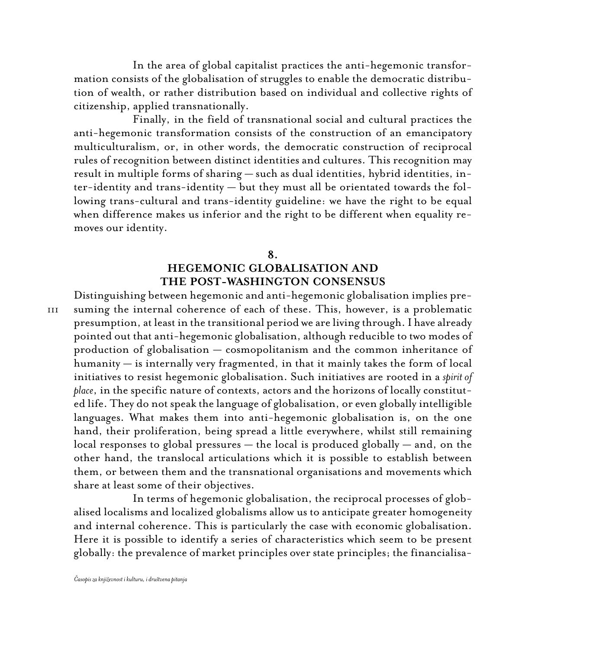In the area of global capitalist practices the anti-hegemonic transformation consists of the globalisation of struggles to enable the democratic distribution of wealth, or rather distribution based on individual and collective rights of citizenship, applied transnationally.

Finally, in the field of transnational social and cultural practices the anti-hegemonic transformation consists of the construction of an emancipatory multiculturalism, or, in other words, the democratic construction of reciprocal rules of recognition between distinct identities and cultures. This recognition may result in multiple forms of sharing — such as dual identities, hybrid identities, inter-identity and trans-identity — but they must all be orientated towards the following trans-cultural and trans-identity guideline: we have the right to be equal when difference makes us inferior and the right to be different when equality removes our identity.

### **8. HEGEMONIC GLOBALISATION AND THE POST-WASHINGTON CONSENSUS**

Distinguishing between hegemonic and anti-hegemonic globalisation implies presuming the internal coherence of each of these. This, however, is a problematic presumption, at least in the transitional period we are living through. I have already pointed out that anti-hegemonic globalisation, although reducible to two modes of production of globalisation — cosmopolitanism and the common inheritance of humanity — is internally very fragmented, in that it mainly takes the form of local initiatives to resist hegemonic globalisation. Such initiatives are rooted in a *spirit of place*, in the specific nature of contexts, actors and the horizons of locally constituted life. They do not speak the language of globalisation, or even globally intelligible languages. What makes them into anti-hegemonic globalisation is, on the one hand, their proliferation, being spread a little everywhere, whilst still remaining local responses to global pressures — the local is produced globally — and, on the other hand, the translocal articulations which it is possible to establish between them, or between them and the transnational organisations and movements which share at least some of their objectives.

In terms of hegemonic globalisation, the reciprocal processes of globalised localisms and localized globalisms allow us to anticipate greater homogeneity and internal coherence. This is particularly the case with economic globalisation. Here it is possible to identify a series of characteristics which seem to be present globally: the prevalence of market principles over state principles; the financialisa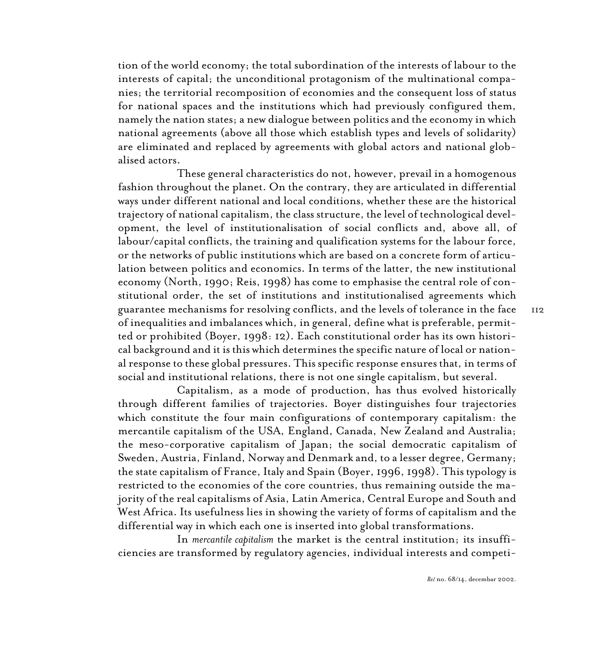tion of the world economy; the total subordination of the interests of labour to the interests of capital; the unconditional protagonism of the multinational companies; the territorial recomposition of economies and the consequent loss of status for national spaces and the institutions which had previously configured them, namely the nation states; a new dialogue between politics and the economy in which national agreements (above all those which establish types and levels of solidarity) are eliminated and replaced by agreements with global actors and national globalised actors.

These general characteristics do not, however, prevail in a homogenous fashion throughout the planet. On the contrary, they are articulated in differential ways under different national and local conditions, whether these are the historical trajectory of national capitalism, the class structure, the level of technological development, the level of institutionalisation of social conflicts and, above all, of labour/capital conflicts, the training and qualification systems for the labour force, or the networks of public institutions which are based on a concrete form of articulation between politics and economics. In terms of the latter, the new institutional economy (North, 1990; Reis, 1998) has come to emphasise the central role of constitutional order, the set of institutions and institutionalised agreements which guarantee mechanisms for resolving conflicts, and the levels of tolerance in the face of inequalities and imbalances which, in general, define what is preferable, permitted or prohibited (Boyer, 1998: 12). Each constitutional order has its own historical background and it is this which determines the specific nature of local or national response to these global pressures. This specific response ensures that, in terms of social and institutional relations, there is not one single capitalism, but several.

Capitalism, as a mode of production, has thus evolved historically through different families of trajectories. Boyer distinguishes four trajectories which constitute the four main configurations of contemporary capitalism: the mercantile capitalism of the USA, England, Canada, New Zealand and Australia; the meso-corporative capitalism of Japan; the social democratic capitalism of Sweden, Austria, Finland, Norway and Denmark and, to a lesser degree, Germany; the state capitalism of France, Italy and Spain (Boyer, 1996, 1998). This typology is restricted to the economies of the core countries, thus remaining outside the majority of the real capitalisms of Asia, Latin America, Central Europe and South and West Africa. Its usefulness lies in showing the variety of forms of capitalism and the differential way in which each one is inserted into global transformations.

In *mercantile capitalism* the market is the central institution; its insufficiencies are transformed by regulatory agencies, individual interests and competi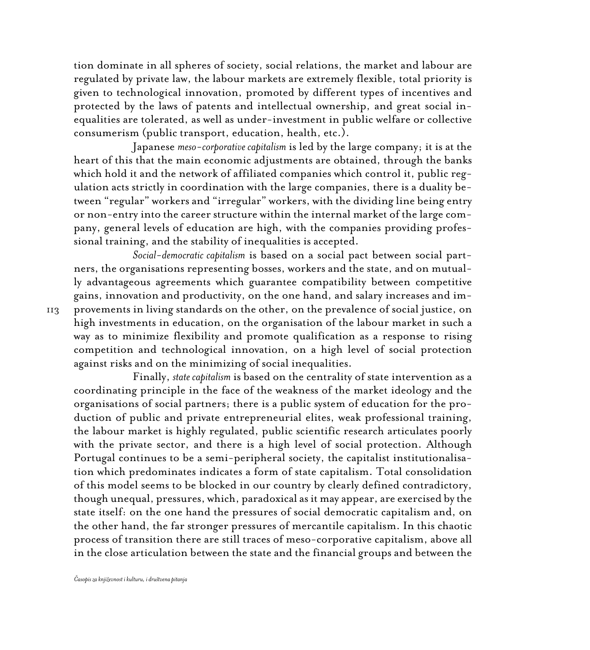tion dominate in all spheres of society, social relations, the market and labour are regulated by private law, the labour markets are extremely flexible, total priority is given to technological innovation, promoted by different types of incentives and protected by the laws of patents and intellectual ownership, and great social inequalities are tolerated, as well as under-investment in public welfare or collective consumerism (public transport, education, health, etc.).

Japanese *meso-corporative capitalism* is led by the large company; it is at the heart of this that the main economic adjustments are obtained, through the banks which hold it and the network of affiliated companies which control it, public regulation acts strictly in coordination with the large companies, there is a duality between "regular" workers and "irregular" workers, with the dividing line being entry or non-entry into the career structure within the internal market of the large company, general levels of education are high, with the companies providing professional training, and the stability of inequalities is accepted.

*Social-democratic capitalism* is based on a social pact between social partners, the organisations representing bosses, workers and the state, and on mutually advantageous agreements which guarantee compatibility between competitive gains, innovation and productivity, on the one hand, and salary increases and improvements in living standards on the other, on the prevalence of social justice, on high investments in education, on the organisation of the labour market in such a way as to minimize flexibility and promote qualification as a response to rising competition and technological innovation, on a high level of social protection against risks and on the minimizing of social inequalities.

Finally, *state capitalism* is based on the centrality of state intervention as a coordinating principle in the face of the weakness of the market ideology and the organisations of social partners; there is a public system of education for the production of public and private entrepreneurial elites, weak professional training, the labour market is highly regulated, public scientific research articulates poorly with the private sector, and there is a high level of social protection. Although Portugal continues to be a semi-peripheral society, the capitalist institutionalisation which predominates indicates a form of state capitalism. Total consolidation of this model seems to be blocked in our country by clearly defined contradictory, though unequal, pressures, which, paradoxical as it may appear, are exercised by the state itself: on the one hand the pressures of social democratic capitalism and, on the other hand, the far stronger pressures of mercantile capitalism. In this chaotic process of transition there are still traces of meso-corporative capitalism, above all in the close articulation between the state and the financial groups and between the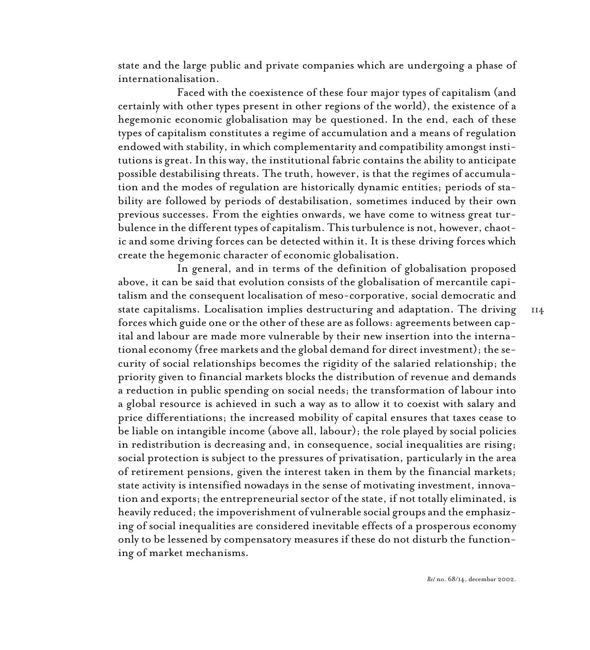state and the large public and private companies which are undergoing a phase of internationalisation.

Faced with the coexistence of these four major types of capitalism (and certainly with other types present in other regions of the world), the existence of a hegemonic economic globalisation may be questioned. In the end, each of these types of capitalism constitutes a regime of accumulation and a means of regulation endowed with stability, in which complementarity and compatibility amongst institutions is great. In this way, the institutional fabric contains the ability to anticipate possible destabilising threats. The truth, however, is that the regimes of accumulation and the modes of regulation are historically dynamic entities; periods of stability are followed by periods of destabilisation, sometimes induced by their own previous successes. From the eighties onwards, we have come to witness great turbulence in the different types of capitalism. This turbulence is not, however, chaotic and some driving forces can be detected within it. It is these driving forces which create the hegemonic character of economic globalisation.

In general, and in terms of the definition of globalisation proposed above, it can be said that evolution consists of the globalisation of mercantile capitalism and the consequent localisation of meso-corporative, social democratic and state capitalisms. Localisation implies destructuring and adaptation. The driving forces which guide one or the other of these are as follows: agreements between capital and labour are made more vulnerable by their new insertion into the international economy (free markets and the global demand for direct investment); the security of social relationships becomes the rigidity of the salaried relationship; the priority given to financial markets blocks the distribution of revenue and demands a reduction in public spending on social needs; the transformation of labour into a global resource is achieved in such a way as to allow it to coexist with salary and price differentiations; the increased mobility of capital ensures that taxes cease to be liable on intangible income (above all, labour); the role played by social policies in redistribution is decreasing and, in consequence, social inequalities are rising; social protection is subject to the pressures of privatisation, particularly in the area of retirement pensions, given the interest taken in them by the financial markets; state activity is intensified nowadays in the sense of motivating investment, innovation and exports; the entrepreneurial sector of the state, if not totally eliminated, is heavily reduced; the impoverishment of vulnerable social groups and the emphasizing of social inequalities are considered inevitable effects of a prosperous economy only to be lessened by compensatory measures if these do not disturb the functioning of market mechanisms.

*Reč* no. 68/14, decembar 2002.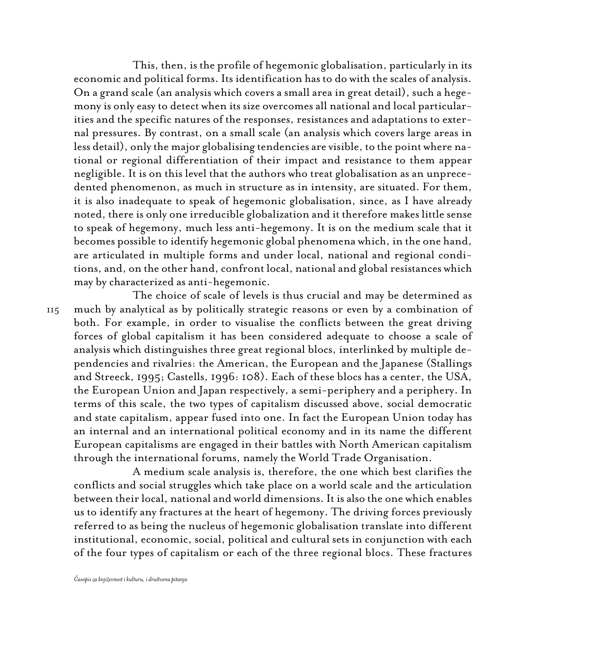This, then, is the profile of hegemonic globalisation, particularly in its economic and political forms. Its identification has to do with the scales of analysis. On a grand scale (an analysis which covers a small area in great detail), such a hegemony is only easy to detect when its size overcomes all national and local particularities and the specific natures of the responses, resistances and adaptations to external pressures. By contrast, on a small scale (an analysis which covers large areas in less detail), only the major globalising tendencies are visible, to the point where national or regional differentiation of their impact and resistance to them appear negligible. It is on this level that the authors who treat globalisation as an unprecedented phenomenon, as much in structure as in intensity, are situated. For them, it is also inadequate to speak of hegemonic globalisation, since, as I have already noted, there is only one irreducible globalization and it therefore makes little sense to speak of hegemony, much less anti-hegemony. It is on the medium scale that it becomes possible to identify hegemonic global phenomena which, in the one hand, are articulated in multiple forms and under local, national and regional conditions, and, on the other hand, confront local, national and global resistances which may by characterized as anti-hegemonic.

much by analytical as by politically strategic reasons or even by a combination of both. For example, in order to visualise the conflicts between the great driving forces of global capitalism it has been considered adequate to choose a scale of

115

analysis which distinguishes three great regional blocs, interlinked by multiple dependencies and rivalries: the American, the European and the Japanese (Stallings and Streeck, 1995; Castells, 1996: 108). Each of these blocs has a center, the USA, the European Union and Japan respectively, a semi-periphery and a periphery. In terms of this scale, the two types of capitalism discussed above, social democratic and state capitalism, appear fused into one. In fact the European Union today has an internal and an international political economy and in its name the different European capitalisms are engaged in their battles with North American capitalism through the international forums, namely the World Trade Organisation.

The choice of scale of levels is thus crucial and may be determined as

A medium scale analysis is, therefore, the one which best clarifies the conflicts and social struggles which take place on a world scale and the articulation between their local, national and world dimensions. It is also the one which enables us to identify any fractures at the heart of hegemony. The driving forces previously referred to as being the nucleus of hegemonic globalisation translate into different institutional, economic, social, political and cultural sets in conjunction with each of the four types of capitalism or each of the three regional blocs. These fractures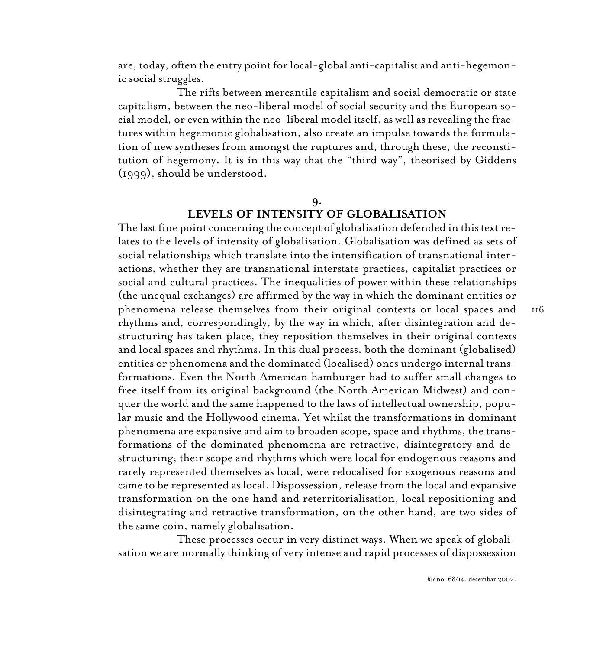are, today, often the entry point for local-global anti-capitalist and anti-hegemonic social struggles.

The rifts between mercantile capitalism and social democratic or state capitalism, between the neo-liberal model of social security and the European social model, or even within the neo-liberal model itself, as well as revealing the fractures within hegemonic globalisation, also create an impulse towards the formulation of new syntheses from amongst the ruptures and, through these, the reconstitution of hegemony. It is in this way that the "third way", theorised by Giddens (1999), should be understood.

#### **9.**

### **LEVELS OF INTENSITY OF GLOBALISATION**

The last fine point concerning the concept of globalisation defended in this text relates to the levels of intensity of globalisation. Globalisation was defined as sets of social relationships which translate into the intensification of transnational interactions, whether they are transnational interstate practices, capitalist practices or social and cultural practices. The inequalities of power within these relationships (the unequal exchanges) are affirmed by the way in which the dominant entities or phenomena release themselves from their original contexts or local spaces and rhythms and, correspondingly, by the way in which, after disintegration and destructuring has taken place, they reposition themselves in their original contexts and local spaces and rhythms. In this dual process, both the dominant (globalised) entities or phenomena and the dominated (localised) ones undergo internal transformations. Even the North American hamburger had to suffer small changes to free itself from its original background (the North American Midwest) and conquer the world and the same happened to the laws of intellectual ownership, popular music and the Hollywood cinema. Yet whilst the transformations in dominant phenomena are expansive and aim to broaden scope, space and rhythms, the transformations of the dominated phenomena are retractive, disintegratory and destructuring; their scope and rhythms which were local for endogenous reasons and rarely represented themselves as local, were relocalised for exogenous reasons and came to be represented as local. Dispossession, release from the local and expansive transformation on the one hand and reterritorialisation, local repositioning and disintegrating and retractive transformation, on the other hand, are two sides of the same coin, namely globalisation.

These processes occur in very distinct ways. When we speak of globalisation we are normally thinking of very intense and rapid processes of dispossession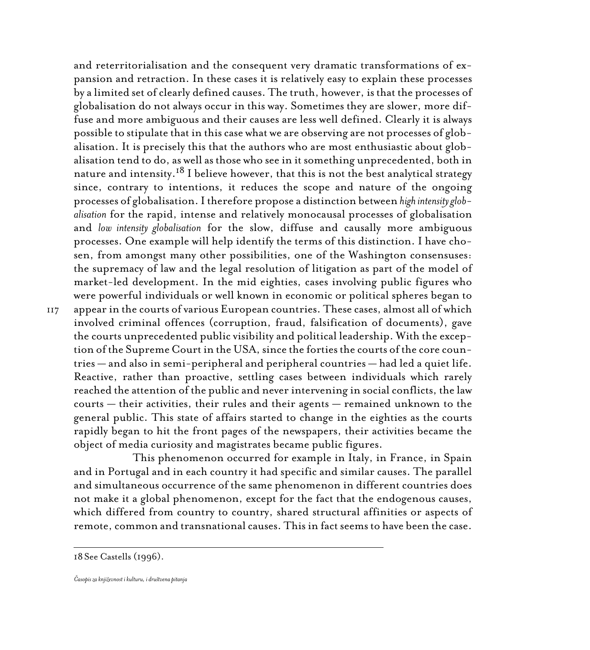and reterritorialisation and the consequent very dramatic transformations of expansion and retraction. In these cases it is relatively easy to explain these processes by a limited set of clearly defined causes. The truth, however, is that the processes of globalisation do not always occur in this way. Sometimes they are slower, more diffuse and more ambiguous and their causes are less well defined. Clearly it is always possible to stipulate that in this case what we are observing are not processes of globalisation. It is precisely this that the authors who are most enthusiastic about globalisation tend to do, as well as those who see in it something unprecedented, both in nature and intensity.<sup>18</sup> I believe however, that this is not the best analytical strategy since, contrary to intentions, it reduces the scope and nature of the ongoing processes of globalisation. I therefore propose a distinction between *high intensity globalisation* for the rapid, intense and relatively monocausal processes of globalisation and *low intensity globalisation* for the slow, diffuse and causally more ambiguous processes. One example will help identify the terms of this distinction. I have chosen, from amongst many other possibilities, one of the Washington consensuses: the supremacy of law and the legal resolution of litigation as part of the model of market-led development. In the mid eighties, cases involving public figures who were powerful individuals or well known in economic or political spheres began to appear in the courts of various European countries. These cases, almost all of which involved criminal offences (corruption, fraud, falsification of documents), gave the courts unprecedented public visibility and political leadership. With the exception of the Supreme Court in the USA, since the forties the courts of the core countries — and also in semi-peripheral and peripheral countries — had led a quiet life. Reactive, rather than proactive, settling cases between individuals which rarely reached the attention of the public and never intervening in social conflicts, the law courts — their activities, their rules and their agents — remained unknown to the general public. This state of affairs started to change in the eighties as the courts rapidly began to hit the front pages of the newspapers, their activities became the object of media curiosity and magistrates became public figures.

This phenomenon occurred for example in Italy, in France, in Spain and in Portugal and in each country it had specific and similar causes. The parallel and simultaneous occurrence of the same phenomenon in different countries does not make it a global phenomenon, except for the fact that the endogenous causes, which differed from country to country, shared structural affinities or aspects of remote, common and transnational causes. This in fact seems to have been the case.

<sup>18</sup> See Castells (1996).

*Časopis za književnost i kulturu, i društvena pitanja*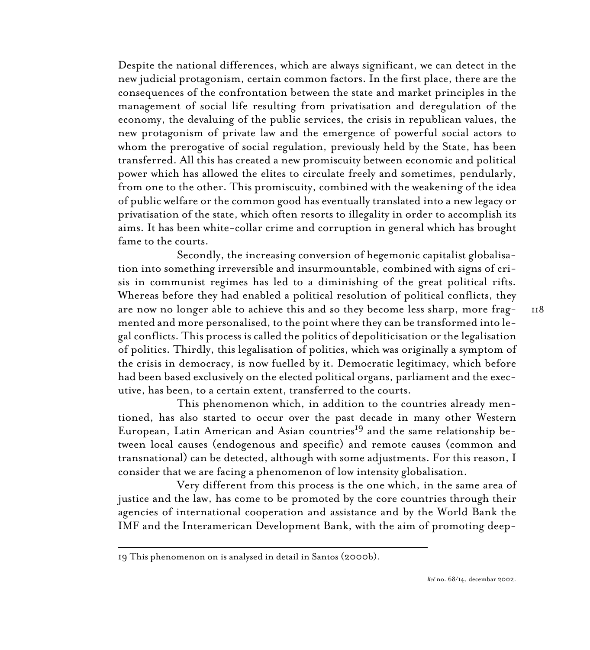Despite the national differences, which are always significant, we can detect in the new judicial protagonism, certain common factors. In the first place, there are the consequences of the confrontation between the state and market principles in the management of social life resulting from privatisation and deregulation of the economy, the devaluing of the public services, the crisis in republican values, the new protagonism of private law and the emergence of powerful social actors to whom the prerogative of social regulation, previously held by the State, has been transferred. All this has created a new promiscuity between economic and political power which has allowed the elites to circulate freely and sometimes, pendularly, from one to the other. This promiscuity, combined with the weakening of the idea of public welfare or the common good has eventually translated into a new legacy or privatisation of the state, which often resorts to illegality in order to accomplish its aims. It has been white-collar crime and corruption in general which has brought fame to the courts.

Secondly, the increasing conversion of hegemonic capitalist globalisation into something irreversible and insurmountable, combined with signs of crisis in communist regimes has led to a diminishing of the great political rifts. Whereas before they had enabled a political resolution of political conflicts, they are now no longer able to achieve this and so they become less sharp, more fragmented and more personalised, to the point where they can be transformed into legal conflicts. This process is called the politics of depoliticisation or the legalisation of politics. Thirdly, this legalisation of politics, which was originally a symptom of the crisis in democracy, is now fuelled by it. Democratic legitimacy, which before had been based exclusively on the elected political organs, parliament and the executive, has been, to a certain extent, transferred to the courts.

This phenomenon which, in addition to the countries already mentioned, has also started to occur over the past decade in many other Western European, Latin American and Asian countries<sup>19</sup> and the same relationship between local causes (endogenous and specific) and remote causes (common and transnational) can be detected, although with some adjustments. For this reason, I consider that we are facing a phenomenon of low intensity globalisation.

Very different from this process is the one which, in the same area of justice and the law, has come to be promoted by the core countries through their agencies of international cooperation and assistance and by the World Bank the IMF and the Interamerican Development Bank, with the aim of promoting deep-

<sup>19</sup> This phenomenon on is analysed in detail in Santos (2000b).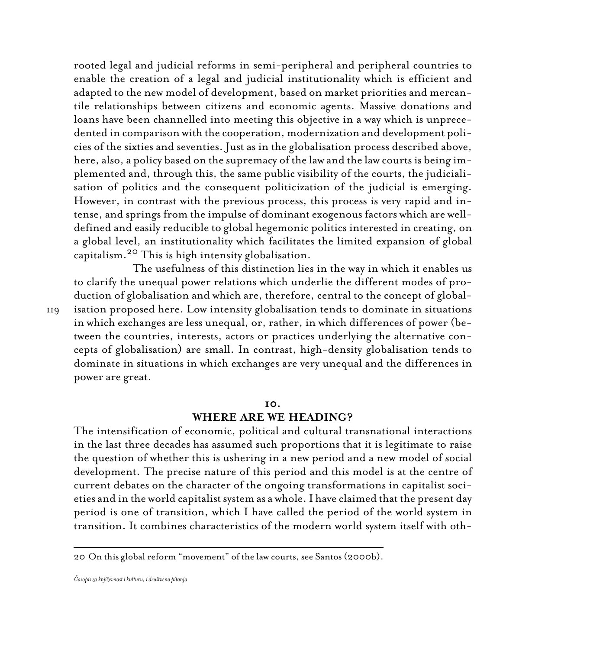rooted legal and judicial reforms in semi-peripheral and peripheral countries to enable the creation of a legal and judicial institutionality which is efficient and adapted to the new model of development, based on market priorities and mercantile relationships between citizens and economic agents. Massive donations and loans have been channelled into meeting this objective in a way which is unprecedented in comparison with the cooperation, modernization and development policies of the sixties and seventies. Just as in the globalisation process described above, here, also, a policy based on the supremacy of the law and the law courts is being implemented and, through this, the same public visibility of the courts, the judicialisation of politics and the consequent politicization of the judicial is emerging. However, in contrast with the previous process, this process is very rapid and intense, and springs from the impulse of dominant exogenous factors which are welldefined and easily reducible to global hegemonic politics interested in creating, on a global level, an institutionality which facilitates the limited expansion of global capitalism.20 This is high intensity globalisation.

The usefulness of this distinction lies in the way in which it enables us to clarify the unequal power relations which underlie the different modes of production of globalisation and which are, therefore, central to the concept of globalisation proposed here. Low intensity globalisation tends to dominate in situations in which exchanges are less unequal, or, rather, in which differences of power (between the countries, interests, actors or practices underlying the alternative concepts of globalisation) are small. In contrast, high-density globalisation tends to dominate in situations in which exchanges are very unequal and the differences in power are great.

#### **10.**

#### **WHERE ARE WE HEADING?**

The intensification of economic, political and cultural transnational interactions in the last three decades has assumed such proportions that it is legitimate to raise the question of whether this is ushering in a new period and a new model of social development. The precise nature of this period and this model is at the centre of current debates on the character of the ongoing transformations in capitalist societies and in the world capitalist system as a whole. I have claimed that the present day period is one of transition, which I have called the period of the world system in transition. It combines characteristics of the modern world system itself with oth-

<sup>20</sup> On this global reform "movement" of the law courts, see Santos (2000b).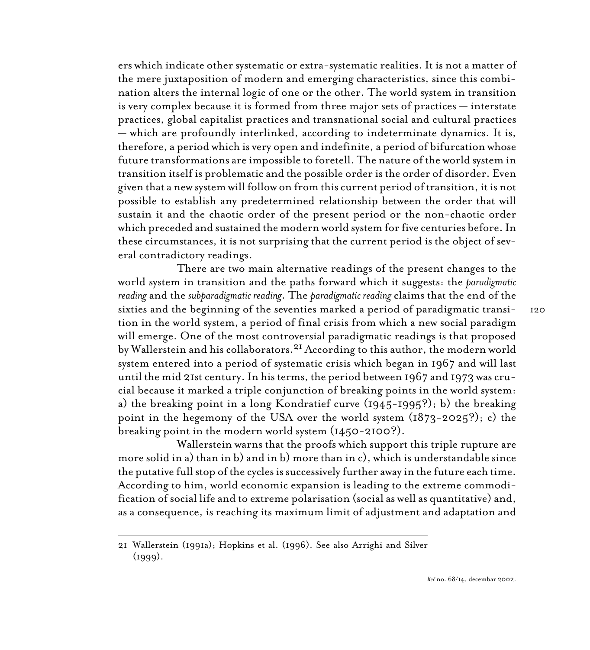ers which indicate other systematic or extra-systematic realities. It is not a matter of the mere juxtaposition of modern and emerging characteristics, since this combination alters the internal logic of one or the other. The world system in transition is very complex because it is formed from three major sets of practices — interstate practices, global capitalist practices and transnational social and cultural practices — which are profoundly interlinked, according to indeterminate dynamics. It is, therefore, a period which is very open and indefinite, a period of bifurcation whose future transformations are impossible to foretell. The nature of the world system in transition itself is problematic and the possible order is the order of disorder. Even given that a new system will follow on from this current period of transition, it is not possible to establish any predetermined relationship between the order that will sustain it and the chaotic order of the present period or the non-chaotic order which preceded and sustained the modern world system for five centuries before. In these circumstances, it is not surprising that the current period is the object of several contradictory readings.

There are two main alternative readings of the present changes to the world system in transition and the paths forward which it suggests: the *paradigmatic reading* and the *subparadigmatic reading*. The *paradigmatic reading* claims that the end of the sixties and the beginning of the seventies marked a period of paradigmatic transition in the world system, a period of final crisis from which a new social paradigm will emerge. One of the most controversial paradigmatic readings is that proposed by Wallerstein and his collaborators.21 According to this author, the modern world system entered into a period of systematic crisis which began in 1967 and will last until the mid 21st century. In his terms, the period between 1967 and 1973 was crucial because it marked a triple conjunction of breaking points in the world system: a) the breaking point in a long Kondratief curve (1945-1995?); b) the breaking point in the hegemony of the USA over the world system (1873-2025?); c) the breaking point in the modern world system (1450-2100?).

Wallerstein warns that the proofs which support this triple rupture are more solid in a) than in b) and in b) more than in c), which is understandable since the putative full stop of the cycles is successively further away in the future each time. According to him, world economic expansion is leading to the extreme commodification of social life and to extreme polarisation (social as well as quantitative) and, as a consequence, is reaching its maximum limit of adjustment and adaptation and

<sup>21</sup> Wallerstein (1991a); Hopkins et al. (1996). See also Arrighi and Silver  $(1999)$ .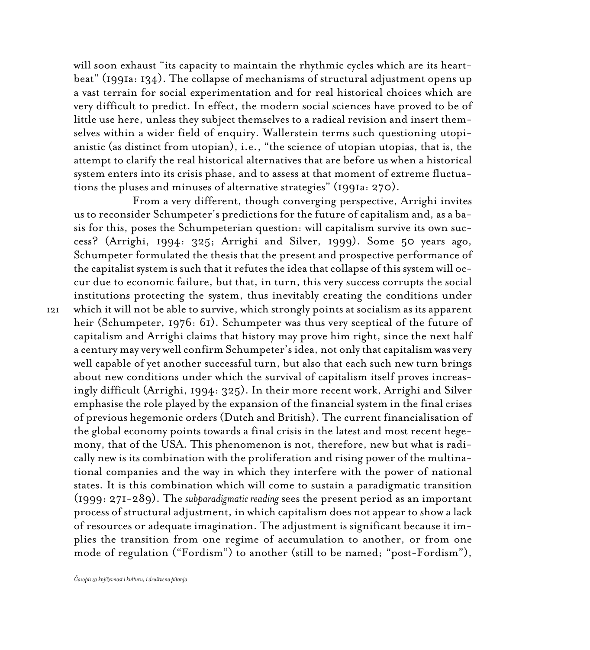will soon exhaust "its capacity to maintain the rhythmic cycles which are its heartbeat" (1991a: 134). The collapse of mechanisms of structural adjustment opens up a vast terrain for social experimentation and for real historical choices which are very difficult to predict. In effect, the modern social sciences have proved to be of little use here, unless they subject themselves to a radical revision and insert themselves within a wider field of enquiry. Wallerstein terms such questioning utopianistic (as distinct from utopian), i.e., "the science of utopian utopias, that is, the attempt to clarify the real historical alternatives that are before us when a historical system enters into its crisis phase, and to assess at that moment of extreme fluctuations the pluses and minuses of alternative strategies" (1991a: 270).

From a very different, though converging perspective, Arrighi invites us to reconsider Schumpeter's predictions for the future of capitalism and, as a basis for this, poses the Schumpeterian question: will capitalism survive its own success? (Arrighi, 1994: 325; Arrighi and Silver, 1999). Some 50 years ago, Schumpeter formulated the thesis that the present and prospective performance of the capitalist system is such that it refutes the idea that collapse of this system will occur due to economic failure, but that, in turn, this very success corrupts the social institutions protecting the system, thus inevitably creating the conditions under which it will not be able to survive, which strongly points at socialism as its apparent heir (Schumpeter, 1976: 61). Schumpeter was thus very sceptical of the future of capitalism and Arrighi claims that history may prove him right, since the next half a century may very well confirm Schumpeter's idea, not only that capitalism was very well capable of yet another successful turn, but also that each such new turn brings about new conditions under which the survival of capitalism itself proves increasingly difficult (Arrighi, 1994: 325). In their more recent work, Arrighi and Silver emphasise the role played by the expansion of the financial system in the final crises of previous hegemonic orders (Dutch and British). The current financialisation of the global economy points towards a final crisis in the latest and most recent hegemony, that of the USA. This phenomenon is not, therefore, new but what is radically new is its combination with the proliferation and rising power of the multinational companies and the way in which they interfere with the power of national states. It is this combination which will come to sustain a paradigmatic transition (1999: 271-289). The *subparadigmatic reading* sees the present period as an important process of structural adjustment, in which capitalism does not appear to show a lack of resources or adequate imagination. The adjustment is significant because it implies the transition from one regime of accumulation to another, or from one mode of regulation ("Fordism") to another (still to be named; "post-Fordism"),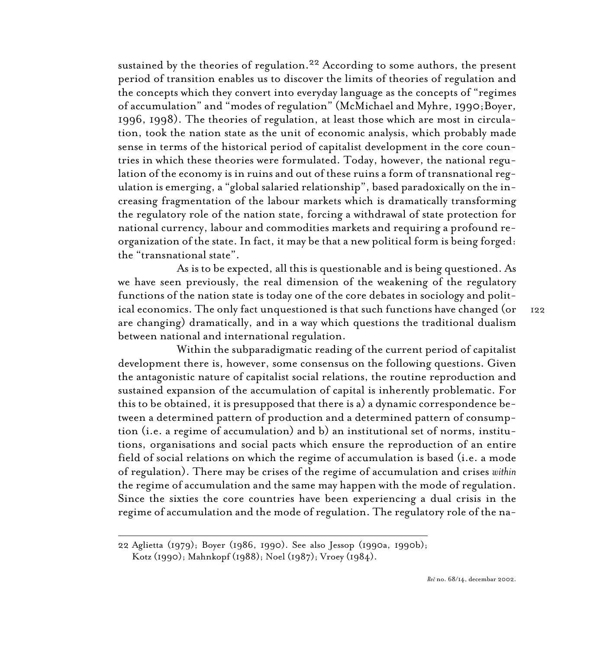sustained by the theories of regulation.<sup>22</sup> According to some authors, the present period of transition enables us to discover the limits of theories of regulation and the concepts which they convert into everyday language as the concepts of "regimes of accumulation" and "modes of regulation" (McMichael and Myhre, 1990;Boyer, 1996, 1998). The theories of regulation, at least those which are most in circulation, took the nation state as the unit of economic analysis, which probably made sense in terms of the historical period of capitalist development in the core countries in which these theories were formulated. Today, however, the national regulation of the economy is in ruins and out of these ruins a form of transnational regulation is emerging, a "global salaried relationship", based paradoxically on the increasing fragmentation of the labour markets which is dramatically transforming the regulatory role of the nation state, forcing a withdrawal of state protection for national currency, labour and commodities markets and requiring a profound reorganization of the state. In fact, it may be that a new political form is being forged: the "transnational state".

As is to be expected, all this is questionable and is being questioned. As we have seen previously, the real dimension of the weakening of the regulatory functions of the nation state is today one of the core debates in sociology and political economics. The only fact unquestioned is that such functions have changed (or are changing) dramatically, and in a way which questions the traditional dualism between national and international regulation.

Within the subparadigmatic reading of the current period of capitalist development there is, however, some consensus on the following questions. Given the antagonistic nature of capitalist social relations, the routine reproduction and sustained expansion of the accumulation of capital is inherently problematic. For this to be obtained, it is presupposed that there is a) a dynamic correspondence between a determined pattern of production and a determined pattern of consumption (i.e. a regime of accumulation) and b) an institutional set of norms, institutions, organisations and social pacts which ensure the reproduction of an entire field of social relations on which the regime of accumulation is based (i.e. a mode of regulation). There may be crises of the regime of accumulation and crises *within* the regime of accumulation and the same may happen with the mode of regulation. Since the sixties the core countries have been experiencing a dual crisis in the regime of accumulation and the mode of regulation. The regulatory role of the na-

<sup>22</sup> Aglietta (1979); Boyer (1986, 1990). See also Jessop (1990a, 1990b); Kotz (1990); Mahnkopf (1988); Noel (1987); Vroey (1984).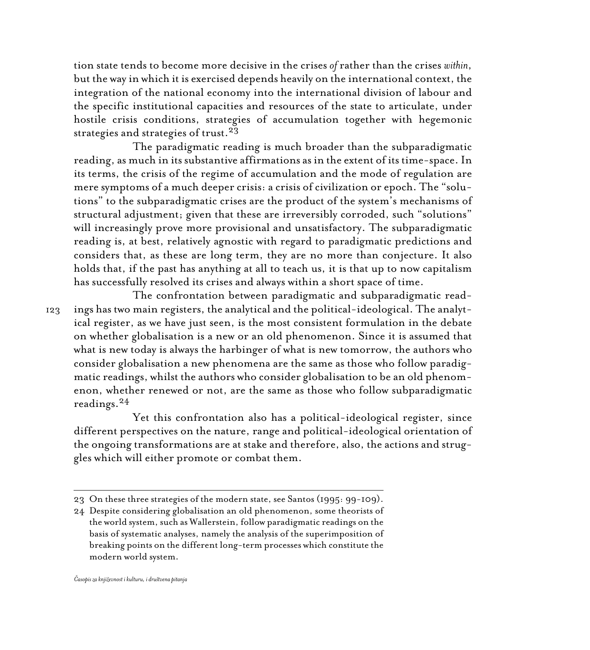tion state tends to become more decisive in the crises *of* rather than the crises *within*, but the way in which it is exercised depends heavily on the international context, the integration of the national economy into the international division of labour and the specific institutional capacities and resources of the state to articulate, under hostile crisis conditions, strategies of accumulation together with hegemonic strategies and strategies of trust.23

The paradigmatic reading is much broader than the subparadigmatic reading, as much in its substantive affirmations as in the extent of its time-space. In its terms, the crisis of the regime of accumulation and the mode of regulation are mere symptoms of a much deeper crisis: a crisis of civilization or epoch. The "solutions" to the subparadigmatic crises are the product of the system's mechanisms of structural adjustment; given that these are irreversibly corroded, such "solutions" will increasingly prove more provisional and unsatisfactory. The subparadigmatic reading is, at best, relatively agnostic with regard to paradigmatic predictions and considers that, as these are long term, they are no more than conjecture. It also holds that, if the past has anything at all to teach us, it is that up to now capitalism has successfully resolved its crises and always within a short space of time.

123

The confrontation between paradigmatic and subparadigmatic readings has two main registers, the analytical and the political-ideological. The analytical register, as we have just seen, is the most consistent formulation in the debate on whether globalisation is a new or an old phenomenon. Since it is assumed that what is new today is always the harbinger of what is new tomorrow, the authors who consider globalisation a new phenomena are the same as those who follow paradigmatic readings, whilst the authors who consider globalisation to be an old phenomenon, whether renewed or not, are the same as those who follow subparadigmatic readings.24

Yet this confrontation also has a political-ideological register, since different perspectives on the nature, range and political-ideological orientation of the ongoing transformations are at stake and therefore, also, the actions and struggles which will either promote or combat them.

<sup>23</sup> On these three strategies of the modern state, see Santos (1995: 99-109).

<sup>24</sup> Despite considering globalisation an old phenomenon, some theorists of the world system, such as Wallerstein, follow paradigmatic readings on the basis of systematic analyses, namely the analysis of the superimposition of breaking points on the different long-term processes which constitute the modern world system.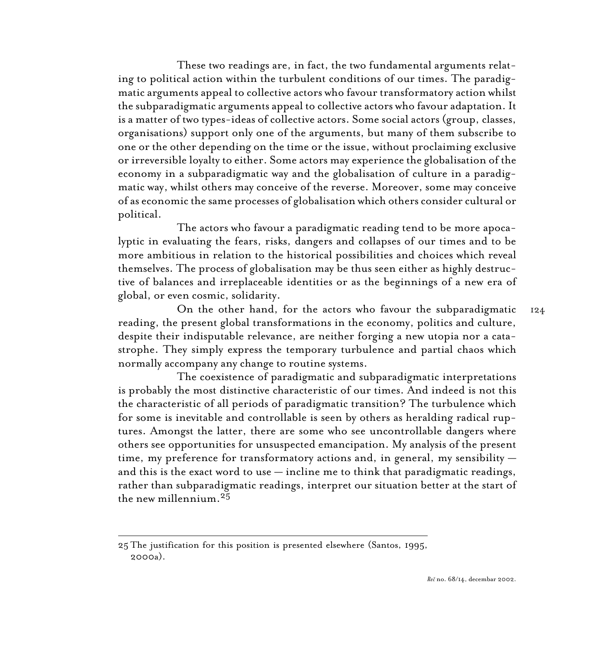These two readings are, in fact, the two fundamental arguments relating to political action within the turbulent conditions of our times. The paradigmatic arguments appeal to collective actors who favour transformatory action whilst the subparadigmatic arguments appeal to collective actors who favour adaptation. It is a matter of two types-ideas of collective actors. Some social actors (group, classes, organisations) support only one of the arguments, but many of them subscribe to one or the other depending on the time or the issue, without proclaiming exclusive or irreversible loyalty to either. Some actors may experience the globalisation of the economy in a subparadigmatic way and the globalisation of culture in a paradigmatic way, whilst others may conceive of the reverse. Moreover, some may conceive of as economic the same processes of globalisation which others consider cultural or political.

The actors who favour a paradigmatic reading tend to be more apocalyptic in evaluating the fears, risks, dangers and collapses of our times and to be more ambitious in relation to the historical possibilities and choices which reveal themselves. The process of globalisation may be thus seen either as highly destructive of balances and irreplaceable identities or as the beginnings of a new era of global, or even cosmic, solidarity.

On the other hand, for the actors who favour the subparadigmatic reading, the present global transformations in the economy, politics and culture, despite their indisputable relevance, are neither forging a new utopia nor a catastrophe. They simply express the temporary turbulence and partial chaos which normally accompany any change to routine systems.

The coexistence of paradigmatic and subparadigmatic interpretations is probably the most distinctive characteristic of our times. And indeed is not this the characteristic of all periods of paradigmatic transition? The turbulence which for some is inevitable and controllable is seen by others as heralding radical ruptures. Amongst the latter, there are some who see uncontrollable dangers where others see opportunities for unsuspected emancipation. My analysis of the present time, my preference for transformatory actions and, in general, my sensibility and this is the exact word to use  $-$  incline me to think that paradigmatic readings, rather than subparadigmatic readings, interpret our situation better at the start of the new millennium.25

*Reč* no. 68/14, decembar 2002.

<sup>25</sup> The justification for this position is presented elsewhere (Santos, 1995, 2000a).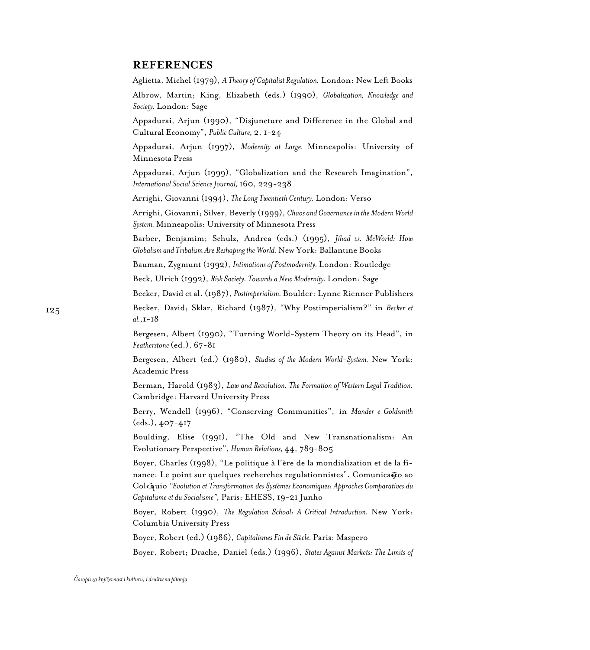#### **REFERENCES**

Aglietta, Michel (1979), *A Theory of Capitalist Regulation.* London: New Left Books

Albrow, Martin; King, Elizabeth (eds.) (1990), *Globalization, Knowledge and Society.* London: Sage

Appadurai, Arjun (1990), "Disjuncture and Difference in the Global and Cultural Economy", *Public Culture,* 2, 1-24

Appadurai, Arjun (1997), *Modernity at Large.* Minneapolis: University of Minnesota Press

Appadurai, Arjun (1999), "Globalization and the Research Imagination", *International Social Science Journal,* 160, 229-238

Arrighi, Giovanni (1994), *The Long Twentieth Century.* London: Verso

Arrighi, Giovanni; Silver, Beverly (1999), *Chaos and Governance in the Modern World System.* Minneapolis: University of Minnesota Press

Barber, Benjamim; Schulz, Andrea (eds.) (1995), *Jihad vs. McWorld: How Globalism and Tribalism Are Reshaping the World.* New York: Ballantine Books

Bauman, Zygmunt (1992), *Intimations of Postmodernity.* London: Routledge

Beck, Ulrich (1992), *Risk Society. Towards a New Modernity.* London: Sage

Becker, David et al. (1987), *Postimperialism.* Boulder: Lynne Rienner Publishers

Becker, David; Sklar, Richard (1987), "Why Postimperialism?" in *Becker et al.,*1-18

Bergesen, Albert (1990), "Turning World-System Theory on its Head", in *Featherstone* (ed.), 67-81

Bergesen, Albert (ed.) (1980), *Studies of the Modern World-System.* New York: Academic Press

Berman, Harold (1983), *Law and Revolution. The Formation of Western Legal Tradition.* Cambridge: Harvard University Press

Berry, Wendell (1996), "Conserving Communities", in *Mander e Goldsmith* (eds.), 407-417

Boulding, Elise (1991), "The Old and New Transnationalism: An Evolutionary Perspective", *Human Relations,* 44, 789-805

Boyer, Charles (1998), "Le politique à l'ère de la mondialization et de la finance: Le point sur quelques recherches regulationnistes". Comunica $\widetilde{q}$ o ao Colóquio *"Evolution et Transformation des Systèmes Economiques: Approches Comparatives du Capitalisme et du Socialisme",* Paris; EHESS, 19-21 Junho

Boyer, Robert (1990), *The Regulation School: A Critical Introduction.* New York: Columbia University Press

Boyer, Robert (ed.) (1986), *Capitalismes Fin de Siècle.* Paris: Maspero

Boyer, Robert; Drache, Daniel (eds.) (1996), *States Against Markets: The Limits of*

*Časopis za književnost i kulturu, i društvena pitanja*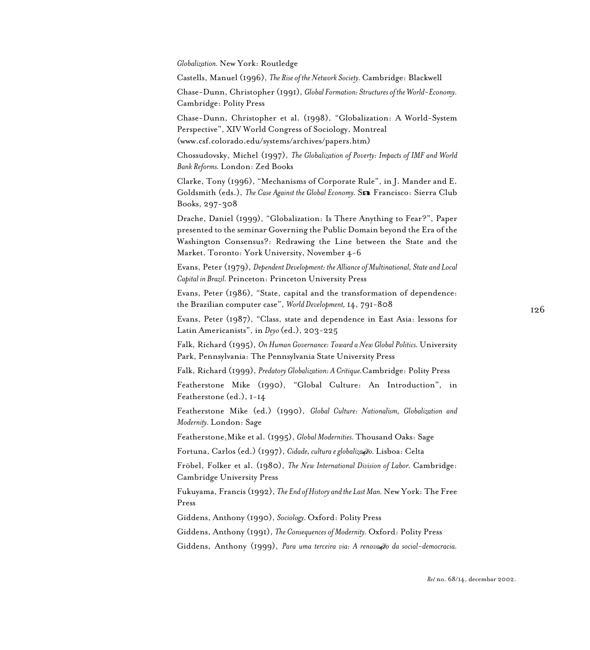*Globalization.* New York: Routledge

Castells, Manuel (1996), *The Rise of the Network Society.* Cambridge: Blackwell

Chase-Dunn, Christopher (1991), *Global Formation: Structures of the World-Economy.* Cambridge: Polity Press

Chase-Dunn, Christopher et al. (1998), "Globalization: A World-System Perspective", XIV World Congress of Sociology, Montreal (www.csf.colorado.edu/systems/archives/papers.htm)

Chossudovsky, Michel (1997), *The Globalization of Poverty: Impacts of IMF and World Bank Reforms.* London: Zed Books

Clarke, Tony (1996), "Mechanisms of Corporate Rule", in J. Mander and E. Goldsmith (eds.), *The Case Against the Global Economy*. S**EL** Francisco: Sierra Club Books, 297-308

Drache, Daniel (1999), "Globalization: Is There Anything to Fear?", Paper presented to the seminar Governing the Public Domain beyond the Era of the Washington Consensus?: Redrawing the Line between the State and the Market. Toronto: York University, November 4-6

Evans, Peter (1979), *Dependent Development: the Alliance of Multinational, State and Local Capital in Brazil.* Princeton: Princeton University Press

Evans, Peter (1986), "State, capital and the transformation of dependence: the Brazilian computer case", *World Development,* 14, 791-808

Evans, Peter (1987), "Class, state and dependence in East Asia: lessons for Latin Americanists", in *Deyo* (ed.), 203-225

Falk, Richard (1995), *On Human Governance: Toward a New Global Politics.* University Park, Pennsylvania: The Pennsylvania State University Press

Falk, Richard (1999), *Predatory Globalization: A Critique.*Cambridge: Polity Press

Featherstone Mike (1990), "Global Culture: An Introduction", in Featherstone (ed.), 1-14

Featherstone Mike (ed.) (1990), *Global Culture: Nationalism, Globalization and Modernity.* London: Sage

Featherstone,Mike et al. (1995), *Global Modernities.* Thousand Oaks: Sage

Fortuna, Carlos (ed.) (1997), *Cidade, cultura e globaliza*ãç *o.* Lisboa: Celta

Fröbel, Folker et al. (1980), *The New International Division of Labor.* Cambridge: Cambridge University Press

Fukuyama, Francis (1992), *The End of History and the Last Man.* New York: The Free Press

Giddens, Anthony (1990), *Sociology.* Oxford: Polity Press

Giddens, Anthony (1991), *The Consequences of Modernity.* Oxford: Polity Press

Giddens, Anthony (1999), Para uma terceira via: A renovação da social-democracia.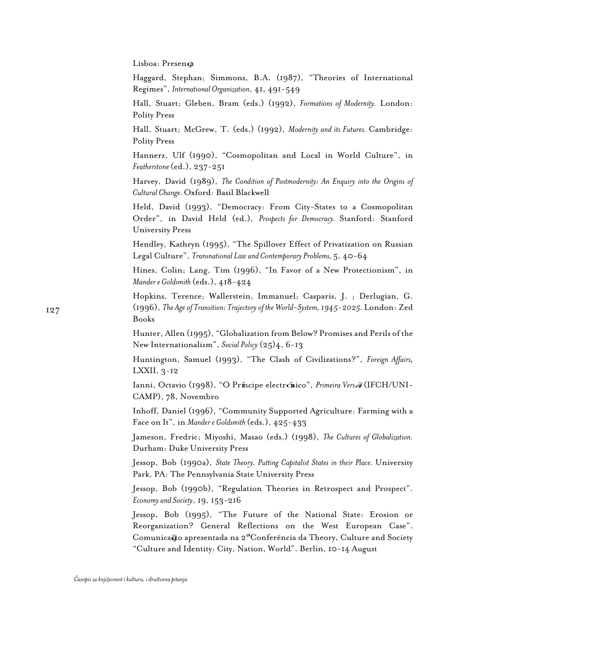Lisboa: Presença

Haggard, Stephan; Simmons, B.A. (1987), "Theories of International Regimes", *International Organization*, 41, 491-549

Hall, Stuart; Gleben, Bram (eds.) (1992), *Formations of Modernity.* London: Polity Press

Hall, Stuart; McGrew, T. (eds.) (1992), *Modernity and its Futures.* Cambridge: Polity Press

Hannerz, Ulf (1990), "Cosmopolitan and Local in World Culture", in *Featherstone* (ed.), 237-251

Harvey, David (1989), *The Condition of Postmodernity: An Enquiry into the Origins of Cultural Change.* Oxford: Basil Blackwell

Held, David (1993), "Democracy: From City-States to a Cosmopolitan Order", in David Held (ed.), *Prospects for Democracy.* Stanford: Stanford University Press

Hendley, Kathryn (1995), "The Spillover Effect of Privatization on Russian Legal Culture", *Transnational Law and Contemporary Problems,* 5, 40-64

Hines, Colin; Lang, Tim (1996), "In Favor of a New Protectionism", in *Mander e Goldsmith* (eds.), 418-424

Hopkins, Terence; Wallerstein, Immanuel; Casparis, J. ; Derlugian, G. (1996), *The Age of Transition: Trajectory of the World-System, 1945-2025.* London: Zed Books

Hunter, Allen (1995), "Globalization from Below? Promises and Perils of the New Internationalism", *Social Policy* (25)4, 6-13

Huntington, Samuel (1993), "The Clash of Civilizations?", *Foreign Affairs,* LXXII, 3-12

Ianni, Octavio (1998), "O Príncipe electrónico", *Primeira Vers*ã*o* (IFCH/UNI-CAMP), 78, Novembro

Inhoff, Daniel (1996), "Community Supported Agriculture: Farming with a Face on It", in *Mander e Goldsmith* (eds.), 425-433

Jameson, Fredric; Miyoshi, Masao (eds.) (1998), *The Cultures of Globalization.* Durham: Duke University Press

Jessop, Bob (1990a), *State Theory. Putting Capitalist States in their Place.* University Park, PA: The Pennsylvania State University Press

Jessop, Bob (1990b), "Regulation Theories in Retrospect and Prospect". *Economy and Society*, 19, 153-216

Jessop, Bob (1995), "The Future of the National State: Erosion or Reorganization? General Reflections on the West European Case". Comunicação apresentada na 2ªConferência da Theory, Culture and Society "Culture and Identity: City, Nation, World". Berlin, 10-14 August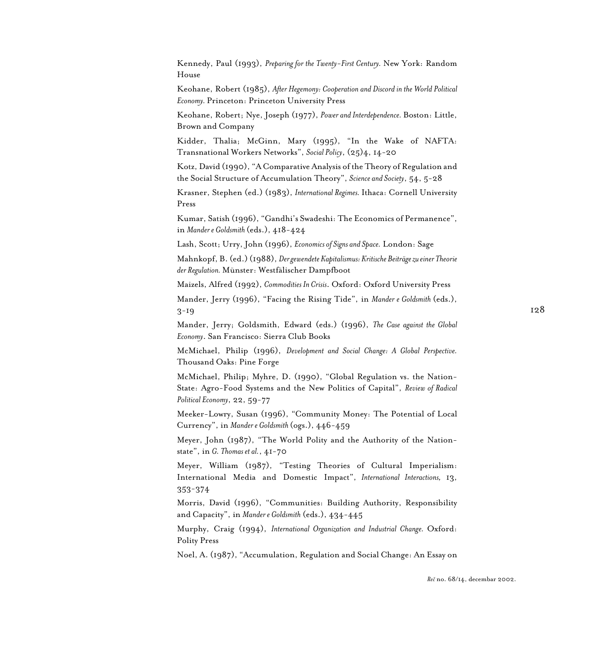Kennedy, Paul (1993), *Preparing for the Twenty-First Century.* New York: Random House

Keohane, Robert (1985), *After Hegemony: Cooperation and Discord in the World Political Economy.* Princeton: Princeton University Press

Keohane, Robert; Nye, Joseph (1977), *Power and Interdependence.* Boston: Little, Brown and Company

Kidder, Thalia; McGinn, Mary (1995), "In the Wake of NAFTA: Transnational Workers Networks", *Social Policy*, (25)4, 14-20

Kotz, David (1990), "A Comparative Analysis of the Theory of Regulation and the Social Structure of Accumulation Theory", *Science and Society*, 54, 5-28

Krasner, Stephen (ed.) (1983), *International Regimes.* Ithaca: Cornell University Press

Kumar, Satish (1996), "Gandhi's Swadeshi: The Economics of Permanence", in *Mander e Goldsmith* (eds.), 418-424

Lash, Scott; Urry, John (1996), *Economics of Signs and Space.* London: Sage

Mahnkopf, B. (ed.) (1988), *Der gewendete Kapitalismus: Kritische Beiträge zu einer Theorie der Regulation.* Münster: Westfälischer Dampfboot

Maizels, Alfred (1992), *Commodities In Crisis*. Oxford: Oxford University Press

Mander, Jerry (1996), "Facing the Rising Tide", in *Mander e Goldsmith* (eds.), 3-19

Mander, Jerry; Goldsmith, Edward (eds.) (1996), *The Case against the Global Economy*. San Francisco: Sierra Club Books

McMichael, Philip (1996), *Development and Social Change: A Global Perspective.* Thousand Oaks: Pine Forge

McMichael, Philip; Myhre, D. (1990), "Global Regulation vs. the Nation-State: Agro-Food Systems and the New Politics of Capital", *Review of Radical Political Economy*, 22, 59-77

Meeker-Lowry, Susan (1996), "Community Money: The Potential of Local Currency", in *Mander e Goldsmith* (ogs.), 446-459

Meyer, John (1987), "The World Polity and the Authority of the Nationstate", in *G. Thomas et al.*, 41-70

Meyer, William (1987), "Testing Theories of Cultural Imperialism: International Media and Domestic Impact", *International Interactions,* 13, 353-374

Morris, David (1996), "Communities: Building Authority, Responsibility and Capacity", in *Mander e Goldsmith* (eds.), 434-445

Murphy, Craig (1994), *International Organization and Industrial Change.* Oxford: Polity Press

Noel, A. (1987), "Accumulation, Regulation and Social Change: An Essay on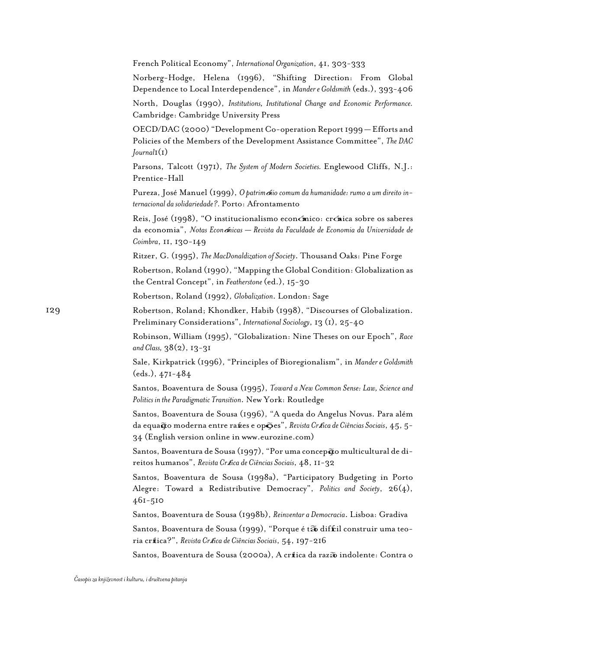French Political Economy", *International Organization*, 41, 303-333

Norberg-Hodge, Helena (1996), "Shifting Direction: From Global Dependence to Local Interdependence", in *Mander e Goldsmith* (eds.), 393-406

North, Douglas (1990), *Institutions, Institutional Change and Economic Performance.* Cambridge: Cambridge University Press

OECD/DAC (2000) "Development Co-operation Report 1999 — Efforts and Policies of the Members of the Development Assistance Committee", *The DAC Journal*1(1)

Parsons, Talcott (1971), *The System of Modern Societies.* Englewood Cliffs, N.J.: Prentice-Hall

Pureza, José Manuel (1999), *O patrim*ó*nio comum da humanidade: rumo a um direito internacional da solidariedade?.* Porto: Afrontamento

Reis, José (1998), "O institucionalismo económico: crónica sobre os saberes da economia", *Notas Econ*ó*micas — Revista da Faculdade de Economia da Universidade de Coimbra*, 11, 130-149

Ritzer, G. (1995), *The MacDonaldization of Society*. Thousand Oaks: Pine Forge

Robertson, Roland (1990), "Mapping the Global Condition: Globalization as the Central Concept", in *Featherstone* (ed.), 15-30

Robertson, Roland (1992), *Globalization*. London: Sage

Robertson, Roland; Khondker, Habib (1998), "Discourses of Globalization. Preliminary Considerations",*International Sociology*, 13 (1), 25-40

Robinson, William (1995), "Globalization: Nine Theses on our Epoch", *Race and Class,* 38(2), 13-31

Sale, Kirkpatrick (1996), "Principles of Bioregionalism", in *Mander e Goldsmith* (eds.), 471-484

Santos, Boaventura de Sousa (1995), *Toward a New Common Sense: Law, Science and Politics in the Paradigmatic Transition*. New York: Routledge

Santos, Boaventura de Sousa (1996), "A queda do Angelus Novus. Para além da equação moderna entre raízes e opõçes", *Revista Cr*í*tica de Ciências Sociais*, 45, 5- 34 (English version online in www.eurozine.com)

Santos, Boaventura de Sousa (1997), "Por uma concepão multicultural de direitos humanos", *Revista Cr*í*tica de Ciências Sociais*, 48, 11-32

Santos, Boaventura de Sousa (1998a), "Participatory Budgeting in Porto Alegre: Toward a Redistributive Democracy", *Politics and Society*, 26(4), 461-510

Santos, Boaventura de Sousa (1998b), *Reinventar a Democracia*. Lisboa: Gradiva

Santos, Boaventura de Sousa (1999), "Porque é tão difícil construir uma teoria crítica?", *Revista Cr*í*tica de Ciências Sociais*, 54, 197-216

Santos, Boaventura de Sousa (2000a), A crítica da razão indolente: Contra o

*Časopis za književnost i kulturu, i društvena pitanja*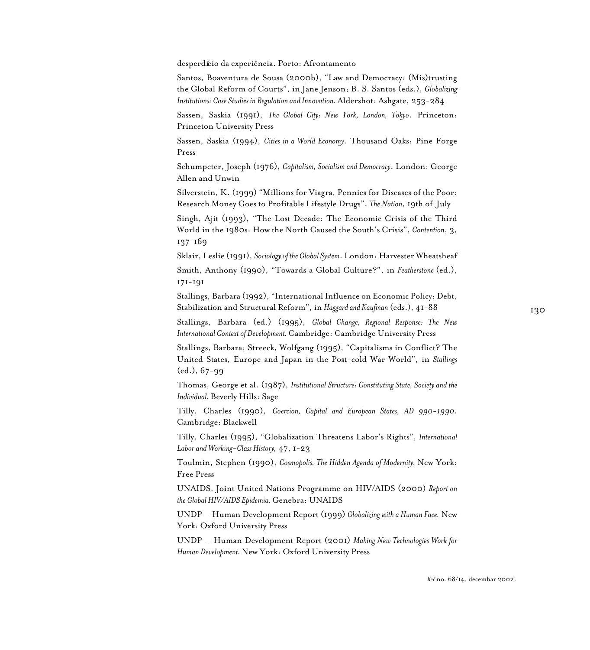desperdício da experiência. Porto: Afrontamento

Santos, Boaventura de Sousa (2000b), "Law and Democracy: (Mis)trusting the Global Reform of Courts", in Jane Jenson; B. S. Santos (eds.), *Globalizing Institutions: Case Studies in Regulation and Innovation.* Aldershot: Ashgate, 253-284

Sassen, Saskia (1991), *The Global City: New York, London, Tokyo*. Princeton: Princeton University Press

Sassen, Saskia (1994), *Cities in a World Economy*. Thousand Oaks: Pine Forge Press

Schumpeter, Joseph (1976), *Capitalism, Socialism and Democracy*. London: George Allen and Unwin

Silverstein, K. (1999) "Millions for Viagra, Pennies for Diseases of the Poor: Research Money Goes to Profitable Lifestyle Drugs". *The Nation*, 19th of July

Singh, Ajit (1993), "The Lost Decade: The Economic Crisis of the Third World in the 1980s: How the North Caused the South's Crisis", *Contention*, 3, 137-169

Sklair, Leslie (1991), *Sociology of the Global System*. London: Harvester Wheatsheaf Smith, Anthony (1990), "Towards a Global Culture?", in *Featherstone* (ed.), 171-191

Stallings, Barbara (1992), "International Influence on Economic Policy: Debt, Stabilization and Structural Reform", in *Haggard and Kaufman* (eds.), 41-88

Stallings, Barbara (ed.) (1995), *Global Change, Regional Response: The New International Context of Development.* Cambridge: Cambridge University Press

Stallings, Barbara; Streeck, Wolfgang (1995), "Capitalisms in Conflict? The United States, Europe and Japan in the Post-cold War World", in *Stallings* (ed.), 67-99

Thomas, George et al. (1987), *Institutional Structure: Constituting State, Society and the Individual.* Beverly Hills: Sage

Tilly, Charles (1990), *Coercion, Capital and European States, AD 990-1990*. Cambridge: Blackwell

Tilly, Charles (1995), "Globalization Threatens Labor's Rights", *International Labor and Working-Class History,* 47, 1-23

Toulmin, Stephen (1990), *Cosmopolis. The Hidden Agenda of Modernity.* New York: Free Press

UNAIDS, Joint United Nations Programme on HIV/AIDS (2000) *Report on the Global HIV/AIDS Epidemia.* Genebra: UNAIDS

UNDP — Human Development Report (1999) *Globalizing with a Human Face.* New York: Oxford University Press

UNDP — Human Development Report (2001) *Making New Technologies Work for Human Development.* New York: Oxford University Press